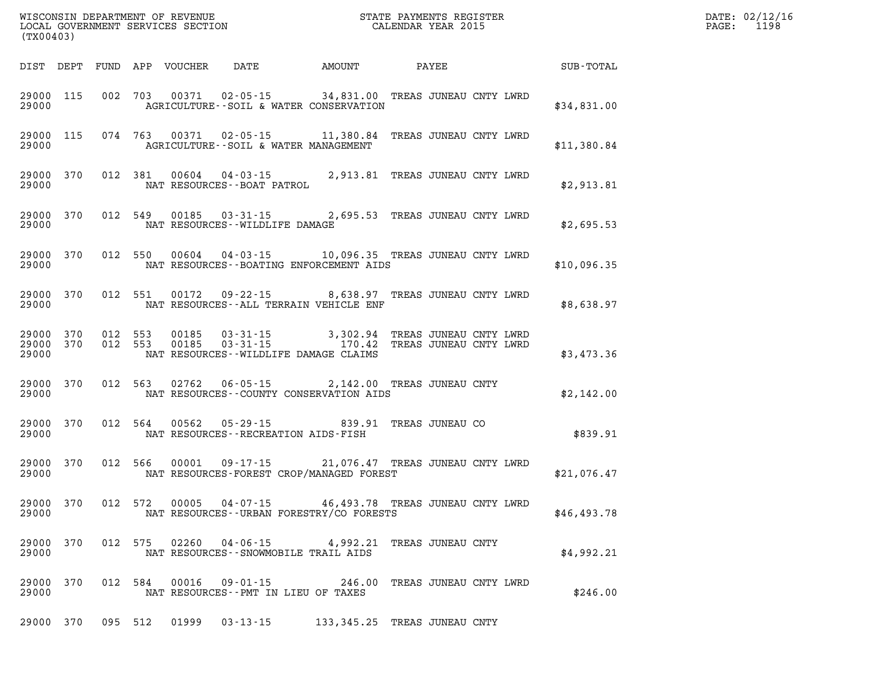| (TX00403)               |            |            |            | WISCONSIN DEPARTMENT OF REVENUE<br>LOCAL GOVERNMENT SERVICES SECTION |                                                                                      | STATE PAYMENTS REGISTER<br>CALENDAR YEAR 2015 |                            |  |                                                  |  |  |             |
|-------------------------|------------|------------|------------|----------------------------------------------------------------------|--------------------------------------------------------------------------------------|-----------------------------------------------|----------------------------|--|--------------------------------------------------|--|--|-------------|
| DIST                    | DEPT       | FUND       | APP        | VOUCHER                                                              | DATE                                                                                 |                                               | AMOUNT                     |  | PAYEE                                            |  |  | SUB-TOTAL   |
| 29000<br>29000          | 115        | 002        | 703        | 00371                                                                | 02-05-15 34,831.00 TREAS JUNEAU CNTY LWRD<br>AGRICULTURE--SOIL & WATER CONSERVATION  |                                               |                            |  |                                                  |  |  | \$34,831.00 |
| 29000<br>29000          | 115        | 074        | 763        | 00371                                                                | $02 - 05 - 15$ 11,380.84<br>AGRICULTURE--SOIL & WATER MANAGEMENT                     |                                               |                            |  | TREAS JUNEAU CNTY LWRD                           |  |  | \$11,380.84 |
| 29000<br>29000          | 370        | 012        | 381        | 00604                                                                | $04 - 03 - 15$ 2,913.81<br>NAT RESOURCES - - BOAT PATROL                             |                                               |                            |  | TREAS JUNEAU CNTY LWRD                           |  |  | \$2,913.81  |
| 29000<br>29000          | 370        | 012        | 549        | 00185                                                                | 03-31-15 2,695.53 TREAS JUNEAU CNTY LWRD<br>NAT RESOURCES - - WILDLIFE DAMAGE        |                                               |                            |  |                                                  |  |  | \$2,695.53  |
| 29000<br>29000          | 370        | 012        | 550        | 00604                                                                | 04-03-15 10,096.35 TREAS JUNEAU CNTY LWRD<br>NAT RESOURCES--BOATING ENFORCEMENT AIDS |                                               |                            |  |                                                  |  |  | \$10,096.35 |
| 29000<br>29000          | 370        | 012        | 551        | 00172                                                                | 09 - 22 - 15<br>NAT RESOURCES--ALL TERRAIN VEHICLE ENF                               | 8,638.97                                      |                            |  | TREAS JUNEAU CNTY LWRD                           |  |  | \$8,638.97  |
| 29000<br>29000<br>29000 | 370<br>370 | 012<br>012 | 553<br>553 | 00185<br>00185                                                       | 03-31-15 3,302.94<br>03-31-15 170.42<br>NAT RESOURCES -- WILDLIFE DAMAGE CLAIMS      |                                               | 3,302.94                   |  | TREAS JUNEAU CNTY LWRD<br>TREAS JUNEAU CNTY LWRD |  |  | \$3,473.36  |
| 29000<br>29000          | 370        | 012        | 563        | 02762                                                                | $06 - 05 - 15$<br>NAT RESOURCES - COUNTY CONSERVATION AIDS                           |                                               | 2,142.00                   |  | TREAS JUNEAU CNTY                                |  |  | \$2,142.00  |
| 29000<br>29000          | 370        | 012        | 564        | 00562                                                                | $05 - 29 - 15$<br>NAT RESOURCES - - RECREATION AIDS - FISH                           |                                               | 839.91                     |  | TREAS JUNEAU CO                                  |  |  | \$839.91    |
| 29000<br>29000          | 370        | 012        | 566        | 00001                                                                | $09 - 17 - 15$<br>NAT RESOURCES-FOREST CROP/MANAGED FOREST                           | 21,076.47 TREAS JUNEAU CNTY LWRD              |                            |  |                                                  |  |  | \$21,076.47 |
| 29000 370<br>29000      |            | 012        | 572        | 00005                                                                | 04-07-15<br>NAT RESOURCES - - URBAN FORESTRY/CO FORESTS                              |                                               | 46,493.78                  |  | TREAS JUNEAU CNTY LWRD                           |  |  | \$46,493.78 |
| 29000<br>29000          | 370        | 012        | 575        | 02260                                                                | 04-06-15<br>NAT RESOURCES - - SNOWMOBILE TRAIL AIDS                                  |                                               | 4,992.21 TREAS JUNEAU CNTY |  |                                                  |  |  | \$4,992.21  |
| 29000<br>29000          | 370        | 012        | 584        | 00016                                                                | $09 - 01 - 15$<br>NAT RESOURCES - - PMT IN LIEU OF TAXES                             |                                               | 246.00                     |  | TREAS JUNEAU CNTY LWRD                           |  |  | \$246.00    |
| 29000 370               |            |            | 095 512    |                                                                      | 01999  03-13-15  133, 345.25  TREAS JUNEAU CNTY                                      |                                               |                            |  |                                                  |  |  |             |

**DATE: 02/12/16<br>PAGE: 1198**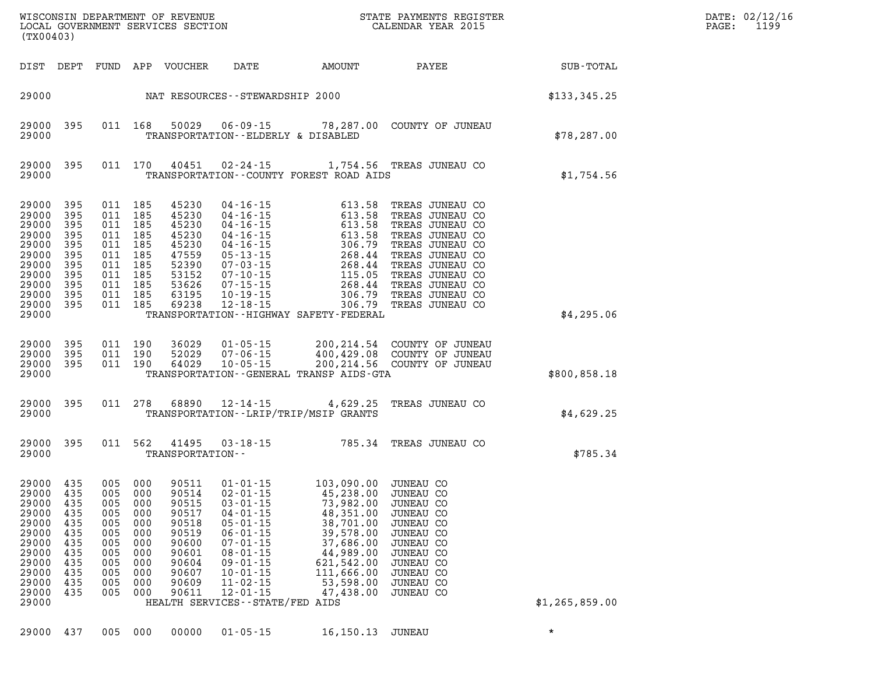| (TX00403)                                                                                                                            |                                                             |                                                                        |                                                                                                       |                                                                                                 |                                                                                                                                                                                                                                          |                                                                                                                                                                                                    | WISCONSIN DEPARTMENT OF REVENUE<br>LOCAL GOVERNMENT SERVICES SECTION<br>(TWOO402) CALENDAR YEAR 2015                                                                                                                                             |                             | DATE: 02/12/16<br>PAGE: 1199 |
|--------------------------------------------------------------------------------------------------------------------------------------|-------------------------------------------------------------|------------------------------------------------------------------------|-------------------------------------------------------------------------------------------------------|-------------------------------------------------------------------------------------------------|------------------------------------------------------------------------------------------------------------------------------------------------------------------------------------------------------------------------------------------|----------------------------------------------------------------------------------------------------------------------------------------------------------------------------------------------------|--------------------------------------------------------------------------------------------------------------------------------------------------------------------------------------------------------------------------------------------------|-----------------------------|------------------------------|
|                                                                                                                                      | DIST DEPT                                                   |                                                                        |                                                                                                       | FUND APP VOUCHER                                                                                |                                                                                                                                                                                                                                          |                                                                                                                                                                                                    |                                                                                                                                                                                                                                                  | DATE AMOUNT PAYEE SUB-TOTAL |                              |
|                                                                                                                                      |                                                             |                                                                        |                                                                                                       |                                                                                                 | 29000 NAT RESOURCES - STEWARDSHIP 2000                                                                                                                                                                                                   |                                                                                                                                                                                                    |                                                                                                                                                                                                                                                  | \$133, 345.25               |                              |
| 29000                                                                                                                                | 29000 395                                                   |                                                                        | 011 168                                                                                               | 50029                                                                                           |                                                                                                                                                                                                                                          | TRANSPORTATION -- ELDERLY & DISABLED                                                                                                                                                               | 06-09-15 78,287.00 COUNTY OF JUNEAU                                                                                                                                                                                                              | \$78, 287.00                |                              |
| 29000                                                                                                                                | 29000 395                                                   |                                                                        |                                                                                                       | 011 170 40451                                                                                   |                                                                                                                                                                                                                                          | TRANSPORTATION -- COUNTY FOREST ROAD AIDS                                                                                                                                                          | 02-24-15 1,754.56 TREAS JUNEAU CO                                                                                                                                                                                                                | \$1,754.56                  |                              |
| 29000 395<br>29000<br>29000 395<br>29000<br>29000 395<br>29000<br>29000 395<br>29000<br>29000 395<br>29000 395<br>29000 395<br>29000 | 395<br>395<br>395<br>395                                    | 011<br>011<br>011<br>011                                               | 011 185<br>185<br>011 185<br>185<br>011 185<br>185<br>011 185<br>185<br>011 185<br>011 185<br>011 185 | 45230<br>45230<br>45230<br>45230<br>45230<br>47559<br>52390<br>53152<br>53626<br>63195<br>69238 |                                                                                                                                                                                                                                          | TRANSPORTATION - - HIGHWAY SAFETY - FEDERAL                                                                                                                                                        | 04-16-15 613.58 TREAS JUNEAU CO<br>04-16-15 613.58 TREAS JUNEAU CO<br>04-16-15 613.58 TREAS JUNEAU CO<br>04-16-15 613.58 TREAS JUNEAU CO<br>04-16-15 613.58 TREAS JUNEAU CO<br>05-13-15 268.44 TREAS JUNEAU CO<br>07-03-15 268.44 TREAS JUNEAU C | \$4,295.06                  |                              |
| 29000 395<br>29000 395<br>29000 395<br>29000                                                                                         |                                                             |                                                                        | 011 190<br>011 190<br>011 190                                                                         | 36029<br>52029<br>64029                                                                         |                                                                                                                                                                                                                                          | TRANSPORTATION--GENERAL TRANSP AIDS-GTA                                                                                                                                                            | 01-05-15 200,214.54 COUNTY OF JUNEAU<br>07-06-15 400,429.08 COUNTY OF JUNEAU<br>10-05-15 200,214.56 COUNTY OF JUNEAU                                                                                                                             | \$800,858.18                |                              |
| 29000 395<br>29000                                                                                                                   |                                                             |                                                                        |                                                                                                       | 011 278 68890                                                                                   |                                                                                                                                                                                                                                          | TRANSPORTATION - - LRIP/TRIP/MSIP GRANTS                                                                                                                                                           | 12-14-15 4,629.25 TREAS JUNEAU CO                                                                                                                                                                                                                | \$4,629.25                  |                              |
| 29000 395<br>29000                                                                                                                   |                                                             |                                                                        | 011 562                                                                                               | 41495<br>TRANSPORTATION--                                                                       |                                                                                                                                                                                                                                          |                                                                                                                                                                                                    | 03-18-15 785.34 TREAS JUNEAU CO                                                                                                                                                                                                                  | \$785.34                    |                              |
| 29000 435<br>29000 435<br>29000 435<br>29000<br>29000<br>29000<br>29000<br>29000<br>29000<br>29000<br>29000<br>29000<br>29000        | 435<br>435<br>435<br>435<br>435<br>435<br>435<br>435<br>435 | 005 000<br>005<br>005<br>005<br>005<br>005<br>005<br>005<br>005<br>005 | 005 000<br>005 000<br>000<br>000<br>000<br>000<br>000<br>000<br>000<br>000<br>000                     | 90511<br>90514<br>90517<br>90518<br>90519<br>90600<br>90601<br>90604<br>90607<br>90609<br>90611 | $02 - 01 - 15$<br>90515 03-01-15<br>$04 - 01 - 15$<br>$05 - 01 - 15$<br>$06 - 01 - 15$<br>$07 - 01 - 15$<br>$08 - 01 - 15$<br>$09 - 01 - 15$<br>$10 - 01 - 15$<br>$11 - 02 - 15$<br>$12 - 01 - 15$<br>HEALTH SERVICES - - STATE/FED AIDS | 01-01-15 103,090.00 JUNEAU CO<br>45,238.00 JUNEAU CO<br>73,982.00 JUNEAU CO<br>48,351.00<br>38,701.00<br>39,578.00<br>37,686.00<br>44,989.00<br>621,542.00<br>111,666.00<br>53,598.00<br>47,438.00 | JUNEAU CO<br>JUNEAU CO<br>JUNEAU CO<br>JUNEAU CO<br>JUNEAU CO<br>JUNEAU CO<br>JUNEAU CO<br>JUNEAU CO<br>JUNEAU CO                                                                                                                                | \$1, 265, 859.00            |                              |
| 29000                                                                                                                                | 437                                                         | 005                                                                    | 000                                                                                                   | 00000                                                                                           | $01 - 05 - 15$                                                                                                                                                                                                                           | 16,150.13                                                                                                                                                                                          | JUNEAU                                                                                                                                                                                                                                           | $\star$                     |                              |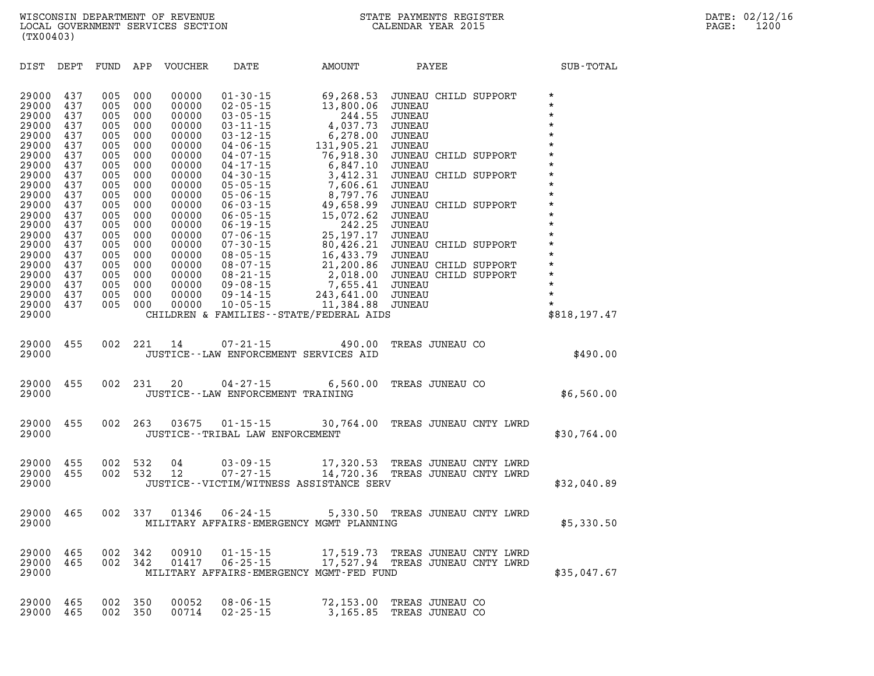| DIST                                                                                                                                                                                                        | DEPT                                                                                                                                                   | FUND                                                                                                                                                   | APP                                                                                                                                                    | <b>VOUCHER</b>                                                                                                                                                                                     | DATE                                                                                                                                                                                                                                                                                                                                                                                                     | AMOUNT                                                                                                                                                                                                                                                                                                                      | PAYEE                                                                                                                                                                                                                                                                                                                                                                              | SUB-TOTAL                                                                                                                                                                                                                                      |
|-------------------------------------------------------------------------------------------------------------------------------------------------------------------------------------------------------------|--------------------------------------------------------------------------------------------------------------------------------------------------------|--------------------------------------------------------------------------------------------------------------------------------------------------------|--------------------------------------------------------------------------------------------------------------------------------------------------------|----------------------------------------------------------------------------------------------------------------------------------------------------------------------------------------------------|----------------------------------------------------------------------------------------------------------------------------------------------------------------------------------------------------------------------------------------------------------------------------------------------------------------------------------------------------------------------------------------------------------|-----------------------------------------------------------------------------------------------------------------------------------------------------------------------------------------------------------------------------------------------------------------------------------------------------------------------------|------------------------------------------------------------------------------------------------------------------------------------------------------------------------------------------------------------------------------------------------------------------------------------------------------------------------------------------------------------------------------------|------------------------------------------------------------------------------------------------------------------------------------------------------------------------------------------------------------------------------------------------|
| 29000<br>29000<br>29000<br>29000<br>29000<br>29000<br>29000<br>29000<br>29000<br>29000<br>29000<br>29000<br>29000<br>29000<br>29000<br>29000<br>29000<br>29000<br>29000<br>29000<br>29000<br>29000<br>29000 | 437<br>437<br>437<br>437<br>437<br>437<br>437<br>437<br>437<br>437<br>437<br>437<br>437<br>437<br>437<br>437<br>437<br>437<br>437<br>437<br>437<br>437 | 005<br>005<br>005<br>005<br>005<br>005<br>005<br>005<br>005<br>005<br>005<br>005<br>005<br>005<br>005<br>005<br>005<br>005<br>005<br>005<br>005<br>005 | 000<br>000<br>000<br>000<br>000<br>000<br>000<br>000<br>000<br>000<br>000<br>000<br>000<br>000<br>000<br>000<br>000<br>000<br>000<br>000<br>000<br>000 | 00000<br>00000<br>00000<br>00000<br>00000<br>00000<br>00000<br>00000<br>00000<br>00000<br>00000<br>00000<br>00000<br>00000<br>00000<br>00000<br>00000<br>00000<br>00000<br>00000<br>00000<br>00000 | $01 - 30 - 15$<br>$02 - 05 - 15$<br>$03 - 05 - 15$<br>$03 - 11 - 15$<br>$03 - 12 - 15$<br>$04 - 06 - 15$<br>$04 - 07 - 15$<br>$04 - 17 - 15$<br>$04 - 30 - 15$<br>$05 - 05 - 15$<br>$05 - 06 - 15$<br>$06 - 03 - 15$<br>$06 - 05 - 15$<br>$06 - 19 - 15$<br>$07 - 06 - 15$<br>$07 - 30 - 15$<br>$08 - 05 - 15$<br>$08 - 07 - 15$<br>$08 - 21 - 15$<br>$09 - 08 - 15$<br>$09 - 14 - 15$<br>$10 - 05 - 15$ | 69,268.53<br>13,800.06<br>244.55<br>4,037.73<br>6,278.00<br>131,905.21<br>76,918.30<br>6,847.10<br>3,412.31<br>7,606.61<br>8,797.76<br>49,658.99<br>15,072.62<br>242.25<br>25, 197. 17<br>80,426.21<br>16,433.79<br>21,200.86<br>2,018.00<br>7,655.41<br>243,641.00<br>11,384.88<br>CHILDREN & FAMILIES--STATE/FEDERAL AIDS | JUNEAU CHILD SUPPORT<br><b>JUNEAU</b><br>JUNEAU<br>JUNEAU<br><b>JUNEAU</b><br>JUNEAU<br><b>JUNEAU CHILD SUPPORT</b><br><b>JUNEAU</b><br>JUNEAU CHILD SUPPORT<br>JUNEAU<br>JUNEAU<br>JUNEAU CHILD SUPPORT<br><b>JUNEAU</b><br><b>JUNEAU</b><br>JUNEAU<br>JUNEAU CHILD SUPPORT<br><b>JUNEAU</b><br>JUNEAU CHILD SUPPORT<br>JUNEAU CHILD SUPPORT<br><b>JUNEAU</b><br>JUNEAU<br>JUNEAU | $\star$<br>$\star$<br>$\star$<br>$\star$<br>$\star$<br>$\star$<br>$\star$<br>$\star$<br>$\star$<br>$\star$<br>$\star$<br>$\star$<br>$\star$<br>$\star$<br>$\star$<br>$\star$<br>$\star$<br>$\star$<br>$\star$<br>$\star$<br>$\star$<br>$\star$ |
|                                                                                                                                                                                                             |                                                                                                                                                        |                                                                                                                                                        |                                                                                                                                                        |                                                                                                                                                                                                    |                                                                                                                                                                                                                                                                                                                                                                                                          |                                                                                                                                                                                                                                                                                                                             |                                                                                                                                                                                                                                                                                                                                                                                    | \$818,197.47                                                                                                                                                                                                                                   |
| 29000<br>29000                                                                                                                                                                                              | 455                                                                                                                                                    | 002                                                                                                                                                    | 221                                                                                                                                                    | 14                                                                                                                                                                                                 | $07 - 21 - 15$                                                                                                                                                                                                                                                                                                                                                                                           | 490.00<br>JUSTICE--LAW ENFORCEMENT SERVICES AID                                                                                                                                                                                                                                                                             | TREAS JUNEAU CO                                                                                                                                                                                                                                                                                                                                                                    | \$490.00                                                                                                                                                                                                                                       |
| 29000<br>29000                                                                                                                                                                                              | 455                                                                                                                                                    | 002                                                                                                                                                    | 231                                                                                                                                                    | 20                                                                                                                                                                                                 | $04 - 27 - 15$                                                                                                                                                                                                                                                                                                                                                                                           | 6,560.00<br>JUSTICE--LAW ENFORCEMENT TRAINING                                                                                                                                                                                                                                                                               | TREAS JUNEAU CO                                                                                                                                                                                                                                                                                                                                                                    | \$6,560.00                                                                                                                                                                                                                                     |
| 29000<br>29000                                                                                                                                                                                              | 455                                                                                                                                                    | 002                                                                                                                                                    | 263                                                                                                                                                    | 03675                                                                                                                                                                                              | $01 - 15 - 15$<br>JUSTICE - - TRIBAL LAW ENFORCEMENT                                                                                                                                                                                                                                                                                                                                                     |                                                                                                                                                                                                                                                                                                                             | 30,764.00 TREAS JUNEAU CNTY LWRD                                                                                                                                                                                                                                                                                                                                                   | \$30,764.00                                                                                                                                                                                                                                    |
| 29000<br>29000<br>29000                                                                                                                                                                                     | 455<br>455                                                                                                                                             | 002<br>002                                                                                                                                             | 532<br>532                                                                                                                                             | 04<br>12                                                                                                                                                                                           | $03 - 09 - 15$<br>$07 - 27 - 15$                                                                                                                                                                                                                                                                                                                                                                         | 17,320.53<br>JUSTICE--VICTIM/WITNESS ASSISTANCE SERV                                                                                                                                                                                                                                                                        | TREAS JUNEAU CNTY LWRD<br>14,720.36 TREAS JUNEAU CNTY LWRD                                                                                                                                                                                                                                                                                                                         | \$32,040.89                                                                                                                                                                                                                                    |
| 29000<br>29000                                                                                                                                                                                              | 465                                                                                                                                                    | 002                                                                                                                                                    | 337                                                                                                                                                    | 01346                                                                                                                                                                                              | $06 - 24 - 15$                                                                                                                                                                                                                                                                                                                                                                                           | MILITARY AFFAIRS-EMERGENCY MGMT PLANNING                                                                                                                                                                                                                                                                                    | 5,330.50 TREAS JUNEAU CNTY LWRD                                                                                                                                                                                                                                                                                                                                                    | \$5,330.50                                                                                                                                                                                                                                     |
| 29000<br>29000<br>29000                                                                                                                                                                                     | 465<br>465                                                                                                                                             | 002<br>002                                                                                                                                             | 342<br>342                                                                                                                                             | 00910<br>01417                                                                                                                                                                                     | $01 - 15 - 15$<br>$06 - 25 - 15$                                                                                                                                                                                                                                                                                                                                                                         | 17,519.73<br>17,527.94<br>MILITARY AFFAIRS-EMERGENCY MGMT-FED FUND                                                                                                                                                                                                                                                          | TREAS JUNEAU CNTY LWRD<br>TREAS JUNEAU CNTY LWRD                                                                                                                                                                                                                                                                                                                                   | \$35,047.67                                                                                                                                                                                                                                    |
| 29000<br>29000                                                                                                                                                                                              | 465<br>465                                                                                                                                             | 002<br>002                                                                                                                                             | 350<br>350                                                                                                                                             | 00052<br>00714                                                                                                                                                                                     | $08 - 06 - 15$<br>$02 - 25 - 15$                                                                                                                                                                                                                                                                                                                                                                         | 72,153.00<br>3,165.85                                                                                                                                                                                                                                                                                                       | TREAS JUNEAU CO<br>TREAS JUNEAU CO                                                                                                                                                                                                                                                                                                                                                 |                                                                                                                                                                                                                                                |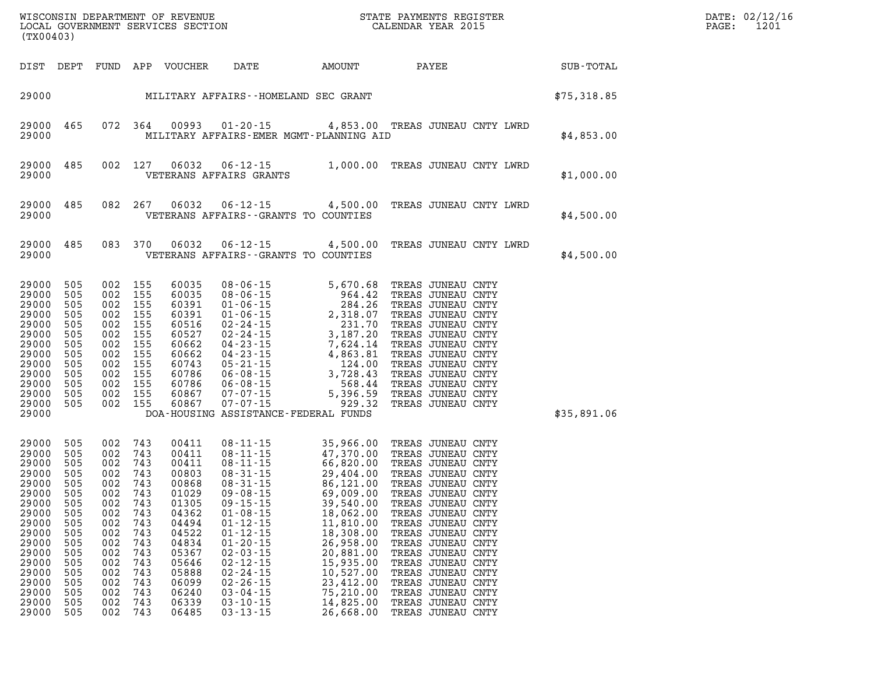|                                                                                                                                                                | LOCAL GOVERNMENT SERVICES SECTION<br>(TX00403)                                                                             |                                                                                                                            |                                                                                                                            |                                                                                                                                                                |                                                                                                                                                                                                                                                                                                                                  |                                                                                                                                                                                                                                                                                                                                                                                             |                                                                                                                                                                                                                                                                                                                                                                                        |             | DATE: 02/12/16<br>1201<br>PAGE: |
|----------------------------------------------------------------------------------------------------------------------------------------------------------------|----------------------------------------------------------------------------------------------------------------------------|----------------------------------------------------------------------------------------------------------------------------|----------------------------------------------------------------------------------------------------------------------------|----------------------------------------------------------------------------------------------------------------------------------------------------------------|----------------------------------------------------------------------------------------------------------------------------------------------------------------------------------------------------------------------------------------------------------------------------------------------------------------------------------|---------------------------------------------------------------------------------------------------------------------------------------------------------------------------------------------------------------------------------------------------------------------------------------------------------------------------------------------------------------------------------------------|----------------------------------------------------------------------------------------------------------------------------------------------------------------------------------------------------------------------------------------------------------------------------------------------------------------------------------------------------------------------------------------|-------------|---------------------------------|
| DIST DEPT                                                                                                                                                      |                                                                                                                            | FUND                                                                                                                       |                                                                                                                            | APP VOUCHER                                                                                                                                                    | DATE                                                                                                                                                                                                                                                                                                                             | AMOUNT                                                                                                                                                                                                                                                                                                                                                                                      | PAYEE                                                                                                                                                                                                                                                                                                                                                                                  | SUB-TOTAL   |                                 |
| 29000                                                                                                                                                          |                                                                                                                            |                                                                                                                            |                                                                                                                            |                                                                                                                                                                | MILITARY AFFAIRS--HOMELAND SEC GRANT                                                                                                                                                                                                                                                                                             |                                                                                                                                                                                                                                                                                                                                                                                             |                                                                                                                                                                                                                                                                                                                                                                                        | \$75,318.85 |                                 |
| 29000<br>29000                                                                                                                                                 | 465                                                                                                                        |                                                                                                                            | 072 364                                                                                                                    | 00993                                                                                                                                                          | $01 - 20 - 15$                                                                                                                                                                                                                                                                                                                   | MILITARY AFFAIRS-EMER MGMT-PLANNING AID                                                                                                                                                                                                                                                                                                                                                     | 4,853.00 TREAS JUNEAU CNTY LWRD                                                                                                                                                                                                                                                                                                                                                        | \$4,853.00  |                                 |
| 29000<br>29000                                                                                                                                                 | 485                                                                                                                        | 002                                                                                                                        | 127                                                                                                                        | 06032                                                                                                                                                          | VETERANS AFFAIRS GRANTS                                                                                                                                                                                                                                                                                                          | 06-12-15 1,000.00 TREAS JUNEAU CNTY LWRD                                                                                                                                                                                                                                                                                                                                                    |                                                                                                                                                                                                                                                                                                                                                                                        | \$1,000.00  |                                 |
| 29000<br>29000                                                                                                                                                 | 485                                                                                                                        | 082                                                                                                                        | 267                                                                                                                        | 06032                                                                                                                                                          | $06 - 12 - 15$<br>VETERANS AFFAIRS -- GRANTS TO COUNTIES                                                                                                                                                                                                                                                                         | 4,500.00                                                                                                                                                                                                                                                                                                                                                                                    | TREAS JUNEAU CNTY LWRD                                                                                                                                                                                                                                                                                                                                                                 | \$4,500.00  |                                 |
| 29000<br>29000                                                                                                                                                 | 485                                                                                                                        | 083                                                                                                                        | 370                                                                                                                        | 06032                                                                                                                                                          | $06 - 12 - 15$<br>VETERANS AFFAIRS -- GRANTS TO COUNTIES                                                                                                                                                                                                                                                                         | 4,500.00                                                                                                                                                                                                                                                                                                                                                                                    | TREAS JUNEAU CNTY LWRD                                                                                                                                                                                                                                                                                                                                                                 | \$4,500.00  |                                 |
| 29000<br>29000<br>29000<br>29000<br>29000<br>29000<br>29000<br>29000<br>29000<br>29000<br>29000<br>29000<br>29000<br>29000                                     | 505<br>505<br>505<br>505<br>505<br>505<br>505<br>505<br>505<br>505<br>505<br>505<br>505                                    | 002<br>002<br>002 155<br>002<br>002<br>002<br>002<br>002<br>002<br>002<br>002<br>002<br>002                                | 155<br>155<br>155<br>155<br>155<br>155<br>155<br>155<br>155<br>155<br>155<br>155                                           | 60035<br>60035<br>60391<br>60391<br>60516<br>60527<br>60662<br>60662<br>60743<br>60786<br>60786<br>60867<br>60867                                              | 07-07-15<br>$07 - 07 - 15$<br>DOA-HOUSING ASSISTANCE-FEDERAL FUNDS                                                                                                                                                                                                                                                               | $\begin{array}{cccc} 08\texttt{-}06\texttt{-}15 & 5\texttt{,}670\texttt{-}68 \\ 08\texttt{-}06\texttt{-}15 & 964\texttt{-}42 \\ 01\texttt{-}06\texttt{-}15 & 284\texttt{-}26 \\ 01\texttt{-}06\texttt{-}15 & 2,318\texttt{-}07 \\ 02\texttt{-}24\texttt{-}15 & 3,187\texttt{-}20 \\ 04\texttt{-}23\texttt{-}15 & 4,863\texttt{-}81 \\ 05\texttt{-}21\texttt{-}15 & 3$<br>5,396.59<br>929.32 | TREAS JUNEAU CNTY<br>TREAS JUNEAU CNTY<br>TREAS JUNEAU CNTY<br>TREAS JUNEAU CNTY<br>TREAS JUNEAU CNTY<br>TREAS JUNEAU CNTY<br>TREAS JUNEAU CNTY<br>TREAS JUNEAU CNTY<br>TREAS JUNEAU CNTY<br>TREAS JUNEAU CNTY<br>TREAS JUNEAU CNTY<br>TREAS JUNEAU CNTY<br>TREAS JUNEAU CNTY                                                                                                          | \$35,891.06 |                                 |
| 29000<br>29000<br>29000<br>29000<br>29000<br>29000<br>29000<br>29000<br>29000<br>29000<br>29000<br>29000<br>29000<br>29000<br>29000<br>29000<br>29000<br>29000 | 505<br>505<br>505<br>505<br>505<br>505<br>505<br>505<br>505<br>505<br>505<br>505<br>505<br>505<br>505<br>505<br>505<br>505 | 002<br>002<br>002<br>002<br>002<br>002<br>002<br>002<br>002<br>002<br>002<br>002<br>002<br>002<br>002<br>002<br>002<br>002 | 743<br>743<br>743<br>743<br>743<br>743<br>743<br>743<br>743<br>743<br>743<br>743<br>743<br>743<br>743<br>743<br>743<br>743 | 00411<br>00411<br>00411<br>00803<br>00868<br>01029<br>01305<br>04362<br>04494<br>04522<br>04834<br>05367<br>05646<br>05888<br>06099<br>06240<br>06339<br>06485 | $08 - 11 - 15$<br>$08 - 11 - 15$<br>$08 - 11 - 15$<br>$08 - 31 - 15$<br>$08 - 31 - 15$<br>$09 - 08 - 15$<br>$09 - 15 - 15$<br>$01 - 08 - 15$<br>$01 - 12 - 15$<br>$01 - 12 - 15$<br>$01 - 20 - 15$<br>$02 - 03 - 15$<br>$02 - 12 - 15$<br>$02 - 24 - 15$<br>$02 - 26 - 15$<br>$03 - 04 - 15$<br>$03 - 10 - 15$<br>$03 - 13 - 15$ | 35,966.00<br>47,370.00<br>$66, 820$<br>29,404.00<br>86,121.00<br>69,009.00<br>20,540.0<br>39,540.00<br>18,062.00<br>11,810.00<br>18,308.00<br>26,958.00<br>20,881.00<br>15,935.00<br>10,527.00<br>23,412.00<br>75,210.00<br>14,825.00<br>26,668.00                                                                                                                                          | TREAS JUNEAU CNTY<br>TREAS JUNEAU CNTY<br>TREAS JUNEAU CNTY<br>TREAS JUNEAU CNTY<br>TREAS JUNEAU CNTY<br>TREAS JUNEAU CNTY<br>TREAS JUNEAU CNTY<br>TREAS JUNEAU CNTY<br>TREAS JUNEAU CNTY<br>TREAS JUNEAU CNTY<br>TREAS JUNEAU CNTY<br>TREAS JUNEAU CNTY<br>TREAS JUNEAU CNTY<br>TREAS JUNEAU CNTY<br>TREAS JUNEAU CNTY<br>TREAS JUNEAU CNTY<br>TREAS JUNEAU CNTY<br>TREAS JUNEAU CNTY |             |                                 |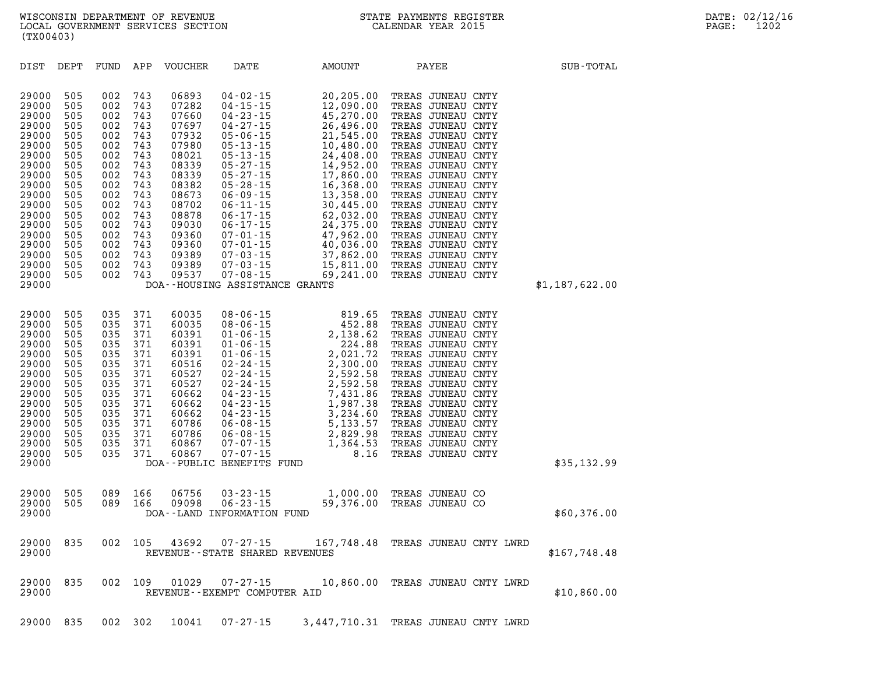| 505<br>29000<br>505<br>29000<br>29000<br>505<br>29000<br>505<br>29000<br>505<br>29000<br>505<br>29000<br>505<br>29000<br>505<br>29000<br>505<br>29000<br>505<br>29000<br>505<br>29000<br>505<br>29000<br>505<br>29000<br>505<br>29000<br>505<br>29000<br>505<br>29000<br>505<br>29000<br>505<br>29000 | 002<br>743<br>002<br>743<br>002<br>743<br>002<br>743<br>743<br>002<br>002<br>743<br>002<br>743<br>743<br>002<br>002<br>743<br>743<br>002<br>002<br>743<br>743<br>002<br>002<br>743<br>002<br>743<br>002<br>743<br>743<br>002<br>743<br>002<br>002<br>743 | 07282<br>$04 - 15 - 15$<br>07660<br>$04 - 23 - 15$<br>07697<br>$04 - 27 - 15$<br>$05 - 06 - 15$<br>07932<br>07980<br>$05 - 13 - 15$<br>08021<br>$05 - 13 - 15$<br>08339<br>$05 - 27 - 15$<br>08339<br>$05 - 27 - 15$<br>08382<br>$05 - 28 - 15$<br>08673<br>$06 - 09 - 15$<br>08702<br>$06 - 11 - 15$<br>08878<br>$06 - 17 - 15$<br>$06 - 17 - 15$<br>09030<br>$07 - 01 - 15$<br>09360<br>09360<br>$07 - 01 - 15$<br>09389<br>$07 - 03 - 15$<br>09389<br>$07 - 03 - 15$<br>$07 - 08 - 15$<br>09537<br>DOA--HOUSING ASSISTANCE GRANTS | 12,090.00<br>45,270.00<br>26,496.00<br>21,545.00<br>10,480.00<br>24,408.00<br>14,952.00<br>17,860.00<br>16,368.00<br>13,358.00<br>30,445.00<br>62,032.00<br>24,375.00<br>47,962.00<br>40,036.00<br>37,862.00<br>15,811.00<br>69,241.00 | TREAS JUNEAU CNTY<br>TREAS JUNEAU CNTY<br>TREAS JUNEAU CNTY<br>TREAS JUNEAU CNTY<br>TREAS JUNEAU CNTY<br>TREAS JUNEAU CNTY<br>TREAS JUNEAU CNTY<br>TREAS JUNEAU CNTY<br>TREAS JUNEAU CNTY<br>TREAS JUNEAU CNTY<br>TREAS JUNEAU CNTY<br>TREAS JUNEAU CNTY<br>TREAS JUNEAU CNTY<br>TREAS JUNEAU CNTY<br>TREAS JUNEAU CNTY<br>TREAS JUNEAU CNTY<br>TREAS JUNEAU CNTY<br>TREAS JUNEAU CNTY | \$1,187,622.00 |
|-------------------------------------------------------------------------------------------------------------------------------------------------------------------------------------------------------------------------------------------------------------------------------------------------------|----------------------------------------------------------------------------------------------------------------------------------------------------------------------------------------------------------------------------------------------------------|--------------------------------------------------------------------------------------------------------------------------------------------------------------------------------------------------------------------------------------------------------------------------------------------------------------------------------------------------------------------------------------------------------------------------------------------------------------------------------------------------------------------------------------|----------------------------------------------------------------------------------------------------------------------------------------------------------------------------------------------------------------------------------------|----------------------------------------------------------------------------------------------------------------------------------------------------------------------------------------------------------------------------------------------------------------------------------------------------------------------------------------------------------------------------------------|----------------|
| 29000<br>505<br>29000<br>505<br>29000<br>505<br>29000<br>505<br>29000<br>505<br>29000<br>505<br>29000<br>505<br>29000<br>505<br>29000<br>505<br>29000<br>505<br>29000<br>505<br>29000<br>505<br>29000<br>505<br>29000<br>505<br>29000<br>505<br>29000                                                 | 035<br>371<br>035<br>371<br>035<br>371<br>035<br>371<br>371<br>035<br>035<br>371<br>371<br>035<br>035<br>371<br>035<br>371<br>035<br>371<br>371<br>035<br>035<br>371<br>035<br>371<br>371<br>035<br>035<br>371                                           | 60035<br>$08 - 06 - 15$<br>60035<br>$08 - 06 - 15$<br>60391<br>$01 - 06 - 15$<br>60391<br>$01 - 06 - 15$<br>60391<br>$01 - 06 - 15$<br>$02 - 24 - 15$<br>60516<br>60527<br>$02 - 24 - 15$<br>60527<br>$02 - 24 - 15$<br>60662<br>$04 - 23 - 15$<br>$04 - 23 - 15$<br>60662<br>$04 - 23 - 15$<br>60662<br>$06 - 08 - 15$<br>60786<br>60786<br>$06 - 08 - 15$<br>60867<br>$07 - 07 - 15$<br>$07 - 07 - 15$<br>60867<br>DOA--PUBLIC BENEFITS FUND                                                                                       | 819.65<br>452.88<br>2,138.62<br>224.88<br>2,021.72<br>2,300.00<br>2,592.58<br>2,592.58<br>7,431.86<br>1,987.38<br>3,234.60<br>5, 133.57<br>2,829.98<br>1,364.53<br>8.16                                                                | TREAS JUNEAU CNTY<br>TREAS JUNEAU CNTY<br>TREAS JUNEAU CNTY<br>TREAS JUNEAU CNTY<br>TREAS JUNEAU CNTY<br>TREAS JUNEAU CNTY<br>TREAS JUNEAU CNTY<br>TREAS JUNEAU CNTY<br>TREAS JUNEAU CNTY<br>TREAS JUNEAU CNTY<br>TREAS JUNEAU CNTY<br>TREAS JUNEAU CNTY<br>TREAS JUNEAU CNTY<br>TREAS JUNEAU CNTY<br>TREAS JUNEAU CNTY                                                                | \$35,132.99    |
| 505<br>29000<br>29000<br>505<br>29000                                                                                                                                                                                                                                                                 | 089<br>166<br>089<br>166                                                                                                                                                                                                                                 | $03 - 23 - 15$<br>06756<br>$06 - 23 - 15$<br>09098<br>DOA--LAND INFORMATION FUND                                                                                                                                                                                                                                                                                                                                                                                                                                                     | 1,000.00<br>59,376.00                                                                                                                                                                                                                  | TREAS JUNEAU CO<br>TREAS JUNEAU CO                                                                                                                                                                                                                                                                                                                                                     | \$60,376.00    |
| 29000<br>835<br>29000                                                                                                                                                                                                                                                                                 | 002<br>105                                                                                                                                                                                                                                               | 43692<br>$07 - 27 - 15$<br>REVENUE - - STATE SHARED REVENUES                                                                                                                                                                                                                                                                                                                                                                                                                                                                         |                                                                                                                                                                                                                                        | 167,748.48 TREAS JUNEAU CNTY LWRD                                                                                                                                                                                                                                                                                                                                                      | \$167,748.48   |
| 29000<br>835<br>29000                                                                                                                                                                                                                                                                                 | 109<br>002                                                                                                                                                                                                                                               | 01029<br>$07 - 27 - 15$<br>REVENUE--EXEMPT COMPUTER AID                                                                                                                                                                                                                                                                                                                                                                                                                                                                              | 10,860.00                                                                                                                                                                                                                              | TREAS JUNEAU CNTY LWRD                                                                                                                                                                                                                                                                                                                                                                 | \$10,860.00    |

DIST DEPT FUND APP VOUCHER DATE AMOUNT PAYEE **PAYER** SUB-TOTAL

**29000 505 002 743 06893 04-02-15 20,205.00 TREAS JUNEAU CNTY** 

**29000 835 002 302 10041 07-27-15 3,447,710.31 TREAS JUNEAU CNTY LWRD** 

**WISCONSIN DEPARTMENT OF REVENUE STATE PAYMENTS REGISTER DATE: 02/12/16 LOCAL GOVERNMENT SERVICES SECTION CALENDAR YEAR 2015 PAGE: 1202 (TX00403)**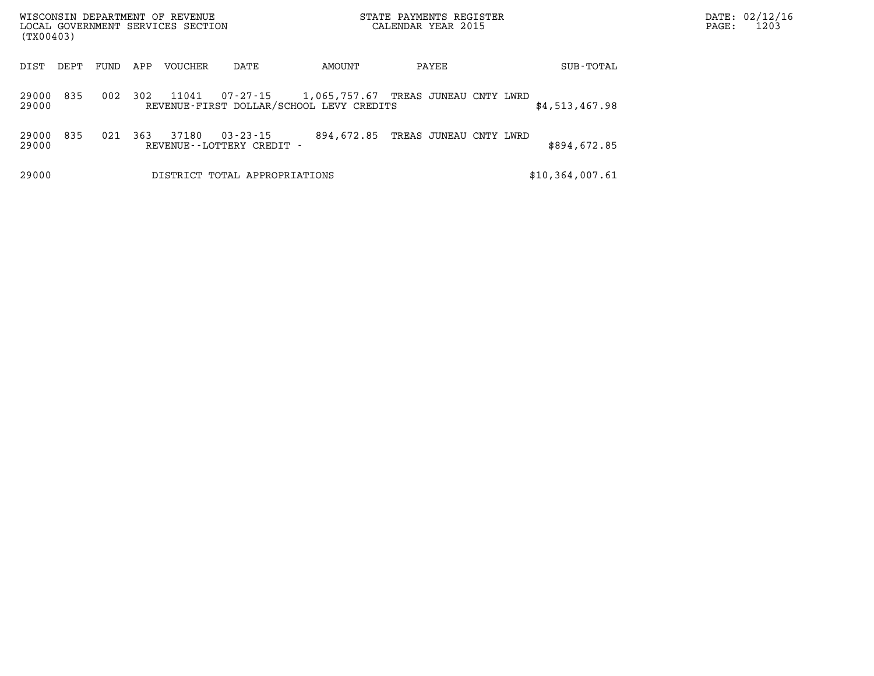| WISCONSIN DEPARTMENT OF REVENUE<br>LOCAL GOVERNMENT SERVICES SECTION<br>(TX00403) |      |      |     |         |                                             |                                                                                 | STATE PAYMENTS REGISTER<br>CALENDAR YEAR 2015 | PAGE:           | DATE: 02/12/16<br>1203 |  |
|-----------------------------------------------------------------------------------|------|------|-----|---------|---------------------------------------------|---------------------------------------------------------------------------------|-----------------------------------------------|-----------------|------------------------|--|
| DIST                                                                              | DEPT | FUND | APP | VOUCHER | DATE                                        | AMOUNT                                                                          | PAYEE                                         | SUB-TOTAL       |                        |  |
| 29000<br>29000                                                                    | 835  | 002  | 302 | 11041   | 07-27-15                                    | 1,065,757.67 TREAS JUNEAU CNTY LWRD<br>REVENUE-FIRST DOLLAR/SCHOOL LEVY CREDITS |                                               | \$4,513,467.98  |                        |  |
| 29000<br>29000                                                                    | 835  | 021  | 363 | 37180   | $03 - 23 - 15$<br>REVENUE--LOTTERY CREDIT - | 894,672.85                                                                      | TREAS JUNEAU CNTY LWRD                        | \$894,672.85    |                        |  |
| 29000                                                                             |      |      |     |         | DISTRICT TOTAL APPROPRIATIONS               |                                                                                 |                                               | \$10,364,007.61 |                        |  |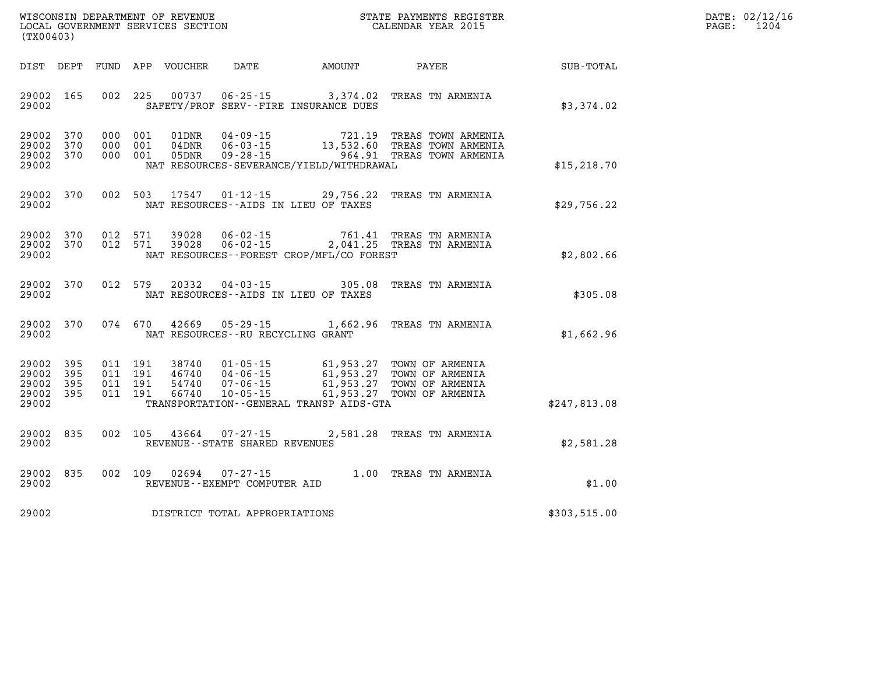| WISCONSIN DEPARTMENT OF REVENUE      | PAYMENTS REGISTER<br>3TATE | DATE: | 02/12/16 |
|--------------------------------------|----------------------------|-------|----------|
| GOVERNMENT SERVICES SECTION<br>LOCAL | CALENDAR YEAR 2015         | PAGE  | 1204     |

| LOCAL GOVERNMENT SERVICES SECTION<br>(TX00403)                        | CALENDAR YEAR 2015                                                                                                                                                                                                                                                                                                                                                                               |                                                                                                        | 1204<br>PAGE: |
|-----------------------------------------------------------------------|--------------------------------------------------------------------------------------------------------------------------------------------------------------------------------------------------------------------------------------------------------------------------------------------------------------------------------------------------------------------------------------------------|--------------------------------------------------------------------------------------------------------|---------------|
| DIST DEPT                                                             | FUND APP VOUCHER                                                                                                                                                                                                                                                                                                                                                                                 | DATE AMOUNT PAYEE<br>SUB-TOTAL                                                                         |               |
| 29002 165<br>002 225<br>29002                                         | 00737  06-25-15  3,374.02  TREAS TN ARMENIA<br>SAFETY/PROF SERV--FIRE INSURANCE DUES                                                                                                                                                                                                                                                                                                             | \$3,374.02                                                                                             |               |
| 29002 370<br>000 001<br>29002<br>370<br>000 001<br>29002 370<br>29002 | 04-09-15<br>01DNR<br>$04\,\text{DNR}$ $06 - 03 - 15$<br>$09 - 28 - 15$<br>000 001 05DNR<br>NAT RESOURCES-SEVERANCE/YIELD/WITHDRAWAL                                                                                                                                                                                                                                                              | 721.19 TREAS TOWN ARMENIA<br>13,532.60 TREAS TOWN ARMENIA<br>964.91 TREAS TOWN ARMENIA<br>\$15, 218.70 |               |
| 29002 370<br>29002                                                    | 002 503 17547 01-12-15<br>NAT RESOURCES--AIDS IN LIEU OF TAXES                                                                                                                                                                                                                                                                                                                                   | 29,756.22 TREAS TN ARMENIA<br>\$29,756.22                                                              |               |
| 29002 370<br>012 571<br>29002 370<br>012 571<br>29002                 | 39028<br>$06 - 02 - 15$<br>06-02-15 2,041.25 TREAS TN ARMENIA<br>39028<br>NAT RESOURCES--FOREST CROP/MFL/CO FOREST                                                                                                                                                                                                                                                                               | 761.41 TREAS TN ARMENIA<br>\$2,802.66                                                                  |               |
| 29002<br>370<br>012 579<br>29002                                      | 305.08<br>20332<br>$04 - 03 - 15$<br>NAT RESOURCES--AIDS IN LIEU OF TAXES                                                                                                                                                                                                                                                                                                                        | TREAS TN ARMENIA<br>\$305.08                                                                           |               |
| 370<br>29002<br>29002                                                 | 074 670 42669<br>$05 - 29 - 15$ 1,662.96<br>NAT RESOURCES--RU RECYCLING GRANT                                                                                                                                                                                                                                                                                                                    | TREAS TN ARMENIA<br>\$1,662.96                                                                         |               |
| 395<br>29002<br>29002<br>395<br>29002<br>395<br>29002 395<br>29002    | $\begin{array}{cccc} 011 & 191 & 38740 & 01\cdot 05\cdot 15 & 61,953.27 & \text{TOWN OF ARMENIA} \\ 011 & 191 & 46740 & 04\cdot 06\cdot 15 & 61,953.27 & \text{TOWN OF ARMENIA} \\ 011 & 191 & 54740 & 07\cdot 06\cdot 15 & 61,953.27 & \text{TOWN OF ARMENIA} \\ 011 & 191 & 66740 & 10\cdot 05\cdot 15 & 61,953.27 & \text{TOWN OF ARMENIA} \$<br>TRANSPORTATION - - GENERAL TRANSP AIDS - GTA | \$247,813.08                                                                                           |               |
| 29002<br>835<br>002 105<br>29002                                      | 43664<br>$07 - 27 - 15$<br>REVENUE - - STATE SHARED REVENUES                                                                                                                                                                                                                                                                                                                                     | 2,581.28 TREAS TN ARMENIA<br>\$2,581.28                                                                |               |
| 835<br>002 109<br>29002<br>29002                                      | 02694<br>$07 - 27 - 15$<br>REVENUE--EXEMPT COMPUTER AID                                                                                                                                                                                                                                                                                                                                          | 1.00 TREAS TN ARMENIA<br>\$1.00                                                                        |               |
| 29002                                                                 | DISTRICT TOTAL APPROPRIATIONS                                                                                                                                                                                                                                                                                                                                                                    | \$303,515.00                                                                                           |               |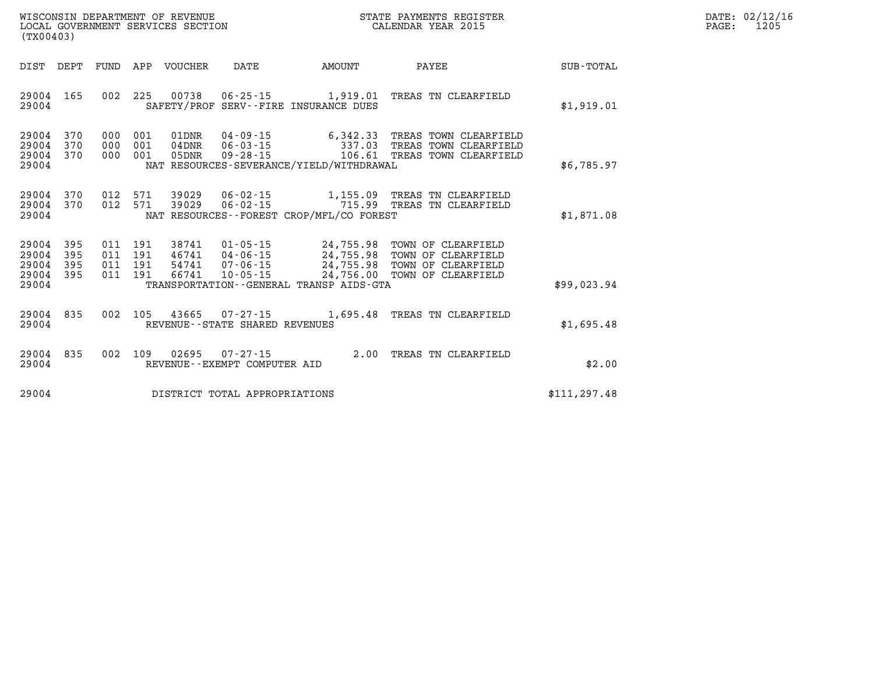| WISCONSIN DEPARTMENT OF REVENUE   | STATE PAYMENTS REGISTER | 02/12/16<br>DATE: |
|-----------------------------------|-------------------------|-------------------|
| LOCAL GOVERNMENT SERVICES SECTION | CALENDAR YEAR 2015      | 1205<br>PAGE      |

| (TX00403)                                                             |                          |                                                              |                                                                      |                                                                                |                                                                                                |               |
|-----------------------------------------------------------------------|--------------------------|--------------------------------------------------------------|----------------------------------------------------------------------|--------------------------------------------------------------------------------|------------------------------------------------------------------------------------------------|---------------|
| DIST<br>DEPT                                                          | <b>FUND</b>              | <b>VOUCHER</b><br>APP                                        | DATE                                                                 | AMOUNT                                                                         | PAYEE                                                                                          | SUB-TOTAL     |
| 165<br>29004<br>29004                                                 | 002                      | 225<br>00738                                                 | $06 - 25 - 15$                                                       | 1,919.01<br>SAFETY/PROF SERV--FIRE INSURANCE DUES                              | TREAS TN CLEARFIELD                                                                            | \$1,919.01    |
| 29004<br>370<br>29004<br>370<br>29004<br>370<br>29004                 | 000<br>000<br>000        | 001<br>01DNR<br>001<br>04DNR<br>001<br>05DNR                 | $04 - 09 - 15$<br>$06 - 03 - 15$<br>$09 - 28 - 15$                   | 6,342.33<br>337.03<br>106.61<br>NAT RESOURCES-SEVERANCE/YIELD/WITHDRAWAL       | TREAS TOWN CLEARFIELD<br>TREAS TOWN CLEARFIELD<br>TREAS TOWN CLEARFIELD                        | \$6,785.97    |
| 370<br>29004<br>29004<br>370<br>29004                                 | 012<br>012               | 571<br>39029<br>571<br>39029                                 | $06 - 02 - 15$<br>$06 - 02 - 15$                                     | 715.99<br>NAT RESOURCES - - FOREST CROP/MFL/CO FOREST                          | 1,155.09 TREAS TN CLEARFIELD<br>TREAS TN CLEARFIELD                                            | \$1,871.08    |
| 29004<br>395<br>29004<br>395<br>29004<br>395<br>29004<br>395<br>29004 | 011<br>011<br>011<br>011 | 191<br>38741<br>191<br>46741<br>54741<br>191<br>66741<br>191 | $01 - 05 - 15$<br>$04 - 06 - 15$<br>$07 - 06 - 15$<br>$10 - 05 - 15$ | 24,755.98<br>24,755.98<br>24,756.00<br>TRANSPORTATION--GENERAL TRANSP AIDS-GTA | TOWN OF CLEARFIELD<br>24,755.98 TOWN OF CLEARFIELD<br>TOWN OF CLEARFIELD<br>TOWN OF CLEARFIELD | \$99.023.94   |
| 835<br>29004<br>29004                                                 | 002                      | 105<br>43665                                                 | $07 - 27 - 15$<br>REVENUE - - STATE SHARED REVENUES                  | 1,695.48                                                                       | TREAS TN CLEARFIELD                                                                            | \$1,695.48    |
| 835<br>29004<br>29004                                                 | 002                      | 02695<br>109                                                 | $07 - 27 - 15$<br>REVENUE - - EXEMPT COMPUTER AID                    | 2.00                                                                           | TREAS TN CLEARFIELD                                                                            | \$2.00        |
| 29004                                                                 |                          |                                                              | DISTRICT TOTAL APPROPRIATIONS                                        |                                                                                |                                                                                                | \$111, 297.48 |

WISCONSIN DEPARTMENT OF REVENUE **STATE PAYMENTS REGISTER** LOCAL GOVERNMENT SERVICES SECTION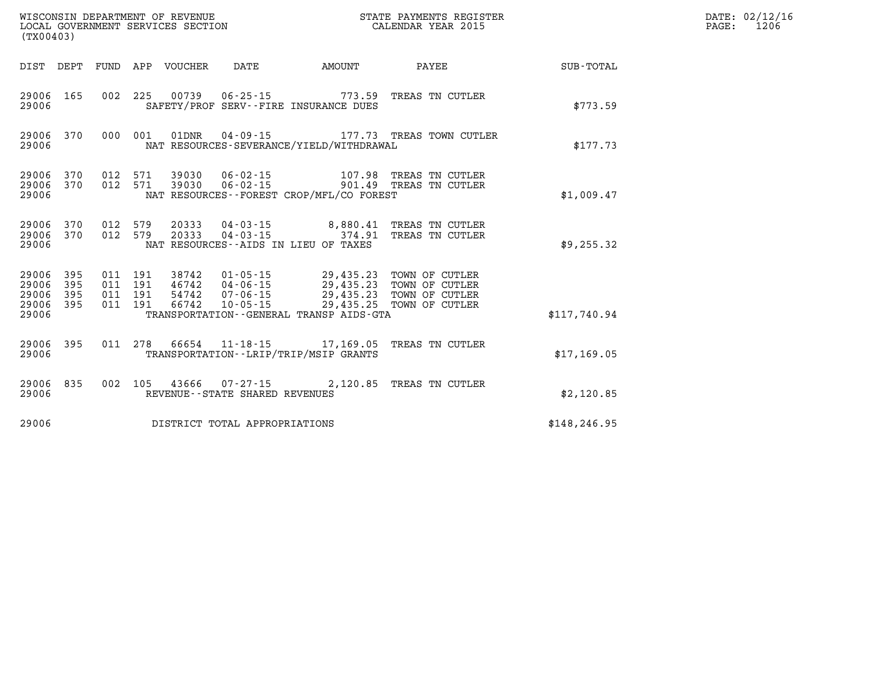| (TX00403)                                         |                        |         |                  |                                                             | %WISCONSIN DEPARTMENT OF REVENUE $$\tt STATE~PAYMENTS~REGISTER$ LOCAL GOVERNMENT SERVICES SECTION $$\tt CALENDAR~YEAR~2015$ |                                                                                                                                                       |               | DATE: 02/12/16<br>$\mathtt{PAGE:}$<br>1206 |
|---------------------------------------------------|------------------------|---------|------------------|-------------------------------------------------------------|-----------------------------------------------------------------------------------------------------------------------------|-------------------------------------------------------------------------------------------------------------------------------------------------------|---------------|--------------------------------------------|
| DIST DEPT                                         |                        |         | FUND APP VOUCHER | DATE                                                        | <b>EXAMPLE TO AMOUNT</b>                                                                                                    | <b>PAYEE</b>                                                                                                                                          | SUB-TOTAL     |                                            |
| 29006                                             | 29006 165              |         |                  |                                                             | SAFETY/PROF SERV--FIRE INSURANCE DUES                                                                                       | 002 225 00739 06-25-15 773.59 TREAS TN CUTLER                                                                                                         | \$773.59      |                                            |
| 29006                                             | 29006 370              | 000 001 |                  |                                                             | NAT RESOURCES-SEVERANCE/YIELD/WITHDRAWAL                                                                                    |                                                                                                                                                       | \$177.73      |                                            |
| 29006                                             | 29006 370<br>29006 370 |         |                  |                                                             | NAT RESOURCES - - FOREST CROP/MFL/CO FOREST                                                                                 | 012 571 39030 06-02-15 107.98 TREAS TN CUTLER<br>012 571 39030 06-02-15 901.49 TREAS TN CUTLER                                                        | \$1,009.47    |                                            |
| 29006 370<br>29006                                | 29006 370              |         |                  |                                                             | NAT RESOURCES--AIDS IN LIEU OF TAXES                                                                                        | $0.12$ 579 20333 $0.4 - 0.3 - 15$ 8,880.41 TREAS TN CUTLER<br>$0.12$ 579 20333 04-03-15 374.91 TREAS TN CUTLER                                        | \$9,255.32    |                                            |
| 29006 395<br>29006<br>29006<br>29006 395<br>29006 | 395<br>395             |         |                  |                                                             | 011 191 38742 01-05-15 29,435.23 TOWN OF CUTLER<br>TRANSPORTATION - - GENERAL TRANSP AIDS - GTA                             | 011 191 46742 04-06-15 29,435.23 TOWN OF CUTLER<br>011 191 54742 07-06-15 29,435.23 TOWN OF CUTLER<br>011 191 66742 10-05-15 29,435.25 TOWN OF CUTLER | \$117,740.94  |                                            |
| 29006                                             | 29006 395              |         |                  |                                                             | TRANSPORTATION - - LRIP/TRIP/MSIP GRANTS                                                                                    | 011 278 66654 11-18-15 17,169.05 TREAS TN CUTLER                                                                                                      | \$17,169.05   |                                            |
| 29006 835<br>29006                                |                        |         |                  | 002 105 43666 07-27-15<br>REVENUE - - STATE SHARED REVENUES |                                                                                                                             | 2,120.85 TREAS TN CUTLER                                                                                                                              | \$2,120.85    |                                            |
| 29006                                             |                        |         |                  | DISTRICT TOTAL APPROPRIATIONS                               |                                                                                                                             |                                                                                                                                                       | \$148, 246.95 |                                            |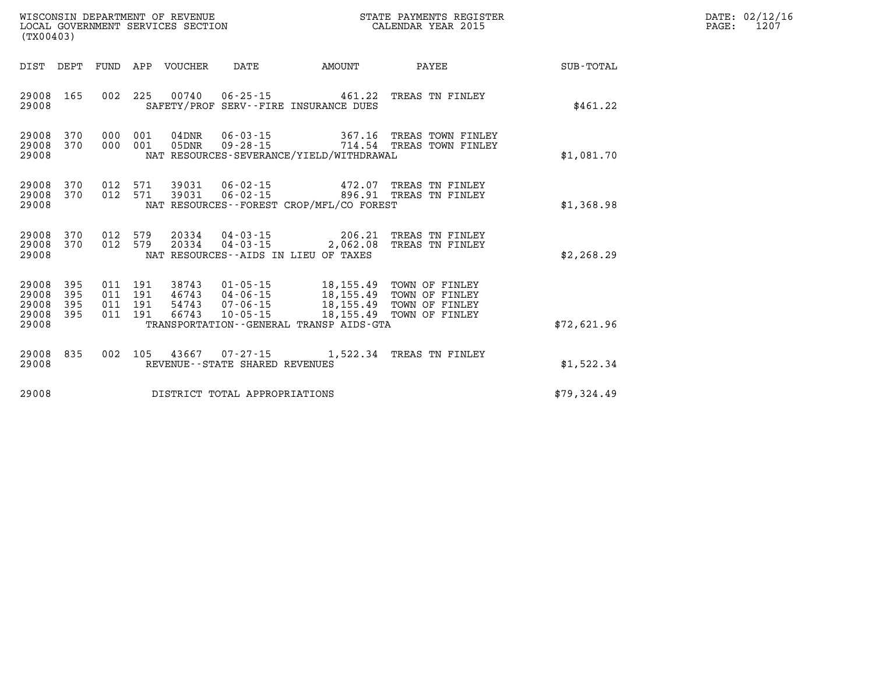| WISCONSIN DEPARTMENT OF REVENUE   | STATE PAYMENTS REGISTER |      | DATE: 02/12/16 |
|-----------------------------------|-------------------------|------|----------------|
| LOCAL GOVERNMENT SERVICES SECTION | CALENDAR YEAR 2015      | PAGE | 1207           |

| LOCAL GOVERNMENT SERVICES SECTION<br>(TX00403)                                                                          |                                                                                                                                         |        | CALENDAR YEAR 2015                                                                                           |             | PAGE: | 1207 |
|-------------------------------------------------------------------------------------------------------------------------|-----------------------------------------------------------------------------------------------------------------------------------------|--------|--------------------------------------------------------------------------------------------------------------|-------------|-------|------|
| DIST DEPT<br>FUND APP VOUCHER                                                                                           | DATE                                                                                                                                    | AMOUNT | PAYEE                                                                                                        | SUB-TOTAL   |       |      |
| 002 225<br>29008<br>165<br>29008                                                                                        | 00740  06-25-15  461.22  TREAS TN FINLEY<br>SAFETY/PROF SERV--FIRE INSURANCE DUES                                                       |        |                                                                                                              | \$461.22    |       |      |
| 29008<br>370<br>000<br>001<br>29008<br>370<br>000 001<br>29008                                                          | 04DNR<br>05DNR<br>NAT RESOURCES-SEVERANCE/YIELD/WITHDRAWAL                                                                              |        |                                                                                                              | \$1,081.70  |       |      |
| 29008<br>370<br>012 571<br>012 571<br>29008<br>370<br>29008                                                             | 39031  06-02-15  472.07  TREAS TN FINLEY<br>39031  06-02-15  896.91  TREAS TN FINLEY<br>NAT RESOURCES - - FOREST CROP/MFL/CO FOREST     |        |                                                                                                              | \$1,368.98  |       |      |
| 29008<br>370<br>012 579<br>012 579<br>29008<br>370<br>29008                                                             | 20334  04-03-15  206.21  TREAS TN FINLEY<br>20334<br>NAT RESOURCES--AIDS IN LIEU OF TAXES                                               |        | 04-03-15 2,062.08 TREAS TN FINLEY                                                                            | \$2,268.29  |       |      |
| 29008<br>395<br>011 191<br>29008<br>395<br>011<br>191<br>29008<br>395<br>011<br>191<br>29008<br>395<br>011 191<br>29008 | $01 - 05 - 15$<br>38743<br>46743<br>04-06-15<br>54743<br>07-06-15<br>66743<br>$10 - 05 - 15$<br>TRANSPORTATION--GENERAL TRANSP AIDS-GTA |        | 18,155.49 TOWN OF FINLEY<br>18,155.49 TOWN OF FINLEY<br>18,155.49 TOWN OF FINLEY<br>18,155.49 TOWN OF FINLEY | \$72,621.96 |       |      |
| 29008<br>835                                                                                                            | 002 105 43667 07-27-15 1,522.34 TREAS TN FINLEY                                                                                         |        |                                                                                                              |             |       |      |
| 29008                                                                                                                   | REVENUE--STATE SHARED REVENUES                                                                                                          |        |                                                                                                              | \$1,522.34  |       |      |
| 29008                                                                                                                   | DISTRICT TOTAL APPROPRIATIONS                                                                                                           |        |                                                                                                              | \$79,324.49 |       |      |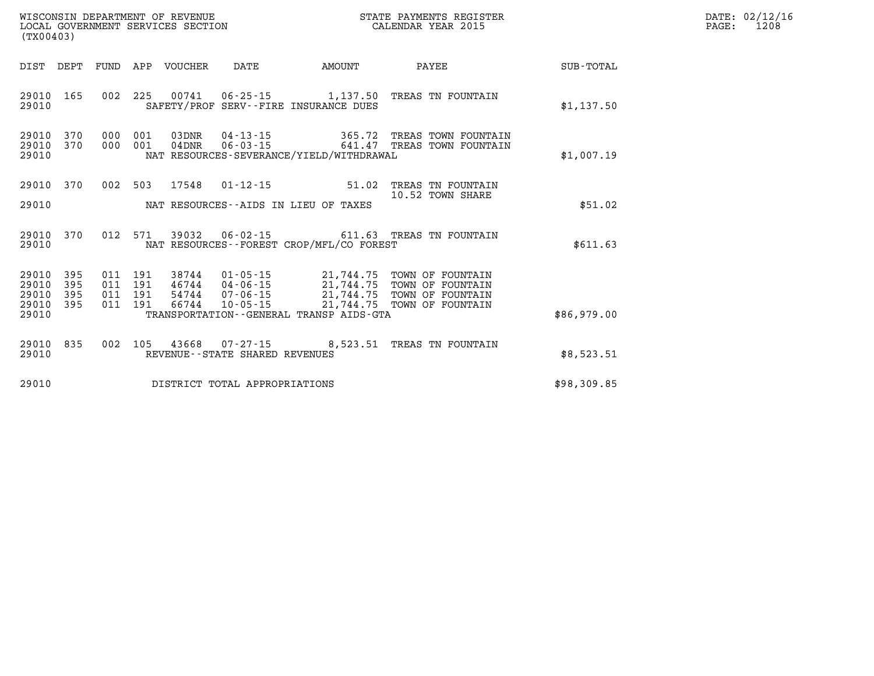| DATE: | 02/12/16 |
|-------|----------|
| PAGE: | 1208     |

| (TX00403)                                 |                          |                          |                          | WISCONSIN DEPARTMENT OF REVENUE<br>LOCAL GOVERNMENT SERVICES SECTION |                                                                      |                                                                                | STATE PAYMENTS REGISTER<br>CALENDAR YEAR 2015                                          |             |
|-------------------------------------------|--------------------------|--------------------------|--------------------------|----------------------------------------------------------------------|----------------------------------------------------------------------|--------------------------------------------------------------------------------|----------------------------------------------------------------------------------------|-------------|
| DIST                                      | DEPT                     | FUND                     | APP                      | VOUCHER                                                              | DATE                                                                 | AMOUNT                                                                         | PAYEE                                                                                  | SUB-TOTAL   |
| 29010<br>29010                            | 165                      | 002                      | 225                      | 00741                                                                |                                                                      | $06 - 25 - 15$ 1, 137.50<br>SAFETY/PROF SERV--FIRE INSURANCE DUES              | TREAS TN FOUNTAIN                                                                      | \$1,137.50  |
| 29010<br>29010<br>29010                   | 370<br>370               | 000<br>000               | 001<br>001               | 03DNR<br>$04$ DNR                                                    | $04 - 13 - 15$<br>$06 - 03 - 15$                                     | 365.72<br>641.47<br>NAT RESOURCES-SEVERANCE/YIELD/WITHDRAWAL                   | TREAS TOWN FOUNTAIN<br>TREAS TOWN FOUNTAIN                                             | \$1,007.19  |
| 29010<br>29010                            | 370                      | 002                      | 503                      | 17548                                                                | $01 - 12 - 15$                                                       | 51.02<br>NAT RESOURCES--AIDS IN LIEU OF TAXES                                  | TREAS TN FOUNTAIN<br>10.52 TOWN SHARE                                                  | \$51.02     |
| 29010<br>29010                            | 370                      | 012                      | 571                      | 39032                                                                | $06 - 02 - 15$                                                       | NAT RESOURCES - - FOREST CROP/MFL/CO FOREST                                    | 611.63 TREAS TN FOUNTAIN                                                               | \$611.63    |
| 29010<br>29010<br>29010<br>29010<br>29010 | 395<br>395<br>395<br>395 | 011<br>011<br>011<br>011 | 191<br>191<br>191<br>191 | 38744<br>46744<br>54744<br>66744                                     | $01 - 05 - 15$<br>$04 - 06 - 15$<br>$07 - 06 - 15$<br>$10 - 05 - 15$ | 21,744.75<br>21,744.75<br>21,744.75<br>TRANSPORTATION--GENERAL TRANSP AIDS-GTA | 21,744.75 TOWN OF FOUNTAIN<br>TOWN OF FOUNTAIN<br>TOWN OF FOUNTAIN<br>TOWN OF FOUNTAIN | \$86,979.00 |
| 29010<br>29010                            | 835                      | 002                      | 105                      | 43668                                                                | REVENUE - - STATE SHARED REVENUES                                    | $07 - 27 - 15$ 8,523.51                                                        | TREAS TN FOUNTAIN                                                                      | \$8,523.51  |
| 29010                                     |                          |                          |                          |                                                                      | DISTRICT TOTAL APPROPRIATIONS                                        |                                                                                |                                                                                        | \$98,309.85 |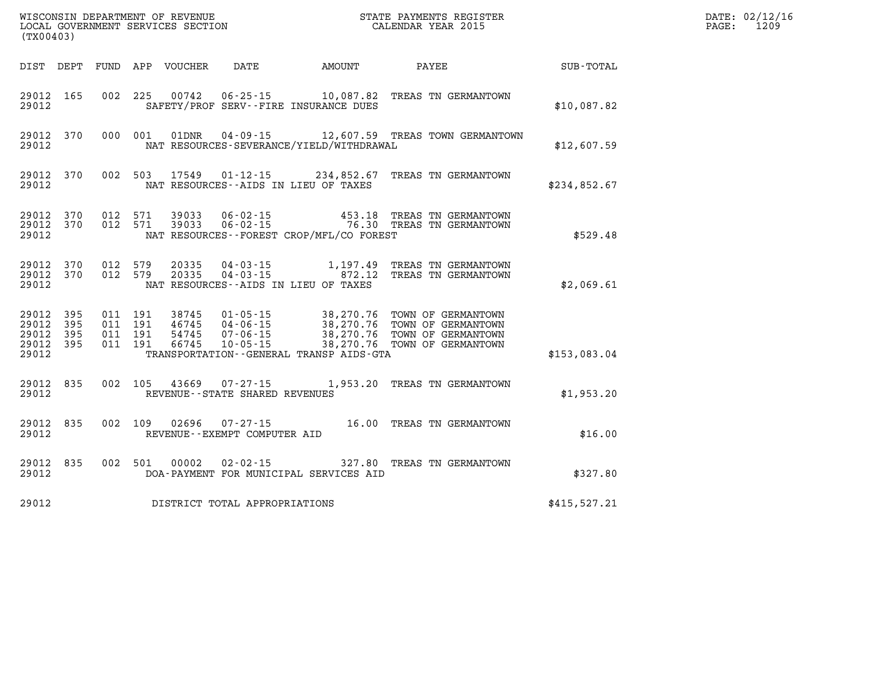| (TX00403)                                             |           |                                          |         |                                  |                                                  |                                          | % WISCONSIN DEPARTMENT OF REVENUE $$\tt SCATE$ PAYMENTS REGISTICAL GOVERNMENT SERVICES SECTION $$\tt CALENDAR$ YEAR 2015<br>STATE PAYMENTS REGISTER              |              | DATE: 02/12/16<br>PAGE:<br>1209 |
|-------------------------------------------------------|-----------|------------------------------------------|---------|----------------------------------|--------------------------------------------------|------------------------------------------|------------------------------------------------------------------------------------------------------------------------------------------------------------------|--------------|---------------------------------|
|                                                       |           |                                          |         | DIST DEPT FUND APP VOUCHER       |                                                  | DATE AMOUNT                              | <b>PAYEE</b>                                                                                                                                                     | SUB-TOTAL    |                                 |
| 29012 165<br>29012                                    |           |                                          | 002 225 |                                  |                                                  | SAFETY/PROF SERV--FIRE INSURANCE DUES    | 00742  06-25-15  10,087.82  TREAS TN GERMANTOWN                                                                                                                  | \$10,087.82  |                                 |
| 29012                                                 | 29012 370 |                                          | 000 001 | 01DNR                            |                                                  | NAT RESOURCES-SEVERANCE/YIELD/WITHDRAWAL | 04-09-15 12,607.59 TREAS TOWN GERMANTOWN                                                                                                                         | \$12,607.59  |                                 |
| 29012                                                 | 29012 370 |                                          | 002 503 |                                  |                                                  | NAT RESOURCES--AIDS IN LIEU OF TAXES     | 17549  01-12-15  234,852.67  TREAS TN GERMANTOWN                                                                                                                 | \$234,852.67 |                                 |
| 29012<br>29012 370<br>29012                           | 370       | 012 571<br>012 571                       |         |                                  |                                                  | NAT RESOURCES--FOREST CROP/MFL/CO FOREST |                                                                                                                                                                  | \$529.48     |                                 |
| 29012 370<br>29012                                    | 29012 370 | 012 579<br>012 579                       |         | 20335<br>20335                   |                                                  | NAT RESOURCES--AIDS IN LIEU OF TAXES     | 04-03-15 1,197.49 TREAS TN GERMANTOWN<br>04-03-15 072.12 TREAS TN GERMANTOWN                                                                                     | \$2,069.61   |                                 |
| 29012 395<br>29012<br>29012 395<br>29012 395<br>29012 | 395       | 011 191<br>011 191<br>011 191<br>011 191 |         | 38745<br>46745<br>54745<br>66745 |                                                  | TRANSPORTATION--GENERAL TRANSP AIDS-GTA  | 01-05-15 38,270.76 TOWN OF GERMANTOWN<br>04-06-15 38,270.76 TOWN OF GERMANTOWN<br>07-06-15 38,270.76 TOWN OF GERMANTOWN<br>10-05-15 38,270.76 TOWN OF GERMANTOWN | \$153,083.04 |                                 |
| 29012 835<br>29012                                    |           |                                          | 002 105 |                                  | 43669 07-27-15<br>REVENUE--STATE SHARED REVENUES |                                          | 1,953.20 TREAS TN GERMANTOWN                                                                                                                                     | \$1,953.20   |                                 |
| 29012 835<br>29012                                    |           |                                          | 002 109 |                                  | 02696 07-27-15<br>REVENUE--EXEMPT COMPUTER AID   |                                          | 16.00 TREAS TN GERMANTOWN                                                                                                                                        | \$16.00      |                                 |
| 29012<br>29012                                        | 835       |                                          | 002 501 | 00002                            | 02-02-15                                         | DOA-PAYMENT FOR MUNICIPAL SERVICES AID   | 327.80 TREAS TN GERMANTOWN                                                                                                                                       | \$327.80     |                                 |
| 29012                                                 |           |                                          |         |                                  | DISTRICT TOTAL APPROPRIATIONS                    |                                          |                                                                                                                                                                  | \$415,527.21 |                                 |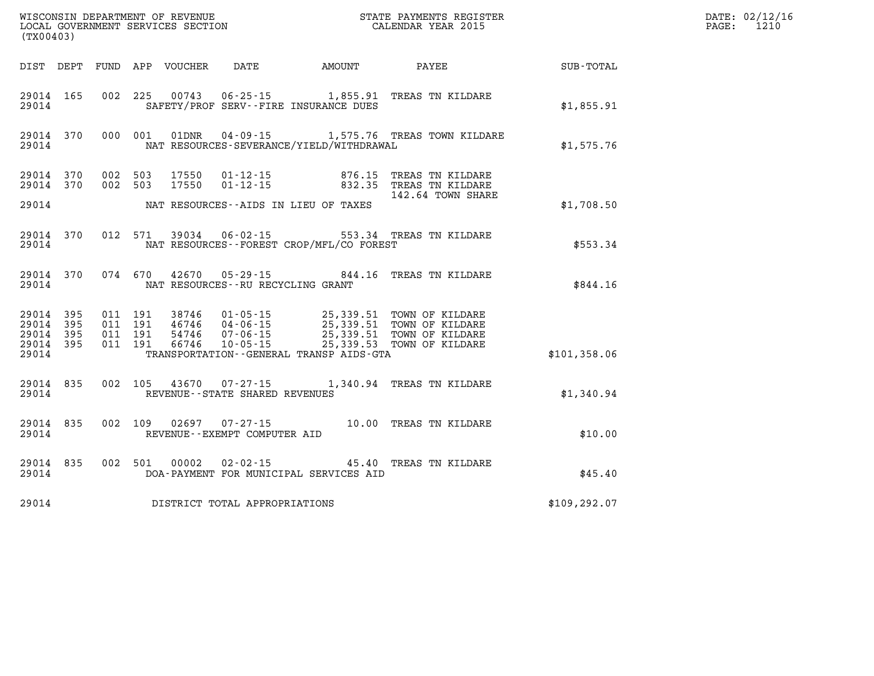| (TX00403)                                                 |           |                                          |         | WISCONSIN DEPARTMENT OF REVENUE<br>LOCAL GOVERNMENT SERVICES SECTION |                                                |                                              | STATE PAYMENTS REGISTER<br>CALENDAR YEAR 2015                                                                                                                                            |               | DATE: 02/12/16<br>1210<br>PAGE: |
|-----------------------------------------------------------|-----------|------------------------------------------|---------|----------------------------------------------------------------------|------------------------------------------------|----------------------------------------------|------------------------------------------------------------------------------------------------------------------------------------------------------------------------------------------|---------------|---------------------------------|
|                                                           |           |                                          |         | DIST DEPT FUND APP VOUCHER                                           | DATE                                           | AMOUNT                                       | PAYEE                                                                                                                                                                                    | SUB-TOTAL     |                                 |
| 29014 165<br>29014                                        |           |                                          |         |                                                                      |                                                | SAFETY/PROF SERV--FIRE INSURANCE DUES        | 002 225 00743 06-25-15 1,855.91 TREAS TN KILDARE                                                                                                                                         | \$1,855.91    |                                 |
| 29014                                                     | 29014 370 | 000 001                                  |         |                                                                      |                                                | NAT RESOURCES-SEVERANCE/YIELD/WITHDRAWAL     | 01DNR  04-09-15    1,575.76 TREAS TOWN KILDARE                                                                                                                                           | \$1,575.76    |                                 |
| 29014 370<br>29014 370                                    |           | 002 503<br>002 503                       |         | 17550<br>17550                                                       | $01 - 12 - 15$                                 |                                              | 01-12-15 876.15 TREAS TN KILDARE<br>832.35 TREAS TN KILDARE                                                                                                                              |               |                                 |
| 29014                                                     |           |                                          |         |                                                                      |                                                | NAT RESOURCES--AIDS IN LIEU OF TAXES         | 142.64 TOWN SHARE                                                                                                                                                                        | \$1,708.50    |                                 |
| 29014                                                     | 29014 370 | 012 571                                  |         |                                                                      |                                                | NAT RESOURCES--FOREST CROP/MFL/CO FOREST     | 39034  06-02-15  553.34 TREAS TN KILDARE                                                                                                                                                 | \$553.34      |                                 |
| 29014 370<br>29014                                        |           | 074 670                                  |         |                                                                      | NAT RESOURCES - - RU RECYCLING GRANT           |                                              | 42670  05-29-15  844.16  TREAS TN KILDARE                                                                                                                                                | \$844.16      |                                 |
| 29014 395<br>29014 395<br>29014 395<br>29014 395<br>29014 |           | 011 191<br>011 191<br>011 191<br>011 191 |         |                                                                      |                                                | TRANSPORTATION - - GENERAL TRANSP AIDS - GTA | 38746  01-05-15  25,339.51  TOWN OF KILDARE<br>46746  04-06-15  25,339.51  TOWN OF KILDARE<br>54746  07-06-15  25,339.51  TOWN OF KILDARE<br>66746  10-05-15  25,339.53  TOWN OF KILDARE | \$101,358.06  |                                 |
| 29014 835<br>29014                                        |           |                                          |         |                                                                      | REVENUE--STATE SHARED REVENUES                 |                                              | 002 105 43670 07-27-15 1,340.94 TREAS TN KILDARE                                                                                                                                         | \$1,340.94    |                                 |
| 29014 835<br>29014                                        |           | 002 109                                  |         | 02697                                                                | $07 - 27 - 15$<br>REVENUE--EXEMPT COMPUTER AID |                                              | 10.00 TREAS TN KILDARE                                                                                                                                                                   | \$10.00       |                                 |
| 29014 835<br>29014                                        |           |                                          | 002 501 | 00002                                                                | 02-02-15                                       | DOA-PAYMENT FOR MUNICIPAL SERVICES AID       | 45.40 TREAS TN KILDARE                                                                                                                                                                   | \$45.40       |                                 |
| 29014                                                     |           |                                          |         |                                                                      | DISTRICT TOTAL APPROPRIATIONS                  |                                              |                                                                                                                                                                                          | \$109, 292.07 |                                 |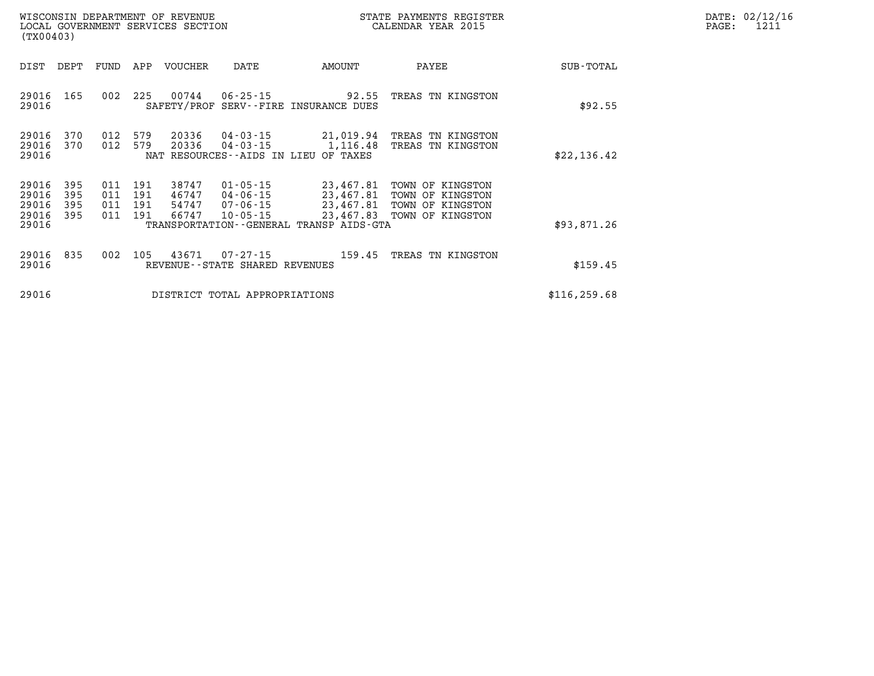| DATE: | 02/12/16 |
|-------|----------|
| PAGE: | 1211     |

| (TX00403)                                 |                          | WISCONSIN DEPARTMENT OF REVENUE<br>LOCAL GOVERNMENT SERVICES SECTION |                                  |                                  |                                                          |                                                | STATE PAYMENTS REGISTER<br>CALENDAR YEAR 2015                                                                        |               | DATE: 02/12/1<br>PAGE:<br>1211 |
|-------------------------------------------|--------------------------|----------------------------------------------------------------------|----------------------------------|----------------------------------|----------------------------------------------------------|------------------------------------------------|----------------------------------------------------------------------------------------------------------------------|---------------|--------------------------------|
| DIST                                      | DEPT                     |                                                                      |                                  | FUND APP VOUCHER                 | DATE                                                     | AMOUNT                                         | PAYEE                                                                                                                | SUB-TOTAL     |                                |
| 29016<br>29016                            | 165                      |                                                                      | 002 225                          | 00744                            | 06-25-15                                                 | 92.55<br>SAFETY/PROF SERV--FIRE INSURANCE DUES | TREAS TN KINGSTON                                                                                                    | \$92.55       |                                |
| 29016<br>29016<br>29016                   | 370<br>370               | 012                                                                  | 579<br>012 579                   | 20336<br>20336                   | 04-03-15<br>04-03-15                                     | NAT RESOURCES -- AIDS IN LIEU OF TAXES         | 21,019.94 TREAS TN KINGSTON<br>1,116.48 TREAS TN KINGSTON                                                            | \$22,136.42   |                                |
| 29016<br>29016<br>29016<br>29016<br>29016 | 395<br>395<br>395<br>395 | 011<br>011                                                           | 011 191<br>011 191<br>191<br>191 | 38747<br>46747<br>54747<br>66747 | $01 - 05 - 15$<br>04-06-15<br>07-06-15<br>$10 - 05 - 15$ | TRANSPORTATION--GENERAL TRANSP AIDS-GTA        | 23,467.81 TOWN OF KINGSTON<br>23,467.81 TOWN OF KINGSTON<br>23,467.81 TOWN OF KINGSTON<br>23,467.83 TOWN OF KINGSTON | \$93,871.26   |                                |
| 29016<br>29016                            | 835                      |                                                                      |                                  | 002 105 43671                    | 07-27-15<br>REVENUE--STATE SHARED REVENUES               | 159.45                                         | TREAS TN KINGSTON                                                                                                    | \$159.45      |                                |
| 29016                                     |                          |                                                                      |                                  |                                  | DISTRICT TOTAL APPROPRIATIONS                            |                                                |                                                                                                                      | \$116, 259.68 |                                |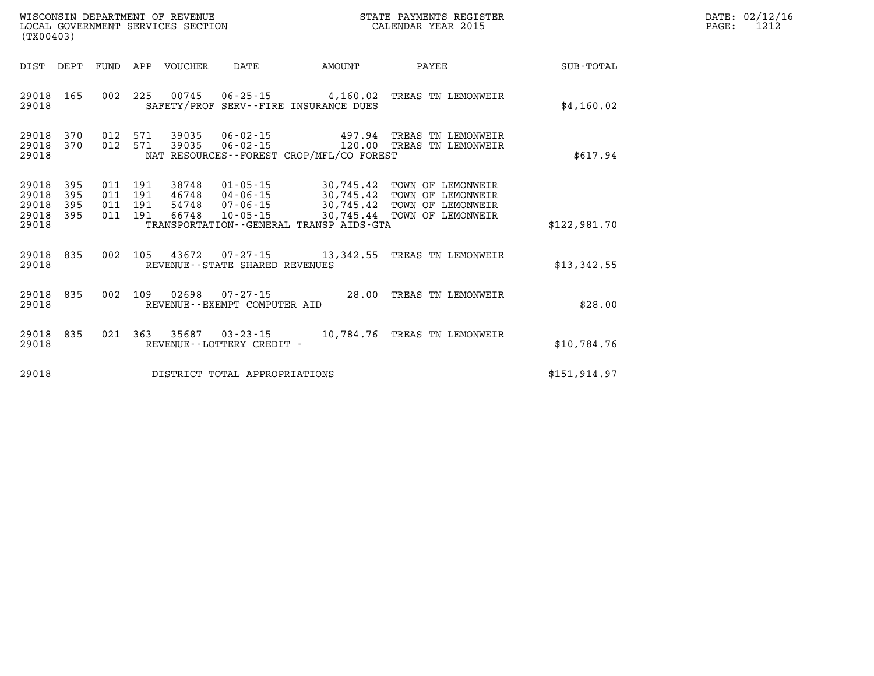| DATE: | 02/12/16 |
|-------|----------|
| PAGE: | 1212     |

| WISCONSIN DEPARTMENT OF REVENUE<br>LOCAL GOVERNMENT SERVICES SECTION<br>(TX00403) |                                                      |                                                                                                          |                                                                                             | STATE PAYMENTS REGISTER<br>CALENDAR YEAR 2015                                    |                  |
|-----------------------------------------------------------------------------------|------------------------------------------------------|----------------------------------------------------------------------------------------------------------|---------------------------------------------------------------------------------------------|----------------------------------------------------------------------------------|------------------|
| DIST<br>DEPT                                                                      | APP<br>FUND                                          | <b>VOUCHER</b><br>DATE                                                                                   | AMOUNT                                                                                      | PAYEE                                                                            | <b>SUB-TOTAL</b> |
| 165<br>29018<br>29018                                                             | 002<br>225                                           | $06 - 25 - 15$<br>00745<br>SAFETY/PROF                                                                   | 4,160.02<br>SERV--FIRE INSURANCE DUES                                                       | TREAS TN LEMONWEIR                                                               | \$4,160.02       |
| 370<br>29018<br>370<br>29018<br>29018                                             | 012<br>571<br>012<br>571                             | 39035<br>$06 - 02 - 15$<br>39035<br>$06 - 02 - 15$                                                       | 497.94<br>120.00<br>NAT RESOURCES--FOREST CROP/MFL/CO FOREST                                | TREAS TN LEMONWEIR<br>TREAS TN LEMONWEIR                                         | \$617.94         |
| 395<br>29018<br>395<br>29018<br>395<br>29018<br>395<br>29018<br>29018             | 191<br>011<br>191<br>011<br>191<br>011<br>191<br>011 | $01 - 05 - 15$<br>38748<br>$04 - 06 - 15$<br>46748<br>$07 - 06 - 15$<br>54748<br>66748<br>$10 - 05 - 15$ | 30,745.42<br>30,745.42<br>30,745.42<br>30,745.44<br>TRANSPORTATION--GENERAL TRANSP AIDS-GTA | TOWN OF LEMONWEIR<br>TOWN OF LEMONWEIR<br>TOWN OF LEMONWEIR<br>TOWN OF LEMONWEIR | \$122,981.70     |
| 835<br>29018<br>29018                                                             | 002<br>105                                           | 43672<br>$07 - 27 - 15$<br>REVENUE - - STATE SHARED REVENUES                                             | 13,342.55                                                                                   | TREAS TN LEMONWEIR                                                               | \$13,342.55      |
| 835<br>29018<br>29018                                                             | 002<br>109                                           | 02698<br>$07 - 27 - 15$<br>REVENUE--EXEMPT COMPUTER AID                                                  | 28.00                                                                                       | TREAS TN LEMONWEIR                                                               | \$28.00          |
| 29018<br>835<br>29018                                                             | 021<br>363                                           | 35687<br>$03 - 23 - 15$<br>REVENUE - - LOTTERY CREDIT -                                                  | 10,784.76                                                                                   | TREAS TN LEMONWEIR                                                               | \$10,784.76      |
| 29018                                                                             |                                                      | DISTRICT TOTAL APPROPRIATIONS                                                                            |                                                                                             |                                                                                  | \$151, 914.97    |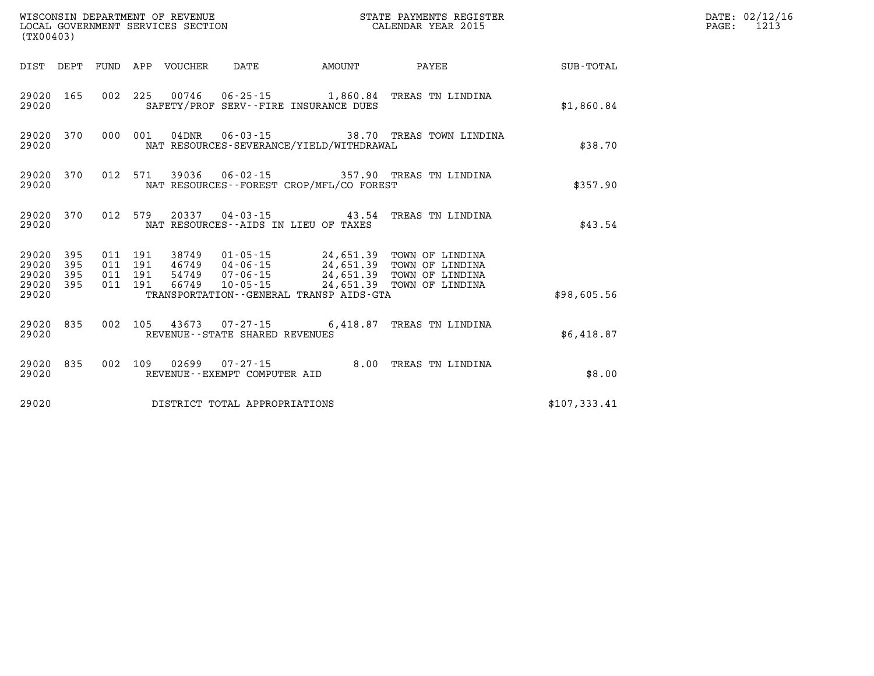| (TX00403)                   |            |                               | WISCONSIN DEPARTMENT OF REVENUE<br>LOCAL GOVERNMENT SERVICES SECTION |                                   |                                              | STATE PAYMENTS REGISTER<br>CALENDAR YEAR 2015                                                                                             |              | DATE: 02/12/16<br>$\mathtt{PAGE}$ :<br>1213 |
|-----------------------------|------------|-------------------------------|----------------------------------------------------------------------|-----------------------------------|----------------------------------------------|-------------------------------------------------------------------------------------------------------------------------------------------|--------------|---------------------------------------------|
|                             |            |                               | DIST DEPT FUND APP VOUCHER                                           | DATE                              | <b>AMOUNT</b>                                | PAYEE                                                                                                                                     | SUB-TOTAL    |                                             |
| 29020 165<br>29020          |            |                               |                                                                      |                                   | SAFETY/PROF SERV--FIRE INSURANCE DUES        | 002 225 00746 06-25-15 1,860.84 TREAS TN LINDINA                                                                                          | \$1,860.84   |                                             |
| 29020 370<br>29020          |            | 000 001                       | $04\rm{DNR}$                                                         |                                   | NAT RESOURCES-SEVERANCE/YIELD/WITHDRAWAL     | 06-03-15 38.70 TREAS TOWN LINDINA                                                                                                         | \$38.70      |                                             |
| 29020 370<br>29020          |            |                               |                                                                      |                                   | NAT RESOURCES - - FOREST CROP/MFL/CO FOREST  | 012 571 39036 06-02-15 357.90 TREAS TN LINDINA                                                                                            | \$357.90     |                                             |
| 29020 370<br>29020          |            |                               |                                                                      |                                   | NAT RESOURCES--AIDS IN LIEU OF TAXES         | 012 579 20337 04-03-15 43.54 TREAS TN LINDINA                                                                                             | \$43.54      |                                             |
| 29020 395<br>29020<br>29020 | 395<br>395 | 011 191<br>011 191<br>011 191 |                                                                      |                                   |                                              | 38749  01-05-15  24,651.39  TOWN OF LINDINA<br>46749  04-06-15  24,651.39  TOWN OF LINDINA<br>54749  07-06-15  24,651.39  TOWN OF LINDINA |              |                                             |
| 29020 395<br>29020          |            | 011 191                       | 66749                                                                | 10-05-15                          | TRANSPORTATION - - GENERAL TRANSP AIDS - GTA | 24,651.39 TOWN OF LINDINA                                                                                                                 | \$98,605.56  |                                             |
| 29020 835<br>29020          |            |                               |                                                                      | REVENUE - - STATE SHARED REVENUES |                                              | 002 105 43673 07-27-15 6,418.87 TREAS TN LINDINA                                                                                          | \$6,418.87   |                                             |
| 29020 835<br>29020          |            |                               |                                                                      | REVENUE--EXEMPT COMPUTER AID      |                                              | 002 109 02699 07-27-15 8.00 TREAS TN LINDINA                                                                                              | \$8.00       |                                             |
| 29020                       |            |                               |                                                                      | DISTRICT TOTAL APPROPRIATIONS     |                                              |                                                                                                                                           | \$107,333.41 |                                             |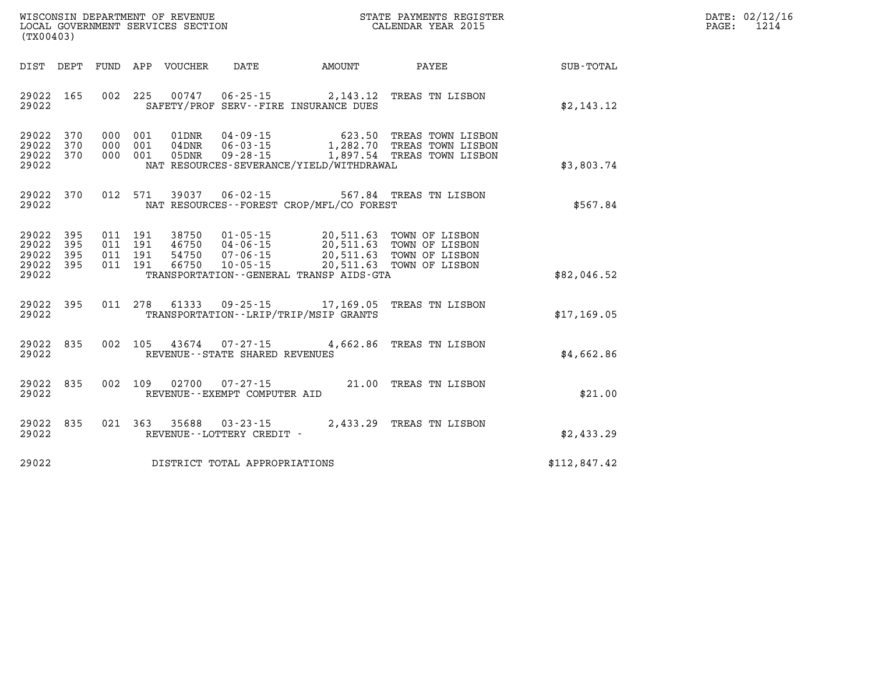| WISCONSIN DEPARTMENT OF REVENUE   | PAYMENTS REGISTER<br>STATE | DATE  | 02/12/16 |
|-----------------------------------|----------------------------|-------|----------|
| LOCAL GOVERNMENT SERVICES SECTION | CALENDAR YEAR 2015         | PAGE: | 101      |

| (TX00403)                                                             |                                                                                                                                                               |                                                                                     |                                                                                      |              |
|-----------------------------------------------------------------------|---------------------------------------------------------------------------------------------------------------------------------------------------------------|-------------------------------------------------------------------------------------|--------------------------------------------------------------------------------------|--------------|
| DIST<br>DEPT                                                          | FUND APP VOUCHER<br>DATE                                                                                                                                      | AMOUNT                                                                              | PAYEE                                                                                | SUB-TOTAL    |
| 165<br>29022<br>29022                                                 | 002<br>225<br>00747                                                                                                                                           | $06 - 25 - 15$ 2, 143.12<br>SAFETY/PROF SERV--FIRE INSURANCE DUES                   | TREAS TN LISBON                                                                      | \$2,143.12   |
| 29022<br>370<br>29022<br>370<br>29022<br>370<br>29022                 | 000<br>001<br>01DNR<br>$04 - 09 - 15$<br>001<br>000<br>$04\,\mathrm{DNR}$<br>$06 - 03 - 15$<br>001<br>$09 - 28 - 15$<br>000<br>05DNR                          | NAT RESOURCES-SEVERANCE/YIELD/WITHDRAWAL                                            | 623.50 TREAS TOWN LISBON<br>1,282.70 TREAS TOWN LISBON<br>1,897.54 TREAS TOWN LISBON | \$3,803.74   |
| 29022<br>370<br>29022                                                 | 012 571<br>39037<br>$06 - 02 - 15$                                                                                                                            | NAT RESOURCES--FOREST CROP/MFL/CO FOREST                                            | 567.84 TREAS TN LISBON                                                               | \$567.84     |
| 395<br>29022<br>29022<br>395<br>29022<br>395<br>29022<br>395<br>29022 | 011 191<br>38750<br>$01 - 05 - 15$<br>011<br>191<br>46750<br>$04 - 06 - 15$<br>011<br>191<br>$07 - 06 - 15$<br>54750<br>191<br>011<br>66750<br>$10 - 05 - 15$ | 20,511.63<br>20,511.63<br>20,511.63<br>TRANSPORTATION - - GENERAL TRANSP AIDS - GTA | 20,511.63 TOWN OF LISBON<br>TOWN OF LISBON<br>TOWN OF LISBON<br>TOWN OF LISBON       | \$82,046.52  |
| 29022<br>395<br>29022                                                 | 011<br>278<br>61333<br>$09 - 25 - 15$                                                                                                                         | 17,169.05<br>TRANSPORTATION - - LRIP/TRIP/MSIP GRANTS                               | TREAS TN LISBON                                                                      | \$17, 169.05 |
| 835<br>29022<br>29022                                                 | 002<br>105<br>43674 07-27-15<br>REVENUE - - STATE SHARED REVENUES                                                                                             | 4,662.86                                                                            | TREAS TN LISBON                                                                      | \$4,662.86   |
| 29022<br>835<br>29022                                                 | 002<br>109<br>02700<br>$07 - 27 - 15$<br>REVENUE--EXEMPT COMPUTER AID                                                                                         |                                                                                     | 21.00 TREAS TN LISBON                                                                | \$21.00      |
| 29022<br>835<br>29022                                                 | 021<br>363<br>35688<br>$03 - 23 - 15$<br>REVENUE - - LOTTERY CREDIT -                                                                                         | 2,433.29                                                                            | TREAS TN LISBON                                                                      | \$2,433.29   |
| 29022                                                                 | DISTRICT TOTAL APPROPRIATIONS                                                                                                                                 |                                                                                     |                                                                                      | \$112,847.42 |

WISCONSIN DEPARTMENT OF REVENUE **STATE PAYMENTS REGISTER**<br>LOCAL GOVERNMENT SERVICES SECTION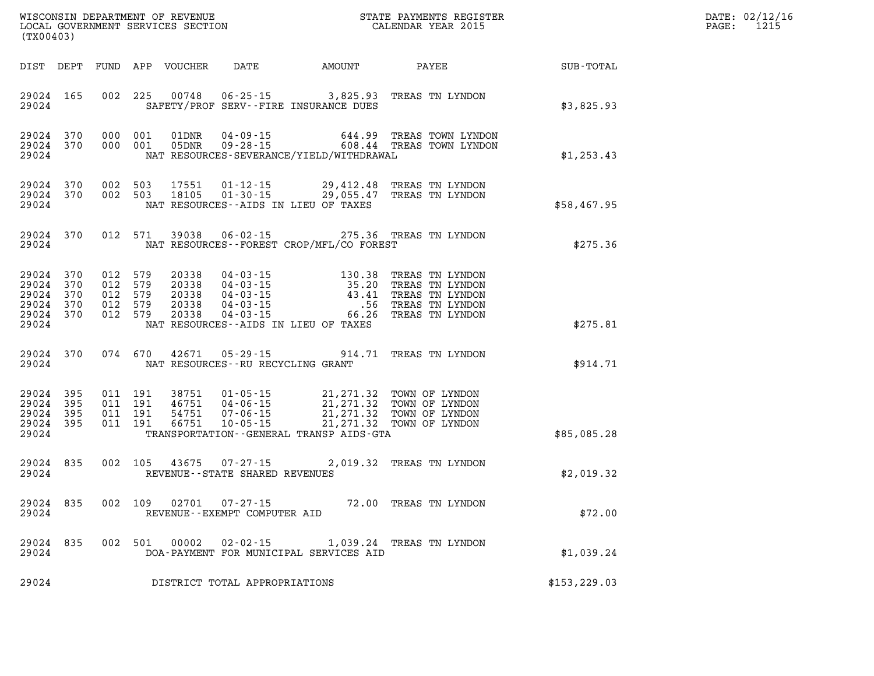| (TX00403)                                                  |                   |                                                     |         | WISCONSIN DEPARTMENT OF REVENUE<br>LOCAL GOVERNMENT SERVICES SECTION |                                                | STATE PAYMENTS REGISTER<br>CALENDAR YEAR 2015                                                                                                                                                                                                                        |  |       |                                                                                             | $\mathtt{PAGE}$ : | DATE: 02/12/16<br>1215 |  |
|------------------------------------------------------------|-------------------|-----------------------------------------------------|---------|----------------------------------------------------------------------|------------------------------------------------|----------------------------------------------------------------------------------------------------------------------------------------------------------------------------------------------------------------------------------------------------------------------|--|-------|---------------------------------------------------------------------------------------------|-------------------|------------------------|--|
|                                                            |                   |                                                     |         | DIST DEPT FUND APP VOUCHER                                           | DATE                                           | AMOUNT                                                                                                                                                                                                                                                               |  | PAYEE |                                                                                             | SUB-TOTAL         |                        |  |
| 29024 165<br>29024                                         |                   |                                                     |         |                                                                      |                                                | 002 225 00748 06-25-15 3,825.93<br>SAFETY/PROF SERV--FIRE INSURANCE DUES                                                                                                                                                                                             |  |       | TREAS TN LYNDON                                                                             | \$3,825.93        |                        |  |
| 29024 370<br>29024 370<br>29024                            |                   | 000 001<br>000 001                                  |         | 01DNR<br>05DNR                                                       |                                                | NAT RESOURCES-SEVERANCE/YIELD/WITHDRAWAL                                                                                                                                                                                                                             |  |       |                                                                                             | \$1,253.43        |                        |  |
| 29024 370<br>29024                                         | 29024 370 002 503 | 002 503                                             |         |                                                                      |                                                | 17551   01-12-15   29,412.48 TREAS TN LYNDON<br>18105   01-30-15   29,055.47 TREAS TN LYNDON<br>NAT RESOURCES--AIDS IN LIEU OF TAXES                                                                                                                                 |  |       |                                                                                             | \$58,467.95       |                        |  |
| 29024                                                      | 29024 370         |                                                     |         | 012 571 39038                                                        |                                                | $06 - 02 - 15$<br>NAT RESOURCES--FOREST CROP/MFL/CO FOREST                                                                                                                                                                                                           |  |       | 275.36 TREAS TN LYNDON                                                                      | \$275.36          |                        |  |
| 29024 370<br>29024<br>29024<br>29024<br>29024 370<br>29024 | 370<br>370<br>370 | 012 579<br>012 579<br>012 579<br>012 579<br>012 579 |         | 20338<br>20338<br>20338<br>20338<br>20338                            |                                                | $\begin{array}{cccc} 04\texttt{-}03\texttt{-}15 & 130.38 \\ 04\texttt{-}03\texttt{-}15 & 35.20 \\ 04\texttt{-}03\texttt{-}15 & 43.41 \\ 04\texttt{-}03\texttt{-}15 & .56 \\ 04\texttt{-}03\texttt{-}15 & .66.26 \end{array}$<br>NAT RESOURCES--AIDS IN LIEU OF TAXES |  |       | TREAS TN LYNDON<br>TREAS TN LYNDON<br>TREAS TN LYNDON<br>TREAS TN LYNDON<br>TREAS TN LYNDON | \$275.81          |                        |  |
| 29024                                                      | 29024 370         |                                                     | 074 670 | 42671                                                                |                                                | 05-29-15 914.71 TREAS TN LYNDON<br>NAT RESOURCES -- RU RECYCLING GRANT                                                                                                                                                                                               |  |       |                                                                                             | \$914.71          |                        |  |
| 29024 395<br>29024<br>29024<br>29024<br>29024              | 395<br>395<br>395 | 011 191<br>011 191<br>011 191<br>011 191            |         | 46751<br>54751<br>66751                                              |                                                | 38751  01-05-15  21,271.32  TOWN OF LYNDON<br>04-06-15<br>07-06-15 21, 271.32 TOWN OF LYNDON<br>10-05-15 21, 271.32 TOWN OF LYNDON<br>10-05-15 21, 271.32 TOWN OF LYNDON<br>TRANSPORTATION--GENERAL TRANSP AIDS-GTA                                                  |  |       |                                                                                             | \$85,085.28       |                        |  |
| 29024 835<br>29024                                         |                   |                                                     |         |                                                                      | 002 105 43675 07-27-15                         | REVENUE--STATE SHARED REVENUES                                                                                                                                                                                                                                       |  |       | 2,019.32 TREAS TN LYNDON                                                                    | \$2,019.32        |                        |  |
| 29024 835<br>29024                                         |                   |                                                     | 002 109 | 02701                                                                | $07 - 27 - 15$<br>REVENUE--EXEMPT COMPUTER AID |                                                                                                                                                                                                                                                                      |  |       | 72.00 TREAS TN LYNDON                                                                       | \$72.00           |                        |  |
| 29024 835<br>29024                                         |                   |                                                     |         | 002 501 00002                                                        |                                                | 02-02-15 1,039.24 TREAS TN LYNDON<br>DOA-PAYMENT FOR MUNICIPAL SERVICES AID                                                                                                                                                                                          |  |       |                                                                                             | \$1,039.24        |                        |  |
| 29024                                                      |                   |                                                     |         |                                                                      |                                                | DISTRICT TOTAL APPROPRIATIONS                                                                                                                                                                                                                                        |  |       |                                                                                             | \$153, 229.03     |                        |  |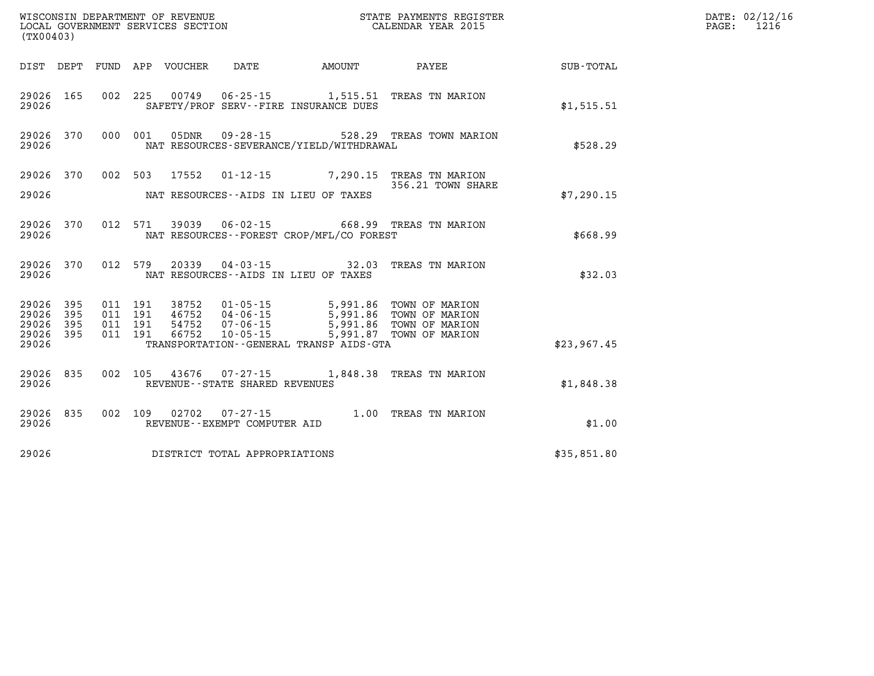| WISCONSIN DEPARTMENT OF REVENUE<br>LOCAL GOVERNMENT SERVICES SECTION FOR THE STATE PAYMENTS REGISTER<br>(TYO0403)<br>(TX00403) |            |  |  |  |                                   |                                              |                                                                                                                                                                                                      |                                                        | DATE: 02/12/16<br>PAGE: 1216 |
|--------------------------------------------------------------------------------------------------------------------------------|------------|--|--|--|-----------------------------------|----------------------------------------------|------------------------------------------------------------------------------------------------------------------------------------------------------------------------------------------------------|--------------------------------------------------------|------------------------------|
|                                                                                                                                |            |  |  |  |                                   |                                              |                                                                                                                                                                                                      | DIST DEPT FUND APP VOUCHER DATE AMOUNT PAYEE SUB-TOTAL |                              |
| 29026 165<br>29026                                                                                                             |            |  |  |  |                                   | SAFETY/PROF SERV--FIRE INSURANCE DUES        | 002 225 00749 06-25-15 1,515.51 TREAS TN MARION                                                                                                                                                      | \$1,515.51                                             |                              |
| 29026                                                                                                                          |            |  |  |  |                                   | NAT RESOURCES-SEVERANCE/YIELD/WITHDRAWAL     | 29026 370 000 001 05DNR 09-28-15 528.29 TREAS TOWN MARION                                                                                                                                            | \$528.29                                               |                              |
| 29026 370                                                                                                                      |            |  |  |  |                                   |                                              | 002 503 17552 01-12-15 7,290.15 TREAS TN MARION<br>356.21 TOWN SHAR                                                                                                                                  |                                                        |                              |
|                                                                                                                                |            |  |  |  |                                   | 29026 MAT RESOURCES--AIDS IN LIEU OF TAXES   | 356.21 TOWN SHARE                                                                                                                                                                                    | \$7,290.15                                             |                              |
| 29026                                                                                                                          |            |  |  |  |                                   | NAT RESOURCES--FOREST CROP/MFL/CO FOREST     | 29026 370 012 571 39039 06-02-15 668.99 TREAS TN MARION                                                                                                                                              | \$668.99                                               |                              |
| 29026                                                                                                                          | 29026 370  |  |  |  |                                   | NAT RESOURCES--AIDS IN LIEU OF TAXES         | 012 579 20339 04-03-15 32.03 TREAS TN MARION                                                                                                                                                         | \$32.03                                                |                              |
| 29026<br>29026                                                                                                                 | 395<br>395 |  |  |  |                                   |                                              | 011 191 38752 01-05-15 5,991.86 TOWN OF MARION<br>011 191 46752 04-06-15 5,991.86 TOWN OF MARION<br>011 191 54752 07-06-15 5,991.86 TOWN OF MARION<br>011 191 66752 10-05-15 5,991.87 TOWN OF MARION |                                                        |                              |
| 29026<br>29026 395                                                                                                             | 395        |  |  |  |                                   |                                              |                                                                                                                                                                                                      |                                                        |                              |
| 29026                                                                                                                          |            |  |  |  |                                   | TRANSPORTATION - - GENERAL TRANSP AIDS - GTA |                                                                                                                                                                                                      | \$23,967.45                                            |                              |
| 29026 835<br>29026                                                                                                             |            |  |  |  | REVENUE - - STATE SHARED REVENUES |                                              | 002 105 43676 07-27-15 1,848.38 TREAS TN MARION                                                                                                                                                      | \$1,848.38                                             |                              |
| 29026                                                                                                                          | 29026 835  |  |  |  | REVENUE--EXEMPT COMPUTER AID      |                                              | 002  109  02702  07-27-15  1.00 TREAS TN MARION REVENUE--EXEMPT COMPUTER AID                                                                                                                         | \$1.00                                                 |                              |
| 29026                                                                                                                          |            |  |  |  | DISTRICT TOTAL APPROPRIATIONS     |                                              |                                                                                                                                                                                                      | \$35,851.80                                            |                              |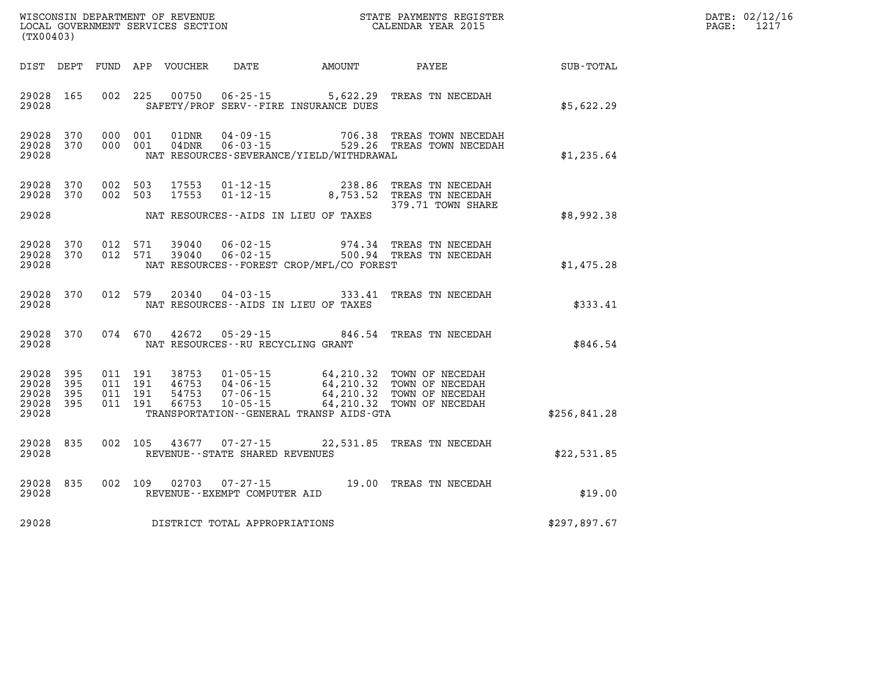| DATE: | 02/12/16 |
|-------|----------|
| PAGE: | 1217     |

| (TX00403)                                     |                   |  |  |  |                                |                                          | STATE PAYMENTS REGISTER                                                                                                                                                                                                                                                                                                                  |              | DATE: 02/12/1<br>$\mathtt{PAGE}$ :<br>1217 |
|-----------------------------------------------|-------------------|--|--|--|--------------------------------|------------------------------------------|------------------------------------------------------------------------------------------------------------------------------------------------------------------------------------------------------------------------------------------------------------------------------------------------------------------------------------------|--------------|--------------------------------------------|
|                                               |                   |  |  |  |                                |                                          |                                                                                                                                                                                                                                                                                                                                          |              |                                            |
| 29028 165<br>29028                            |                   |  |  |  |                                | SAFETY/PROF SERV--FIRE INSURANCE DUES    | 002 225 00750 06-25-15 5,622.29 TREAS TN NECEDAH                                                                                                                                                                                                                                                                                         | \$5,622.29   |                                            |
| 29028<br>29028 370<br>29028                   | 370               |  |  |  |                                | NAT RESOURCES-SEVERANCE/YIELD/WITHDRAWAL | 000 001 01DNR 04-09-15 706.38 TREAS TOWN NECEDAH<br>000 001 04DNR 06-03-15 529.26 TREAS TOWN NECEDAH                                                                                                                                                                                                                                     | \$1,235.64   |                                            |
| 29028 370<br>29028 370<br>29028               |                   |  |  |  |                                | NAT RESOURCES--AIDS IN LIEU OF TAXES     | 002 503 17553 01-12-15 238.86 TREAS TN NECEDAH<br>002 503 17553 01-12-15 8,753.52 TREAS TN NECEDAH<br>379.71 TOWN SHARE                                                                                                                                                                                                                  | \$8,992.38   |                                            |
| 29028 370<br>29028 370<br>29028               |                   |  |  |  |                                | NAT RESOURCES--FOREST CROP/MFL/CO FOREST | $0.12$ 571 39040 $0.6 - 0.2 - 15$ 974.34 TREAS TN NECEDAH<br>012 571 39040 06-02-15 500.94 TREAS TN NECEDAH                                                                                                                                                                                                                              | \$1,475.28   |                                            |
| 29028 370<br>29028                            |                   |  |  |  |                                | NAT RESOURCES -- AIDS IN LIEU OF TAXES   | 012 579 20340 04-03-15 333.41 TREAS TN NECEDAH                                                                                                                                                                                                                                                                                           | \$333.41     |                                            |
| 29028 370<br>29028                            |                   |  |  |  |                                | NAT RESOURCES--RU RECYCLING GRANT        | 074 670 42672 05-29-15 846.54 TREAS TN NECEDAH                                                                                                                                                                                                                                                                                           | \$846.54     |                                            |
| 29028<br>29028<br>29028<br>29028 395<br>29028 | 395<br>395<br>395 |  |  |  |                                | TRANSPORTATION--GENERAL TRANSP AIDS-GTA  | $\begin{array}{cccc} 011 & 191 & 38753 & 01\cdot 05\cdot 15 & 64\,, 210\,. 32 & \text{TOWN OF NECEDAH} \\ 011 & 191 & 46753 & 04\cdot 06\cdot 15 & 64\,, 210\,. 32 & \text{TOWN OF NECEDAH} \\ 011 & 191 & 54753 & 07\cdot 06\cdot 15 & 64\,, 210\,. 32 & \text{TOWN OF NECEDAH} \\ 011 & 191 & 66753 & 10\cdot 05\cdot 15 & 64\,, 210\$ | \$256,841.28 |                                            |
| 29028<br>29028                                | 835               |  |  |  | REVENUE--STATE SHARED REVENUES |                                          | 002 105 43677 07-27-15 22,531.85 TREAS TN NECEDAH                                                                                                                                                                                                                                                                                        | \$22,531.85  |                                            |
| 29028 835<br>29028                            |                   |  |  |  | REVENUE--EXEMPT COMPUTER AID   |                                          | 002 109 02703 07-27-15 19.00 TREAS TN NECEDAH                                                                                                                                                                                                                                                                                            | \$19.00      |                                            |
| 29028                                         |                   |  |  |  | DISTRICT TOTAL APPROPRIATIONS  |                                          |                                                                                                                                                                                                                                                                                                                                          | \$297,897.67 |                                            |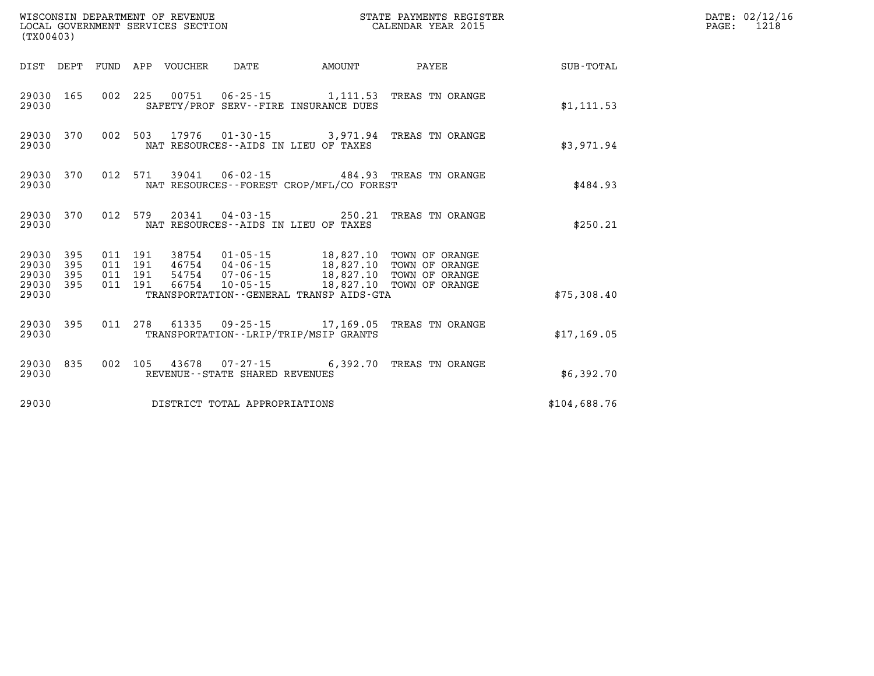| (TX00403)                                     |                   |  |  |                       |                                |                                             |                                                                                                                                                                                   |              | DATE: 02/12/16<br>$\mathtt{PAGE:}$<br>1218 |
|-----------------------------------------------|-------------------|--|--|-----------------------|--------------------------------|---------------------------------------------|-----------------------------------------------------------------------------------------------------------------------------------------------------------------------------------|--------------|--------------------------------------------|
| DIST DEPT                                     |                   |  |  | FUND APP VOUCHER DATE |                                | <b>AMOUNT</b>                               | <b>PAYEE</b> PAYEE                                                                                                                                                                | SUB-TOTAL    |                                            |
| 29030 165<br>29030                            |                   |  |  |                       |                                | SAFETY/PROF SERV--FIRE INSURANCE DUES       | 002 225 00751 06-25-15 1,111.53 TREAS TN ORANGE                                                                                                                                   | \$1, 111.53  |                                            |
| 29030<br>29030                                | 370               |  |  |                       |                                | NAT RESOURCES--AIDS IN LIEU OF TAXES        | 002 503 17976 01-30-15 3,971.94 TREAS TN ORANGE                                                                                                                                   | \$3,971.94   |                                            |
| 29030<br>29030                                | 370               |  |  |                       |                                | NAT RESOURCES - - FOREST CROP/MFL/CO FOREST | 012 571 39041 06-02-15 484.93 TREAS TN ORANGE                                                                                                                                     | \$484.93     |                                            |
| 29030<br>29030                                | 370               |  |  |                       |                                | NAT RESOURCES--AIDS IN LIEU OF TAXES        | 012 579 20341 04-03-15 250.21 TREAS TN ORANGE                                                                                                                                     | \$250.21     |                                            |
| 29030 395<br>29030<br>29030<br>29030<br>29030 | 395<br>395<br>395 |  |  |                       | 011 191 66754 10-05-15         | TRANSPORTATION--GENERAL TRANSP AIDS-GTA     | 011 191 38754 01-05-15 18,827.10 TOWN OF ORANGE<br>011 191 46754 04-06-15 18,827.10 TOWN OF ORANGE<br>011 191 54754 07-06-15 18,827.10 TOWN OF ORANGE<br>18,827.10 TOWN OF ORANGE | \$75,308.40  |                                            |
| 29030<br>29030                                | 395               |  |  |                       |                                | TRANSPORTATION - - LRIP/TRIP/MSIP GRANTS    | 011 278 61335 09-25-15 17,169.05 TREAS TN ORANGE                                                                                                                                  | \$17,169.05  |                                            |
| 29030<br>29030                                | 835               |  |  |                       | REVENUE--STATE SHARED REVENUES |                                             | 002 105 43678 07-27-15 6,392.70 TREAS TN ORANGE                                                                                                                                   | \$6,392.70   |                                            |
| 29030                                         |                   |  |  |                       | DISTRICT TOTAL APPROPRIATIONS  |                                             |                                                                                                                                                                                   | \$104,688.76 |                                            |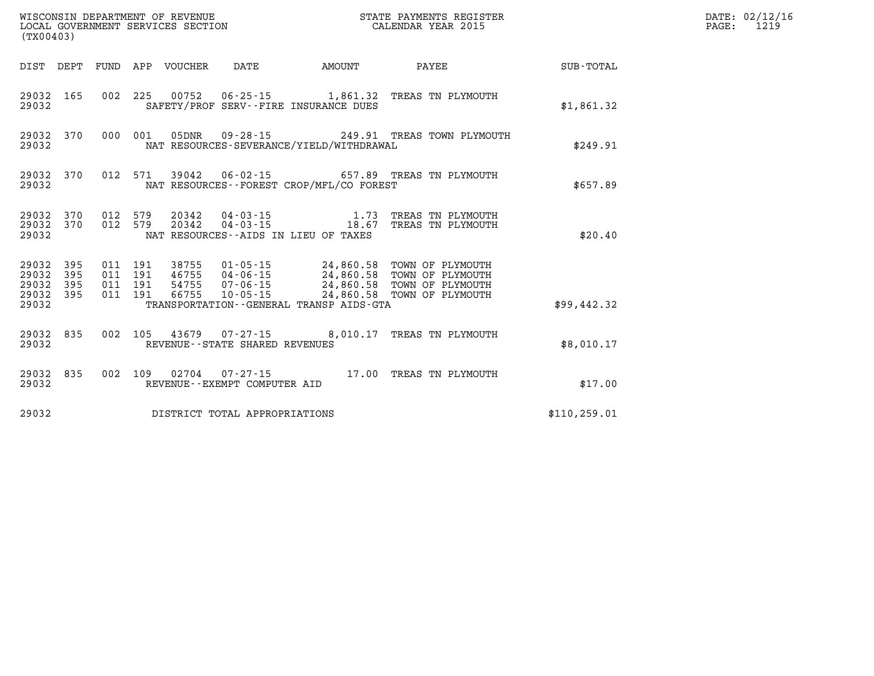| (TX00403)                                     |                   |  |                                 |                                |                                             | %WISCONSIN DEPARTMENT OF REVENUE $$\tt STATE~PAYMEMTS~REGISTER~LOCAL~GOVERNMENT~SERVICES~SECTION~CALENDAR~YEAR~2015$                                                                            |               | DATE: 02/12/16<br>$\mathtt{PAGE:}$<br>1219 |
|-----------------------------------------------|-------------------|--|---------------------------------|--------------------------------|---------------------------------------------|-------------------------------------------------------------------------------------------------------------------------------------------------------------------------------------------------|---------------|--------------------------------------------|
|                                               |                   |  | DIST DEPT FUND APP VOUCHER DATE |                                | AMOUNT                                      | <b>PAYEE</b>                                                                                                                                                                                    | SUB-TOTAL     |                                            |
| 29032                                         | 29032 165         |  |                                 |                                | SAFETY/PROF SERV--FIRE INSURANCE DUES       | 002 225 00752 06-25-15 1,861.32 TREAS TN PLYMOUTH                                                                                                                                               | \$1,861.32    |                                            |
| 29032                                         |                   |  |                                 |                                | NAT RESOURCES-SEVERANCE/YIELD/WITHDRAWAL    | 29032 370 000 001 05DNR 09-28-15 249.91 TREAS TOWN PLYMOUTH                                                                                                                                     | \$249.91      |                                            |
| 29032                                         | 29032 370         |  |                                 |                                | NAT RESOURCES - - FOREST CROP/MFL/CO FOREST | 012 571 39042 06-02-15 657.89 TREAS TN PLYMOUTH                                                                                                                                                 | \$657.89      |                                            |
| 29032                                         |                   |  |                                 |                                | NAT RESOURCES -- AIDS IN LIEU OF TAXES      | $\begin{array}{cccc} 29032 & 370 & 012 & 579 & 20342 & 04-03-15 & 1.73 & \text{TREAS TN PLYMOUTH} \\ 29032 & 370 & 012 & 579 & 20342 & 04-03-15 & 18.67 & \text{TREAS TN PLYMOUTH} \end{array}$ | \$20.40       |                                            |
| 29032<br>29032<br>29032<br>29032 395<br>29032 | 395<br>395<br>395 |  |                                 |                                | TRANSPORTATION--GENERAL TRANSP AIDS-GTA     |                                                                                                                                                                                                 | \$99,442.32   |                                            |
| 29032                                         | 29032 835         |  |                                 | REVENUE--STATE SHARED REVENUES |                                             | 002 105 43679 07-27-15 8,010.17 TREAS TN PLYMOUTH                                                                                                                                               | \$8,010.17    |                                            |
| 29032                                         | 29032 835         |  |                                 | REVENUE--EXEMPT COMPUTER AID   |                                             | 002 109 02704 07-27-15 17.00 TREAS TN PLYMOUTH                                                                                                                                                  | \$17.00       |                                            |
| 29032                                         |                   |  |                                 | DISTRICT TOTAL APPROPRIATIONS  |                                             |                                                                                                                                                                                                 | \$110, 259.01 |                                            |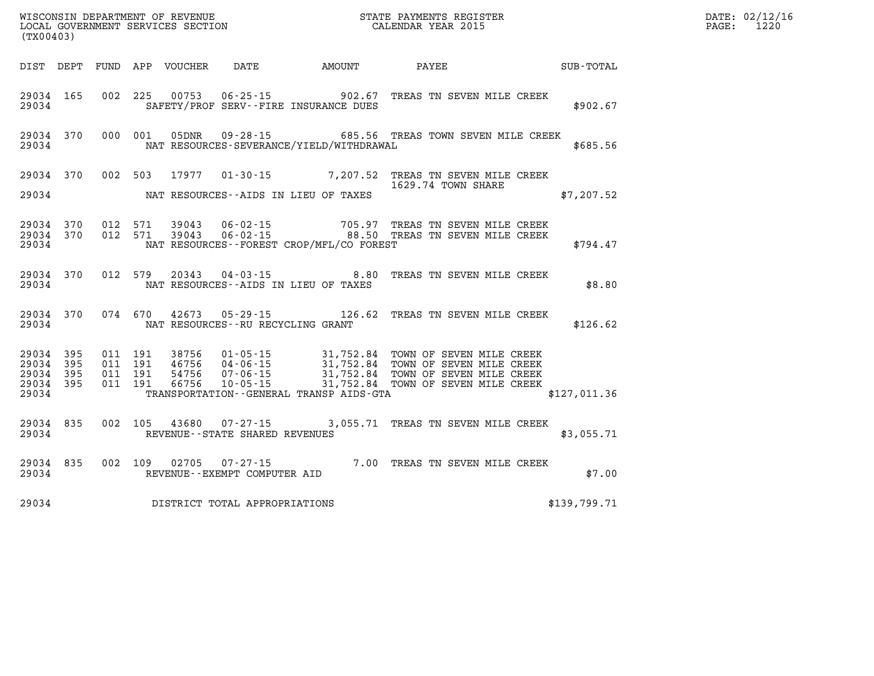| WISCONSIN DEPARTMENT OF REVENUE<br>LOCAL GOVERNMENT SERVICES SECTION TERMS OF CALENDAR YEAR 2015<br>(TX00403) |  |  |  |                                     |                                             |                                                                                                                                                                                                                                                                                                                                                                                                                         | <b>TER</b>   | DATE: 02/12/16<br>PAGE: 1220 |
|---------------------------------------------------------------------------------------------------------------|--|--|--|-------------------------------------|---------------------------------------------|-------------------------------------------------------------------------------------------------------------------------------------------------------------------------------------------------------------------------------------------------------------------------------------------------------------------------------------------------------------------------------------------------------------------------|--------------|------------------------------|
|                                                                                                               |  |  |  |                                     |                                             | DIST DEPT FUND APP VOUCHER DATE AMOUNT PAYEE PAYEE                                                                                                                                                                                                                                                                                                                                                                      |              |                              |
|                                                                                                               |  |  |  |                                     | 29034 SAFETY/PROF SERV--FIRE INSURANCE DUES | 29034 165 002 225 00753 06-25-15 902.67 TREAS TN SEVEN MILE CREEK                                                                                                                                                                                                                                                                                                                                                       | \$902.67     |                              |
|                                                                                                               |  |  |  |                                     |                                             | 29034 370 000 001 05DNR 09-28-15 685.56 TREAS TOWN SEVEN MILE CREEK<br>29034 NAT RESOURCES-SEVERANCE/YIELD/WITHDRAWAL                                                                                                                                                                                                                                                                                                   | \$685.56     |                              |
|                                                                                                               |  |  |  |                                     | 29034 NAT RESOURCES--AIDS IN LIEU OF TAXES  | 29034 370 002 503 17977 01-30-15 7,207.52 TREAS TN SEVEN MILE CREEK<br>1629.74 TOWN SHARE<br>\$7,207.52                                                                                                                                                                                                                                                                                                                 |              |                              |
|                                                                                                               |  |  |  |                                     |                                             | 29034 370 012 571 39043 06-02-15 705.97 TREAS TN SEVEN MILE CREEK<br>29034 370 012 571 39043 06-02-15 88.50 TREAS TN SEVEN MILE CREEK<br>----- **** PESOTROREST CROP/MFL/CO_FOREST                                                                                                                                                                                                                                      |              |                              |
|                                                                                                               |  |  |  |                                     | 29034 NAT RESOURCES--AIDS IN LIEU OF TAXES  | 29034 370 012 579 20343 04-03-15 8.80 TREAS TN SEVEN MILE CREEK                                                                                                                                                                                                                                                                                                                                                         | \$8.80       |                              |
|                                                                                                               |  |  |  |                                     | 29034 NAT RESOURCES--RU RECYCLING GRANT     | 29034 370 074 670 42673 05-29-15 126.62 TREAS TN SEVEN MILE CREEK                                                                                                                                                                                                                                                                                                                                                       | \$126.62     |                              |
|                                                                                                               |  |  |  |                                     |                                             | $\begin{array}{cccccccc} 29034 & 395 & 011 & 191 & 38756 & 01\cdot 05\cdot 15 & 31,752.84 & \text{TOWN OF SEVEN MILE CREEK} \\ 29034 & 395 & 011 & 191 & 46756 & 04\cdot 06\cdot 15 & 31,752.84 & \text{TOWN OF SEVEN MILE CREEK} \\ 29034 & 395 & 011 & 191 & 54756 & 07\cdot 06\cdot 15 & 31,752.84 & \text{TOWN OF SEVEN MILE CREEK} \\ 29034 & 39$<br>29034 TRANSPORTATION - GENERAL TRANSP AIDS - GTA 6127, 011.36 |              |                              |
|                                                                                                               |  |  |  |                                     | 29034 REVENUE--STATE SHARED REVENUES        | 29034 835 002 105 43680 07-27-15 3,055.71 TREAS TN SEVEN MILE CREEK                                                                                                                                                                                                                                                                                                                                                     | \$3,055.71   |                              |
|                                                                                                               |  |  |  |                                     |                                             |                                                                                                                                                                                                                                                                                                                                                                                                                         | \$7.00       |                              |
|                                                                                                               |  |  |  | 29034 DISTRICT TOTAL APPROPRIATIONS |                                             |                                                                                                                                                                                                                                                                                                                                                                                                                         | \$139,799.71 |                              |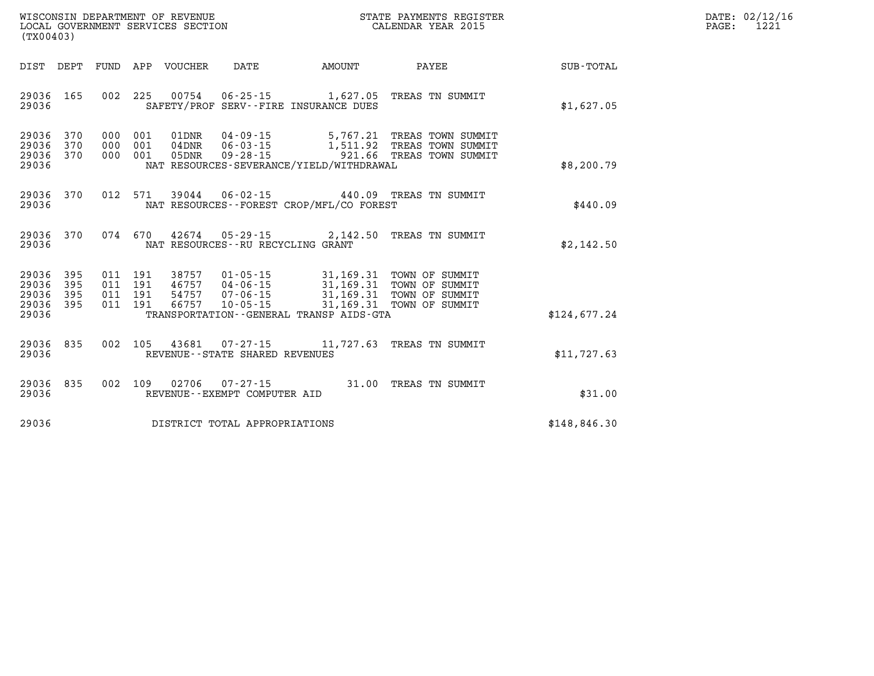| DATE: | 02/12/16 |
|-------|----------|
| PAGE: | 1221     |

| WISCONSIN DEPARTMENT OF REVENUE<br>(TX00403)                                                      | LOCAL GOVERNMENT SERVICES SECTION                                                                                                                                               | STATE PAYMENTS REGISTER<br>CALENDAR YEAR 2015 |                                                                                |              |  |
|---------------------------------------------------------------------------------------------------|---------------------------------------------------------------------------------------------------------------------------------------------------------------------------------|-----------------------------------------------|--------------------------------------------------------------------------------|--------------|--|
| DIST<br>FUND<br>DEPT                                                                              | APP<br>VOUCHER<br>DATE                                                                                                                                                          | AMOUNT                                        | PAYEE                                                                          | SUB-TOTAL    |  |
| 29036<br>165<br>002<br>29036                                                                      | 225<br>00754<br>$06 - 25 - 15$<br>SAFETY/PROF SERV--FIRE INSURANCE DUES                                                                                                         | 1,627.05                                      | TREAS TN SUMMIT                                                                | \$1,627.05   |  |
| 370<br>29036<br>000<br>29036<br>370<br>000<br>29036<br>370<br>000<br>29036                        | $04 - 09 - 15$<br>001<br>01DNR<br>$06 - 03 - 15$<br>001<br>$04$ DNR<br>001<br>05DNR<br>$09 - 28 - 15$<br>NAT RESOURCES-SEVERANCE/YIELD/WITHDRAWAL                               | 921.66                                        | 5,767.21 TREAS TOWN SUMMIT<br>1,511.92 TREAS TOWN SUMMIT<br>TREAS TOWN SUMMIT  | \$8,200.79   |  |
| 012<br>29036<br>370<br>29036                                                                      | 571<br>39044<br>$06 - 02 - 15$<br>NAT RESOURCES - - FOREST CROP/MFL/CO FOREST                                                                                                   | 440.09                                        | TREAS TN SUMMIT                                                                | \$440.09     |  |
| 29036<br>370<br>29036                                                                             | 074 670<br>42674<br>NAT RESOURCES - - RU RECYCLING GRANT                                                                                                                        | $05 - 29 - 15$ 2, 142.50                      | TREAS TN SUMMIT                                                                | \$2,142.50   |  |
| 29036<br>395<br>011<br>29036<br>395<br>011<br>29036<br>011<br>395<br>29036<br>395<br>011<br>29036 | 191<br>38757<br>$01 - 05 - 15$<br>191<br>$04 - 06 - 15$<br>46757<br>191<br>54757<br>$07 - 06 - 15$<br>191<br>66757<br>$10 - 05 - 15$<br>TRANSPORTATION--GENERAL TRANSP AIDS-GTA | 31, 169.31<br>31, 169. 31<br>31, 169. 31      | 31,169.31 TOWN OF SUMMIT<br>TOWN OF SUMMIT<br>TOWN OF SUMMIT<br>TOWN OF SUMMIT | \$124,677.24 |  |
| 002<br>29036<br>835<br>29036                                                                      | 105<br>43681 07-27-15<br>REVENUE - - STATE SHARED REVENUES                                                                                                                      | 11,727.63                                     | TREAS TN SUMMIT                                                                | \$11,727.63  |  |
| 835<br>002<br>29036<br>29036                                                                      | 109<br>02706<br>$07 - 27 - 15$<br>REVENUE - - EXEMPT COMPUTER AID                                                                                                               | 31.00                                         | TREAS TN SUMMIT                                                                | \$31.00      |  |
| 29036                                                                                             | DISTRICT TOTAL APPROPRIATIONS                                                                                                                                                   |                                               |                                                                                | \$148,846.30 |  |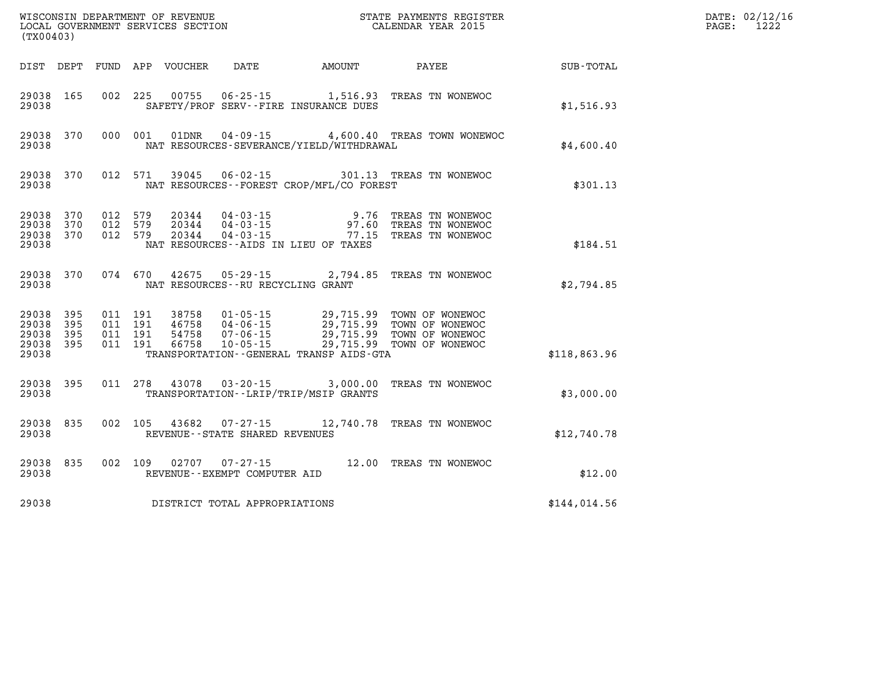| (TX00403)                                 |                          |                                          | WISCONSIN DEPARTMENT OF REVENUE<br>LOCAL GOVERNMENT SERVICES SECTION |                                                |                                                                  | STATE PAYMENTS REGISTER<br>CALENDAR YEAR 2015                                                         |              | DATE: 02/12/16<br>1222<br>PAGE: |
|-------------------------------------------|--------------------------|------------------------------------------|----------------------------------------------------------------------|------------------------------------------------|------------------------------------------------------------------|-------------------------------------------------------------------------------------------------------|--------------|---------------------------------|
| DIST DEPT                                 |                          |                                          | FUND APP VOUCHER                                                     | DATE                                           | AMOUNT                                                           | PAYEE                                                                                                 | SUB-TOTAL    |                                 |
| 29038 165<br>29038                        |                          | 002 225                                  |                                                                      |                                                | 00755 06-25-15 1,516.93<br>SAFETY/PROF SERV--FIRE INSURANCE DUES | TREAS TN WONEWOC                                                                                      | \$1,516.93   |                                 |
| 29038 370<br>29038                        |                          | 000 001                                  | 01DNR                                                                |                                                | NAT RESOURCES-SEVERANCE/YIELD/WITHDRAWAL                         | 04-09-15 4,600.40 TREAS TOWN WONEWOC                                                                  | \$4,600.40   |                                 |
| 29038 370<br>29038                        |                          | 012 571                                  | 39045                                                                |                                                | NAT RESOURCES - - FOREST CROP/MFL/CO FOREST                      | 06-02-15 301.13 TREAS TN WONEWOC                                                                      | \$301.13     |                                 |
| 29038<br>29038<br>29038<br>29038          | 370<br>370<br>370        | 012 579<br>012 579<br>012 579            | 20344<br>20344<br>20344                                              | 04 - 03 - 15<br>04 - 03 - 15<br>$04 - 03 - 15$ | 9.76<br>NAT RESOURCES -- AIDS IN LIEU OF TAXES                   | TREAS TN WONEWOC<br>97.60 TREAS TN WONEWOC<br>77.15 TREAS TN WONEWOC                                  | \$184.51     |                                 |
| 29038 370<br>29038                        |                          | 074 670                                  | 42675                                                                | NAT RESOURCES - - RU RECYCLING GRANT           | 05-29-15 2,794.85                                                | TREAS TN WONEWOC                                                                                      | \$2,794.85   |                                 |
| 29038<br>29038<br>29038<br>29038<br>29038 | 395<br>395<br>395<br>395 | 011 191<br>011 191<br>011 191<br>011 191 | 38758<br>46758<br>54758<br>66758                                     | 07-06-15<br>$10 - 05 - 15$                     | TRANSPORTATION--GENERAL TRANSP AIDS-GTA                          | 01-05-15 29,715.99 TOWN OF WONEWOC<br>04-06-15 29,715.99 TOWN OF WONEWOC<br>29,715.99 TOWN OF WONEWOO | \$118,863.96 |                                 |
| 29038 395<br>29038                        |                          | 011 278                                  | 43078                                                                |                                                | TRANSPORTATION - - LRIP/TRIP/MSIP GRANTS                         | 03-20-15 3,000.00 TREAS TN WONEWOC                                                                    | \$3,000.00   |                                 |
| 29038 835<br>29038                        |                          | 002 105                                  | 43682                                                                | REVENUE--STATE SHARED REVENUES                 |                                                                  | 07-27-15 12,740.78 TREAS TN WONEWOC                                                                   | \$12,740.78  |                                 |
| 29038 835<br>29038                        |                          | 002 109                                  | 02707                                                                | 07-27-15<br>REVENUE--EXEMPT COMPUTER AID       |                                                                  | 12.00 TREAS TN WONEWOC                                                                                | \$12.00      |                                 |
| 29038                                     |                          |                                          |                                                                      | DISTRICT TOTAL APPROPRIATIONS                  |                                                                  |                                                                                                       | \$144,014.56 |                                 |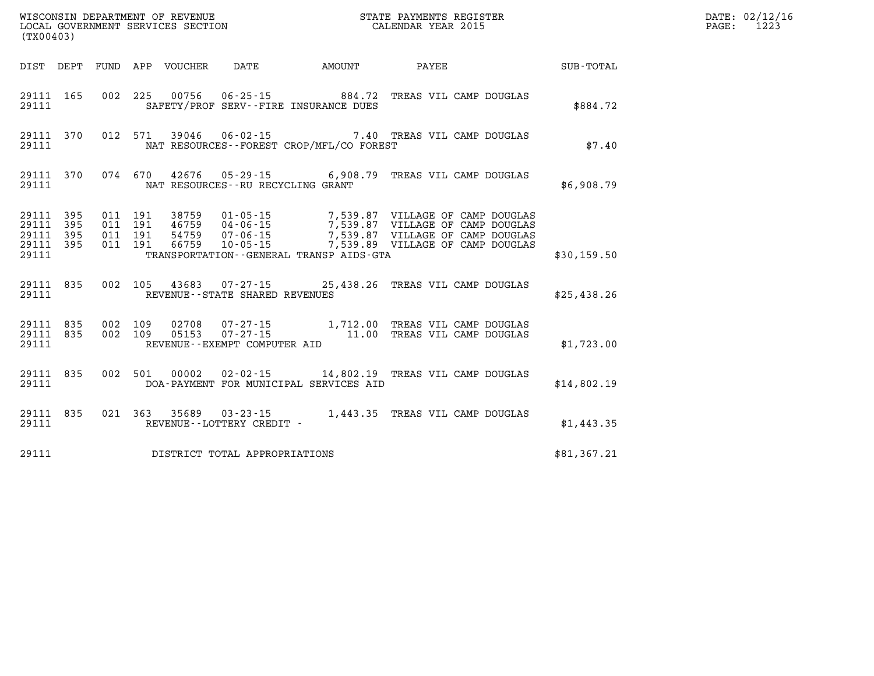| $\mathtt{PAGE:}$ | DATE: 02/12/16<br>1223 |
|------------------|------------------------|
|                  |                        |

| (TX00403)                                                             |                          |                                                              |                                   |                                                                |                                                                                                                                                                                                                                                     |             |
|-----------------------------------------------------------------------|--------------------------|--------------------------------------------------------------|-----------------------------------|----------------------------------------------------------------|-----------------------------------------------------------------------------------------------------------------------------------------------------------------------------------------------------------------------------------------------------|-------------|
| DIST<br>DEPT                                                          | FUND                     | APP VOUCHER DATE                                             |                                   | <b>EXAMPLE THE AMOUNT</b>                                      | <b>PAYEE</b>                                                                                                                                                                                                                                        | SUB-TOTAL   |
| 29111<br>165<br>29111                                                 | 002                      | 225                                                          |                                   | 00756 06-25-15 884.72<br>SAFETY/PROF SERV--FIRE INSURANCE DUES | TREAS VIL CAMP DOUGLAS                                                                                                                                                                                                                              | \$884.72    |
| 370<br>29111<br>29111                                                 | 012                      | 571                                                          |                                   | NAT RESOURCES - - FOREST CROP/MFL/CO FOREST                    | 39046  06-02-15  7.40 TREAS VIL CAMP DOUGLAS                                                                                                                                                                                                        | \$7.40      |
| 29111<br>370<br>29111                                                 |                          | 074 670                                                      | NAT RESOURCES--RU RECYCLING GRANT |                                                                | 42676  05-29-15  6,908.79  TREAS VIL CAMP DOUGLAS                                                                                                                                                                                                   | \$6,908.79  |
| 29111<br>395<br>29111<br>395<br>29111<br>395<br>29111<br>395<br>29111 | 011<br>011<br>011<br>011 | 191<br>191<br>191<br>66759<br>191                            |                                   | TRANSPORTATION--GENERAL TRANSP AIDS-GTA                        | 38759   01-05-15   7,539.87   VILLAGE OF CAMP DOUGLAS<br>46759   04-06-15   7,539.87   VILLAGE OF CAMP DOUGLAS<br>54759   07-06-15   7,539.87   VILLAGE OF CAMP DOUGLAS<br>10-05-15 7,539.89 VILLAGE OF CAMP DOUGLAS                                | \$30,159.50 |
| 835<br>29111<br>29111                                                 | 002                      |                                                              | REVENUE--STATE SHARED REVENUES    |                                                                | 105 43683 07-27-15 25,438.26 TREAS VIL CAMP DOUGLAS                                                                                                                                                                                                 | \$25,438.26 |
| 835<br>29111<br>29111<br>835<br>29111                                 | 002<br>002               | 109<br>02708<br>109<br>05153<br>REVENUE--EXEMPT COMPUTER AID |                                   |                                                                | $\begin{array}{cccc} \texttt{07-27-15} & \texttt{1,712.00} & \texttt{TREAS} & \texttt{VIL} & \texttt{CAMP} & \texttt{DOUGLAS} \\ \texttt{07-27-15} & \texttt{11.00} & \texttt{TREAS} & \texttt{VIL} & \texttt{CAMP} & \texttt{DOUGLAS} \end{array}$ | \$1,723.00  |
| 835<br>29111<br>29111                                                 | 002                      | 501                                                          |                                   | DOA-PAYMENT FOR MUNICIPAL SERVICES AID                         | 00002  02-02-15  14,802.19  TREAS VIL CAMP DOUGLAS                                                                                                                                                                                                  | \$14,802.19 |
| 29111<br>835<br>29111                                                 |                          |                                                              | REVENUE--LOTTERY CREDIT -         |                                                                | 021 363 35689 03-23-15 1,443.35 TREAS VIL CAMP DOUGLAS                                                                                                                                                                                              | \$1,443.35  |
| 29111                                                                 |                          |                                                              | DISTRICT TOTAL APPROPRIATIONS     |                                                                |                                                                                                                                                                                                                                                     | \$81,367.21 |

WISCONSIN DEPARTMENT OF REVENUE **STATE PAYMENTS REGISTER**<br>LOCAL GOVERNMENT SERVICES SECTION

LOCAL GOVERNMENT SERVICES SECTION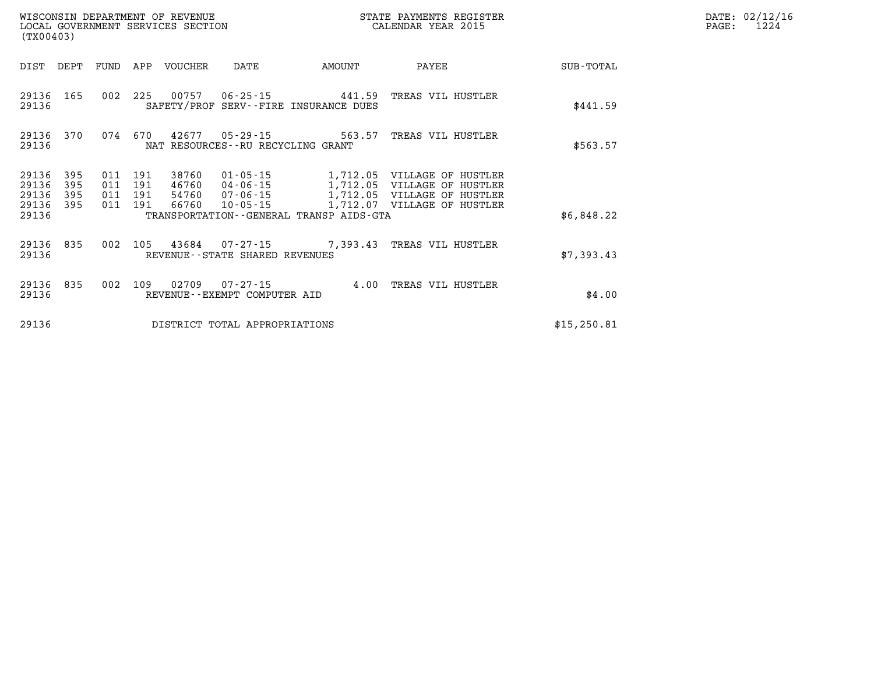| WISCONSIN DEPARTMENT OF REVENUE<br>(TX00403)         | LOCAL GOVERNMENT SERVICES SECTION CALENDAR YEAR 2015                                     |        | STATE PAYMENTS REGISTER                                    |              | DATE: 02/12/16<br>1224<br>PAGE: |
|------------------------------------------------------|------------------------------------------------------------------------------------------|--------|------------------------------------------------------------|--------------|---------------------------------|
| DIST DEPT                                            | FUND APP VOUCHER<br>DATE                                                                 | AMOUNT | PAYEE                                                      | SUB-TOTAL    |                                 |
| 29136 165<br>29136                                   | 002 225 00757 06-25-15 441.59 TREAS VIL HUSTLER<br>SAFETY/PROF SERV--FIRE INSURANCE DUES |        |                                                            | \$441.59     |                                 |
| 29136<br>370<br>29136                                | 074 670 42677 05-29-15 563.57 TREAS VIL HUSTLER<br>NAT RESOURCES--RU RECYCLING GRANT     |        |                                                            | \$563.57     |                                 |
| 29136<br>395<br>011<br>29136<br>395<br>011           | 38760<br>01-05-15<br>191<br>191<br>46760<br>04-06-15<br>1,712.05                         |        | 1,712.05 VILLAGE OF HUSTLER<br>VILLAGE OF HUSTLER          |              |                                 |
| 29136<br>395<br>011<br>29136 395<br>011 191<br>29136 | 191<br>54760<br>07-06-15<br>66760<br>10-05-15<br>TRANSPORTATION--GENERAL TRANSP AIDS-GTA |        | 1,712.05 VILLAGE OF HUSTLER<br>1,712.07 VILLAGE OF HUSTLER | \$6,848.22   |                                 |
| 29136 835<br>002<br>29136                            | 105<br>43684 07-27-15 7,393.43 TREAS VIL HUSTLER<br>REVENUE--STATE SHARED REVENUES       |        |                                                            | \$7,393.43   |                                 |
| 29136 835<br>002<br>29136                            | 109<br>02709  07-27-15  4.00  TREAS VIL HUSTLER<br>REVENUE--EXEMPT COMPUTER AID          |        |                                                            | \$4.00       |                                 |
| 29136                                                | DISTRICT TOTAL APPROPRIATIONS                                                            |        |                                                            | \$15, 250.81 |                                 |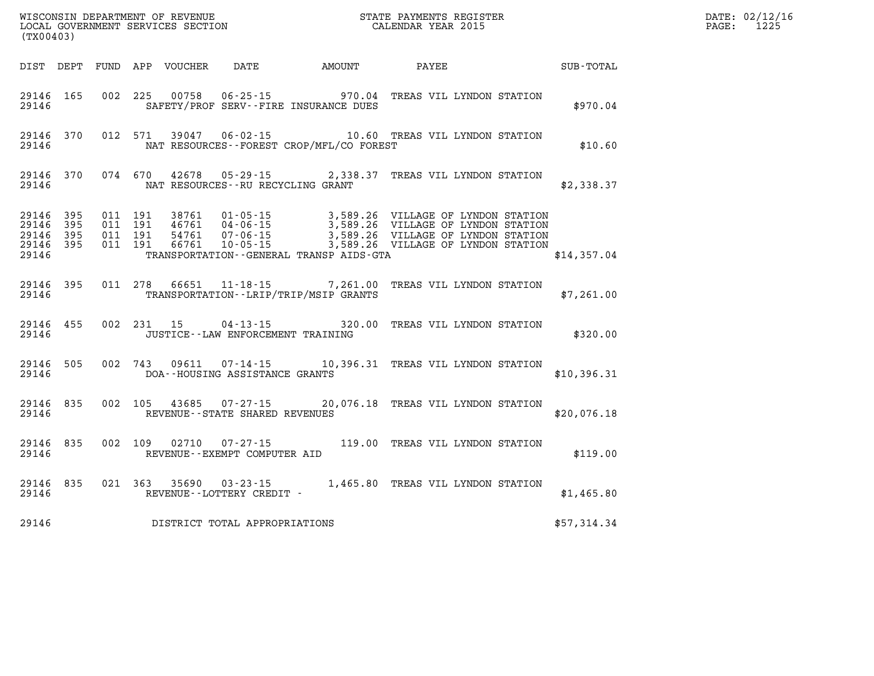| (TX00403)                                         |              |                                          |                         |                                                        |                                            | DATE: 02/12/16<br>1225<br>$\mathtt{PAGE:}$                                                                                                                             |             |  |  |
|---------------------------------------------------|--------------|------------------------------------------|-------------------------|--------------------------------------------------------|--------------------------------------------|------------------------------------------------------------------------------------------------------------------------------------------------------------------------|-------------|--|--|
|                                                   |              |                                          |                         | DIST DEPT FUND APP VOUCHER DATE AMOUNT                 |                                            | <b>PAYEE</b>                                                                                                                                                           | SUB-TOTAL   |  |  |
| 29146                                             | 29146 165    |                                          |                         |                                                        | SAFETY/PROF SERV--FIRE INSURANCE DUES      | 002 225 00758 06-25-15 970.04 TREAS VIL LYNDON STATION                                                                                                                 | \$970.04    |  |  |
| 29146                                             |              |                                          |                         |                                                        | NAT RESOURCES -- FOREST CROP/MFL/CO FOREST | 29146 370 012 571 39047 06-02-15 10.60 TREAS VIL LYNDON STATION                                                                                                        | \$10.60     |  |  |
| 29146                                             |              |                                          |                         | NAT RESOURCES--RU RECYCLING GRANT                      |                                            | 29146 370 074 670 42678 05-29-15 2,338.37 TREAS VIL LYNDON STATION                                                                                                     | \$2,338.37  |  |  |
| 29146 395<br>29146<br>29146<br>29146 395<br>29146 | 395<br>- 395 | 011 191<br>011 191<br>011 191<br>011 191 | 46761<br>54761<br>66761 | $04 - 06 - 15$<br>07 - 06 - 15<br>$10 - 05 - 15$       | TRANSPORTATION--GENERAL TRANSP AIDS-GTA    | 38761  01-05-15  3,589.26  VILLAGE OF LYNDON STATION<br>3,589.26 VILLAGE OF LYNDON STATION<br>3,589.26 VILLAGE OF LYNDON STATION<br>3,589.26 VILLAGE OF LYNDON STATION | \$14,357.04 |  |  |
| 29146                                             | 29146 395    |                                          |                         |                                                        | TRANSPORTATION--LRIP/TRIP/MSIP GRANTS      | 011 278 66651 11-18-15 7,261.00 TREAS VIL LYNDON STATION                                                                                                               | \$7,261.00  |  |  |
| 29146 455<br>29146                                |              |                                          |                         | JUSTICE - - LAW ENFORCEMENT TRAINING                   |                                            | 002 231 15 04-13-15 320.00 TREAS VIL LYNDON STATION                                                                                                                    | \$320.00    |  |  |
| 29146                                             | 29146 505    |                                          |                         | DOA--HOUSING ASSISTANCE GRANTS                         |                                            | 002 743 09611 07-14-15 10,396.31 TREAS VIL LYNDON STATION                                                                                                              | \$10,396.31 |  |  |
| 29146                                             | 29146 835    |                                          |                         | REVENUE - - STATE SHARED REVENUES                      |                                            | 002 105 43685 07-27-15 20,076.18 TREAS VIL LYNDON STATION                                                                                                              | \$20,076.18 |  |  |
| 29146                                             | 29146 835    |                                          |                         | 002 109 02710 07-27-15<br>REVENUE--EXEMPT COMPUTER AID |                                            | 119.00 TREAS VIL LYNDON STATION                                                                                                                                        | \$119.00    |  |  |
| 29146                                             | 29146 835    |                                          |                         | REVENUE--LOTTERY CREDIT -                              |                                            | 021 363 35690 03-23-15 1,465.80 TREAS VIL LYNDON STATION                                                                                                               | \$1,465.80  |  |  |
| 29146                                             |              |                                          |                         | DISTRICT TOTAL APPROPRIATIONS                          |                                            |                                                                                                                                                                        | \$57,314.34 |  |  |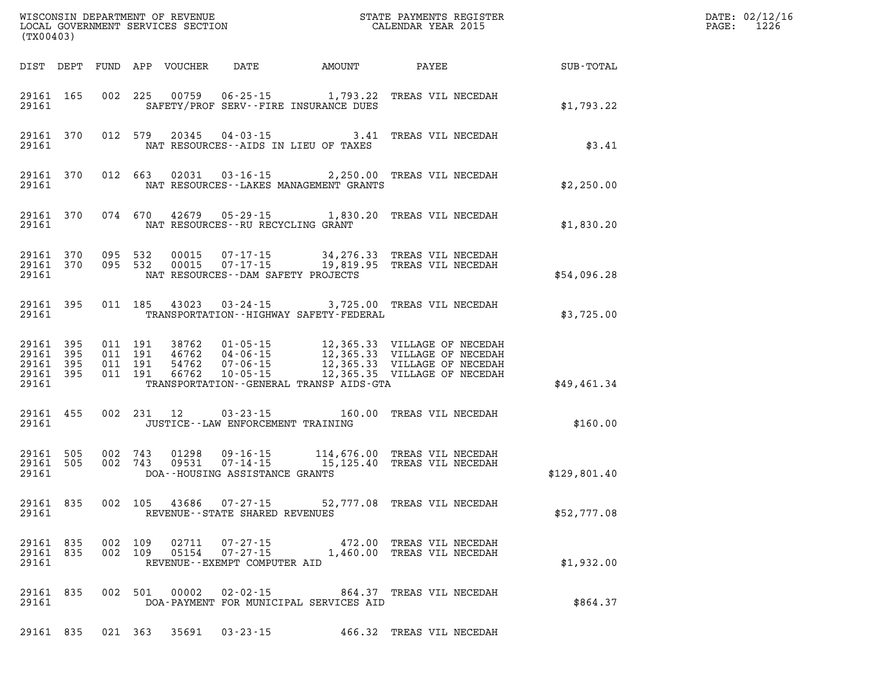|                                              | WISCONSIN DEPARTMENT OF REVENUE<br>LOCAL GOVERNMENT SERVICES SECTION<br>(TWAR YEAR 2015)<br>(TX00403) |         |         |                         |                                         |                                               |                                                                                                                                                                                                                          |              | DATE: 02/12/16<br>$\mathtt{PAGE:}$<br>1226 |
|----------------------------------------------|-------------------------------------------------------------------------------------------------------|---------|---------|-------------------------|-----------------------------------------|-----------------------------------------------|--------------------------------------------------------------------------------------------------------------------------------------------------------------------------------------------------------------------------|--------------|--------------------------------------------|
|                                              |                                                                                                       |         |         |                         |                                         |                                               |                                                                                                                                                                                                                          |              |                                            |
| 29161 165<br>29161                           |                                                                                                       |         |         |                         |                                         | SAFETY/PROF SERV--FIRE INSURANCE DUES         | 002 225 00759 06-25-15 1,793.22 TREAS VIL NECEDAH                                                                                                                                                                        | \$1,793.22   |                                            |
| 29161 370                                    |                                                                                                       |         |         |                         |                                         | 29161 NAT RESOURCES--AIDS IN LIEU OF TAXES    | 012 579 20345 04-03-15 3.41 TREAS VIL NECEDAH                                                                                                                                                                            | \$3.41       |                                            |
| 29161 370                                    |                                                                                                       |         |         |                         |                                         | 29161 NAT RESOURCES - LAKES MANAGEMENT GRANTS | 012 663 02031 03-16-15 2,250.00 TREAS VIL NECEDAH                                                                                                                                                                        | \$2,250.00   |                                            |
|                                              |                                                                                                       |         |         |                         | 29161 NAT RESOURCES--RU RECYCLING GRANT |                                               | 29161 370 074 670 42679 05-29-15 1,830.20 TREAS VIL NECEDAH                                                                                                                                                              | \$1,830.20   |                                            |
|                                              |                                                                                                       |         |         |                         |                                         | 29161 NAT RESOURCES--DAM SAFETY PROJECTS      | 29161 370 095 532 00015 07-17-15 34,276.33 TREAS VIL NECEDAH<br>29161 370 095 532 00015 07-17-15 19,819.95 TREAS VIL NECEDAH                                                                                             | \$54,096.28  |                                            |
| 29161 395                                    |                                                                                                       |         |         |                         |                                         |                                               | 011 185 43023 03-24-15 3,725.00 TREAS VIL NECEDAH<br>29161 TRANSPORTATION--HIGHWAY SAFETY-FEDERAL                                                                                                                        | \$3,725.00   |                                            |
| 29161 395<br>29161 395<br>29161 395<br>29161 |                                                                                                       |         |         | 29161 395 011 191 66762 |                                         | TRANSPORTATION - - GENERAL TRANSP AIDS - GTA  | 011 191 38762 01-05-15 12,365.33 VILLAGE OF NECEDAH<br>011 191 46762 04-06-15 12,365.33 VILLAGE OF NECEDAH<br>011 191 66762 10-05-15 12,365.33 VILLAGE OF NECEDAH<br>011 191 66762 10-05-15 12,365.35 VILLAGE OF NECEDAH | \$49,461.34  |                                            |
| 29161 455<br>29161                           |                                                                                                       |         |         |                         | JUSTICE - - LAW ENFORCEMENT TRAINING    |                                               | 002 231 12 03-23-15 160.00 TREAS VIL NECEDAH                                                                                                                                                                             | \$160.00     |                                            |
|                                              |                                                                                                       |         |         |                         | 29161 DOA--HOUSING ASSISTANCE GRANTS    |                                               | 29161 505 002 743 01298 09-16-15 114,676.00 TREAS VIL NECEDAH<br>29161 505 002 743 09531 07-14-15 15,125.40 TREAS VIL NECEDAH                                                                                            | \$129,801.40 |                                            |
| 29161                                        |                                                                                                       |         |         |                         | REVENUE--STATE SHARED REVENUES          |                                               | 29161 835 002 105 43686 07-27-15 52,777.08 TREAS VIL NECEDAH                                                                                                                                                             | \$52,777.08  |                                            |
| 29161 835<br>29161 835<br>29161              |                                                                                                       | 002 109 | 002 109 | 02711                   | REVENUE--EXEMPT COMPUTER AID            |                                               | 07-27-15 472.00 TREAS VIL NECEDAH<br>05154  07-27-15  1,460.00 TREAS VIL NECEDAH                                                                                                                                         | \$1,932.00   |                                            |
| 29161 835<br>29161                           |                                                                                                       |         |         | 002 501 00002           |                                         | DOA-PAYMENT FOR MUNICIPAL SERVICES AID        | 02-02-15 864.37 TREAS VIL NECEDAH                                                                                                                                                                                        | \$864.37     |                                            |
| 29161 835                                    |                                                                                                       |         | 021 363 |                         | 35691 03-23-15                          |                                               | 466.32 TREAS VIL NECEDAH                                                                                                                                                                                                 |              |                                            |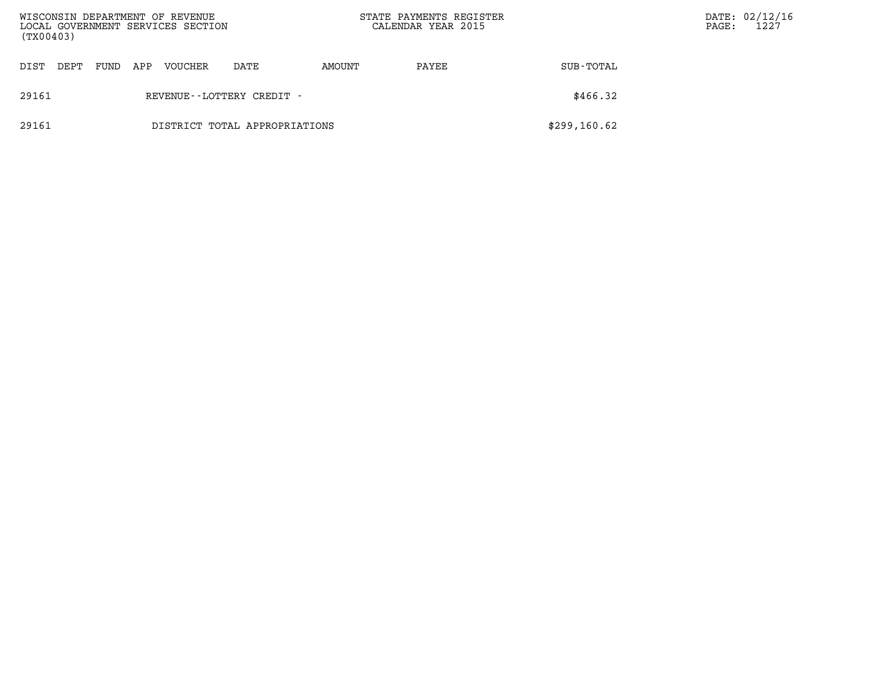| WISCONSIN DEPARTMENT OF REVENUE<br>LOCAL GOVERNMENT SERVICES SECTION<br>(TX00403) |                               |     |                |                              | STATE PAYMENTS REGISTER<br>CALENDAR YEAR 2015 |       | PAGE:        | DATE: 02/12/16<br>1227 |  |
|-----------------------------------------------------------------------------------|-------------------------------|-----|----------------|------------------------------|-----------------------------------------------|-------|--------------|------------------------|--|
| DEPT<br>DIST                                                                      | FUND                          | APP | <b>VOUCHER</b> | DATE                         | AMOUNT                                        | PAYEE | SUB-TOTAL    |                        |  |
| 29161                                                                             |                               |     |                | REVENUE - - LOTTERY CREDIT - |                                               |       | \$466.32     |                        |  |
| 29161                                                                             | DISTRICT TOTAL APPROPRIATIONS |     |                |                              |                                               |       | \$299,160.62 |                        |  |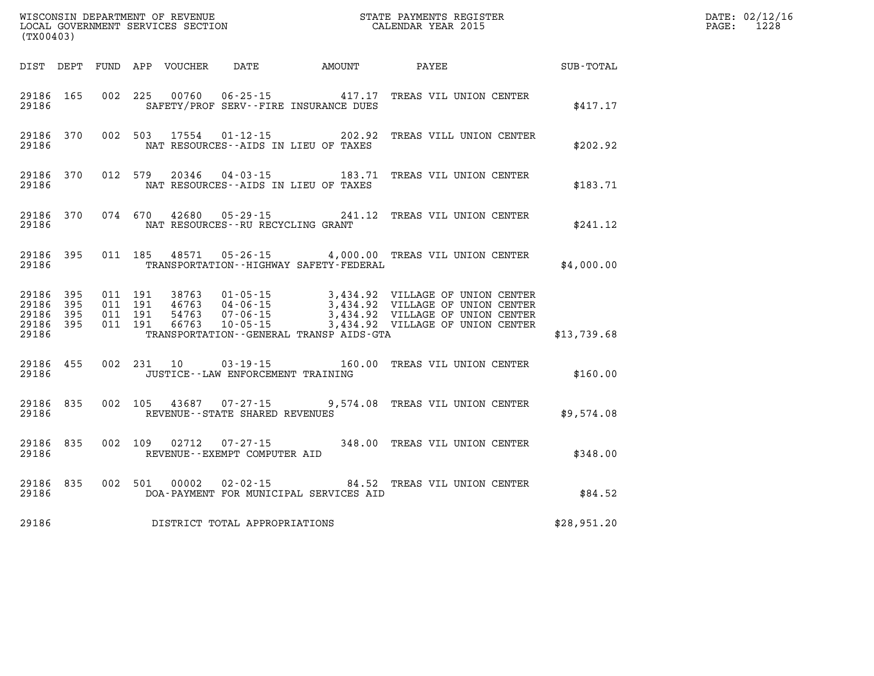| (TX00403)                              |                                                                                                               |  | FER EXECUTIVE STATE OF THE STATE OF THE STATE OF THE STATE OF THE STATE OF THE STATE OF THE STATE OF THE STATE | DATE: 02/12/16<br>$\mathtt{PAGE:}$<br>1228 |
|----------------------------------------|---------------------------------------------------------------------------------------------------------------|--|----------------------------------------------------------------------------------------------------------------|--------------------------------------------|
|                                        |                                                                                                               |  |                                                                                                                |                                            |
|                                        | 29186 165 002 225 00760 06-25-15 417.17 TREAS VIL UNION CENTER<br>29186 SAFETY/PROF SERV--FIRE INSURANCE DUES |  | \$417.17                                                                                                       |                                            |
| 29186                                  | 29186 370 002 503 17554 01-12-15 202.92 TREAS VILL UNION CENTER<br>NAT RESOURCES--AIDS IN LIEU OF TAXES       |  | \$202.92                                                                                                       |                                            |
| 29186                                  | 29186 370 012 579 20346 04-03-15 183.71 TREAS VIL UNION CENTER<br>NAT RESOURCES--AIDS IN LIEU OF TAXES        |  | \$183.71                                                                                                       |                                            |
| 29186 370<br>29186                     | 074 670 42680 05-29-15 241.12 TREAS VIL UNION CENTER<br>NAT RESOURCES--RU RECYCLING GRANT                     |  | \$241.12                                                                                                       |                                            |
| 29186 395<br>29186                     | 011 185 48571 05-26-15 4,000.00 TREAS VIL UNION CENTER<br>TRANSPORTATION - - HIGHWAY SAFETY - FEDERAL         |  | \$4,000.00                                                                                                     |                                            |
| 29186 395<br>29186<br>395<br>29186 395 |                                                                                                               |  |                                                                                                                |                                            |
| 29186 395<br>29186                     | TRANSPORTATION--GENERAL TRANSP AIDS-GTA                                                                       |  | \$13,739.68                                                                                                    |                                            |
| 29186 455<br>29186                     | 002 231 10 03-19-15 160.00 TREAS VIL UNION CENTER<br>JUSTICE--LAW ENFORCEMENT TRAINING                        |  | \$160.00                                                                                                       |                                            |
| 29186 835                              | 002 105 43687 07-27-15 9,574.08 TREAS VIL UNION CENTER<br>29186 REVENUE - STATE SHARED REVENUES               |  | \$9,574.08                                                                                                     |                                            |
| 29186 835                              | 002 109 02712 07-27-15 348.00 TREAS VIL UNION CENTER<br>29186 REVENUE - EXEMPT COMPUTER AID                   |  | \$348.00                                                                                                       |                                            |
| 29186                                  | 29186 835 002 501 00002 02-02-15 84.52 TREAS VIL UNION CENTER<br>DOA-PAYMENT FOR MUNICIPAL SERVICES AID       |  | \$84.52                                                                                                        |                                            |
|                                        | 29186 DISTRICT TOTAL APPROPRIATIONS                                                                           |  | \$28,951.20                                                                                                    |                                            |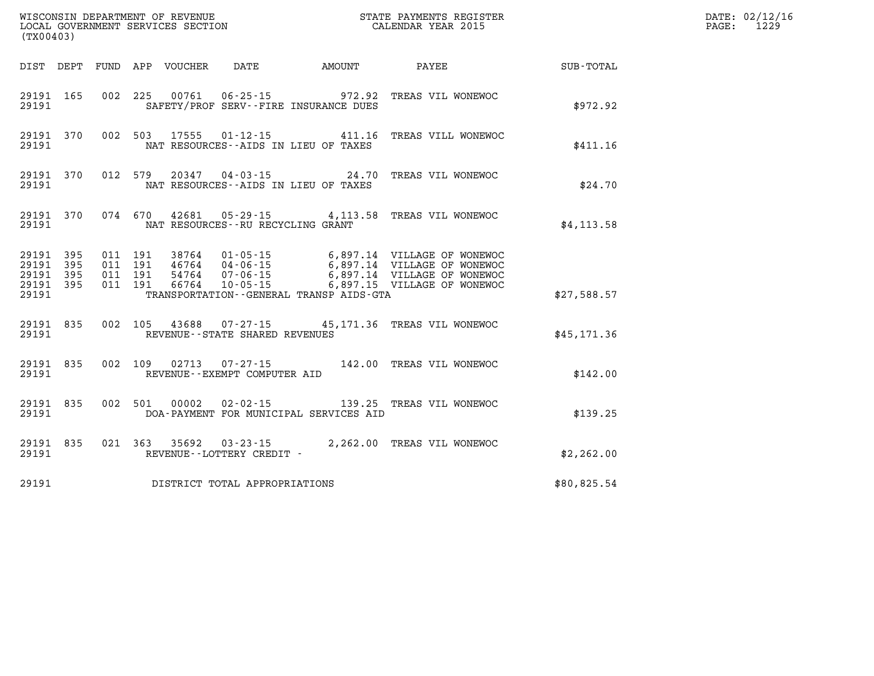| (TX00403)                                         | STATE PAYMENTS REGISTER<br>CALENDAR YEAR 2015<br>WISCONSIN DEPARTMENT OF REVENUE<br>LOCAL GOVERNMENT SERVICES SECTION |                               |         |                                  |                                                          |                                                                |                                                                                                                          |              | DATE: 02/12/16<br>PAGE:<br>1229 |
|---------------------------------------------------|-----------------------------------------------------------------------------------------------------------------------|-------------------------------|---------|----------------------------------|----------------------------------------------------------|----------------------------------------------------------------|--------------------------------------------------------------------------------------------------------------------------|--------------|---------------------------------|
|                                                   |                                                                                                                       |                               |         | DIST DEPT FUND APP VOUCHER       | DATE                                                     | AMOUNT                                                         | PAYEE                                                                                                                    | SUB-TOTAL    |                                 |
| 29191 165<br>29191                                |                                                                                                                       |                               | 002 225 | 00761                            |                                                          | $06 - 25 - 15$ 972.92<br>SAFETY/PROF SERV--FIRE INSURANCE DUES | TREAS VIL WONEWOC                                                                                                        | \$972.92     |                                 |
| 29191 370<br>29191                                |                                                                                                                       | 002 503                       |         | 17555                            | 01-12-15                                                 | 411.16<br>NAT RESOURCES--AIDS IN LIEU OF TAXES                 | TREAS VILL WONEWOC                                                                                                       | \$411.16     |                                 |
| 29191 370<br>29191                                |                                                                                                                       | 012 579                       |         | 20347                            | 04 - 03 - 15                                             | NAT RESOURCES--AIDS IN LIEU OF TAXES                           | 24.70 TREAS VIL WONEWOC                                                                                                  | \$24.70      |                                 |
| 29191 370<br>29191                                |                                                                                                                       |                               | 074 670 | 42681                            | $05 - 29 - 15$<br>NAT RESOURCES--RU RECYCLING GRANT      |                                                                | 4,113.58 TREAS VIL WONEWOC                                                                                               | \$4, 113.58  |                                 |
| 29191 395<br>29191<br>29191<br>29191 395<br>29191 | 395<br>395                                                                                                            | 011 191<br>011 191<br>011 191 | 011 191 | 38764<br>46764<br>54764<br>66764 | 01-05-15<br>04-06-15<br>$07 - 06 - 15$<br>$10 - 05 - 15$ | TRANSPORTATION - - GENERAL TRANSP AIDS - GTA                   | 6,897.14 VILLAGE OF WONEWOC<br>6,897.14 VILLAGE OF WONEWOC<br>6,897.14 VILLAGE OF WONEWOC<br>6,897.15 VILLAGE OF WONEWOC | \$27,588.57  |                                 |
| 29191 835<br>29191                                |                                                                                                                       |                               | 002 105 |                                  | REVENUE--STATE SHARED REVENUES                           |                                                                | 43688  07-27-15  45,171.36  TREAS VIL WONEWOC                                                                            | \$45, 171.36 |                                 |
| 29191 835<br>29191                                |                                                                                                                       | 002 109                       |         | 02713                            | $07 - 27 - 15$<br>REVENUE--EXEMPT COMPUTER AID           |                                                                | 142.00 TREAS VIL WONEWOC                                                                                                 | \$142.00     |                                 |
| 29191 835<br>29191                                |                                                                                                                       | 002 501                       |         | 00002                            | $02 - 02 - 15$                                           | DOA-PAYMENT FOR MUNICIPAL SERVICES AID                         | 139.25 TREAS VIL WONEWOC                                                                                                 | \$139.25     |                                 |
| 29191 835<br>29191                                |                                                                                                                       | 021 363                       |         | 35692                            | $03 - 23 - 15$<br>REVENUE--LOTTERY CREDIT -              |                                                                | 2,262.00 TREAS VIL WONEWOC                                                                                               | \$2,262.00   |                                 |
| 29191                                             |                                                                                                                       |                               |         |                                  | DISTRICT TOTAL APPROPRIATIONS                            |                                                                |                                                                                                                          | \$80,825.54  |                                 |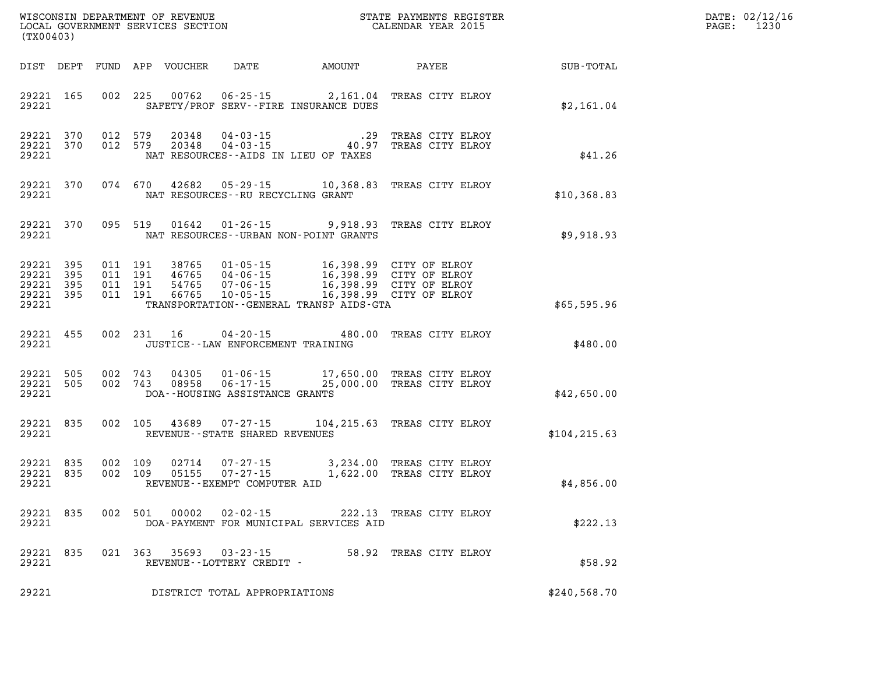| DATE: | 02/12/16 |
|-------|----------|
| PAGE: | 1230     |

| (TX00403)                                                 |     |         |               |                                             |                                              |                                                                                                                                                                                                                                  | WISCONSIN DEPARTMENT OF REVENUE<br>LOCAL GOVERNMENT SERVICES SECTION<br>(TYAOAAQ) | DATE: 02/12/1<br>$\mathtt{PAGE}$ :<br>1230 |
|-----------------------------------------------------------|-----|---------|---------------|---------------------------------------------|----------------------------------------------|----------------------------------------------------------------------------------------------------------------------------------------------------------------------------------------------------------------------------------|-----------------------------------------------------------------------------------|--------------------------------------------|
|                                                           |     |         |               |                                             |                                              |                                                                                                                                                                                                                                  | DIST DEPT FUND APP VOUCHER DATE AMOUNT PAYEE TO SUB-TOTAL                         |                                            |
|                                                           |     |         |               |                                             | 29221 SAFETY/PROF SERV--FIRE INSURANCE DUES  | 29221 165 002 225 00762 06-25-15 2,161.04 TREAS CITY ELROY                                                                                                                                                                       | \$2,161.04                                                                        |                                            |
| 29221                                                     |     |         |               |                                             | NAT RESOURCES--AIDS IN LIEU OF TAXES         | 29221 370 012 579 20348 04-03-15 .29 TREAS CITY ELROY<br>29221 370 012 579 20348 04-03-15 40.97 TREAS CITY ELROY                                                                                                                 | \$41.26                                                                           |                                            |
| 29221                                                     |     |         |               | NAT RESOURCES--RU RECYCLING GRANT           |                                              | 29221 370 074 670 42682 05-29-15 10,368.83 TREAS CITY ELROY                                                                                                                                                                      | \$10,368.83                                                                       |                                            |
|                                                           |     |         |               |                                             | 29221 NAT RESOURCES--URBAN NON-POINT GRANTS  | 29221 370 095 519 01642 01-26-15 9,918.93 TREAS CITY ELROY                                                                                                                                                                       | \$9,918.93                                                                        |                                            |
| 29221 395<br>29221 395<br>29221 395<br>29221 395<br>29221 |     |         |               |                                             | TRANSPORTATION - - GENERAL TRANSP AIDS - GTA | 011 191 38765 01-05-15 16,398.99 CITY OF ELROY<br>011 191 46765 04-06-15 16,398.99 CITY OF ELROY<br>011 191 54765 07-06-15 16,398.99 CITY OF ELROY<br>011 191 66765 10-05-15 16,398.99 CITY OF ELROY                             | \$65,595.96                                                                       |                                            |
| 29221                                                     |     |         |               | JUSTICE--LAW ENFORCEMENT TRAINING           |                                              | 29221 455 002 231 16 04-20-15 480.00 TREAS CITY ELROY                                                                                                                                                                            | \$480.00                                                                          |                                            |
| 29221                                                     |     |         |               | DOA--HOUSING ASSISTANCE GRANTS              |                                              | $\begin{array}{cccccc} 29221 & 505 & 002 & 743 & 04305 & 01\cdot 06\cdot 15 & & 17,650.00 & \text{TREAS CITY ELROY} \\ 29221 & 505 & 002 & 743 & 08958 & 06\cdot 17\cdot 15 & & 25,000.00 & \text{TREAS CITY ELROY} \end{array}$ | \$42,650.00                                                                       |                                            |
| 29221 835<br>29221                                        |     |         |               | REVENUE--STATE SHARED REVENUES              |                                              | 002 105 43689 07-27-15 104, 215.63 TREAS CITY ELROY                                                                                                                                                                              | \$104, 215.63                                                                     |                                            |
| 29221                                                     |     |         |               | REVENUE--EXEMPT COMPUTER AID                |                                              | $\begin{array}{cccccc} 29221 & 835 & 002 & 109 & 02714 & 07-27-15 & & 3,234.00 & \text{TREAS CITY ELROY} \\ 29221 & 835 & 002 & 109 & 05155 & 07-27-15 & & 1,622.00 & \text{TREAS CITY ELROY} \end{array}$                       | \$4,856.00                                                                        |                                            |
| 29221<br>29221                                            | 835 |         | 002 501 00002 | $02 - 02 - 15$                              | DOA-PAYMENT FOR MUNICIPAL SERVICES AID       | 222.13 TREAS CITY ELROY                                                                                                                                                                                                          | \$222.13                                                                          |                                            |
| 29221<br>29221                                            | 835 | 021 363 | 35693         | $03 - 23 - 15$<br>REVENUE--LOTTERY CREDIT - |                                              | 58.92 TREAS CITY ELROY                                                                                                                                                                                                           | \$58.92                                                                           |                                            |
| 29221                                                     |     |         |               | DISTRICT TOTAL APPROPRIATIONS               |                                              |                                                                                                                                                                                                                                  | \$240,568.70                                                                      |                                            |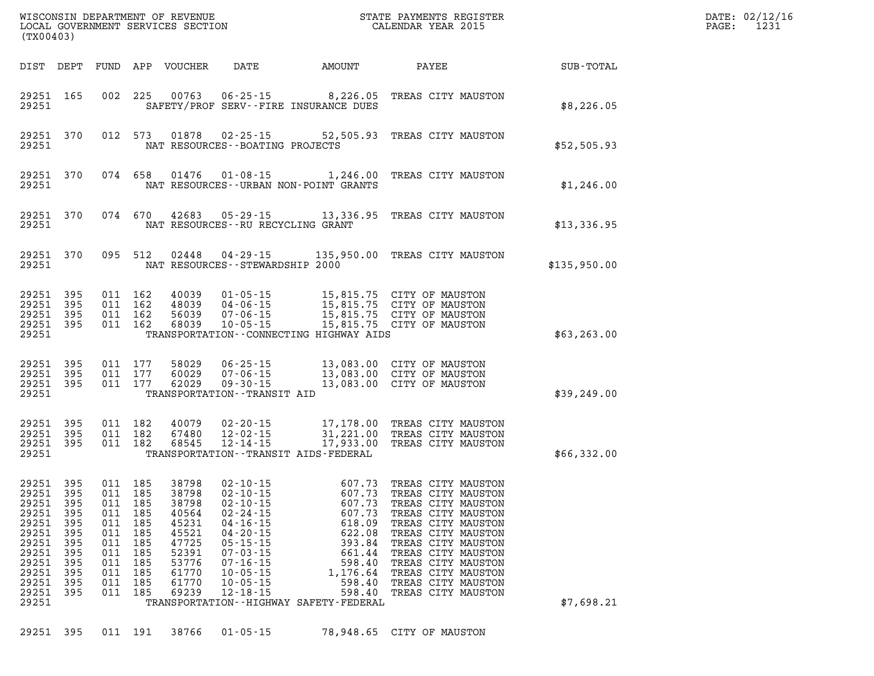|                                                                                                                   | (TX00403)                                                                        |                                                                                              |                                                             |                                                                                                          |                                                                                                                                                                                                                |                                                                                                                                                                       |                                                                                                                                                                                                                                                                      |              | DATE: 02/12/16<br>1231<br>PAGE: |
|-------------------------------------------------------------------------------------------------------------------|----------------------------------------------------------------------------------|----------------------------------------------------------------------------------------------|-------------------------------------------------------------|----------------------------------------------------------------------------------------------------------|----------------------------------------------------------------------------------------------------------------------------------------------------------------------------------------------------------------|-----------------------------------------------------------------------------------------------------------------------------------------------------------------------|----------------------------------------------------------------------------------------------------------------------------------------------------------------------------------------------------------------------------------------------------------------------|--------------|---------------------------------|
|                                                                                                                   |                                                                                  |                                                                                              |                                                             | DIST DEPT FUND APP VOUCHER                                                                               | DATE                                                                                                                                                                                                           | AMOUNT                                                                                                                                                                | PAYEE                                                                                                                                                                                                                                                                | SUB-TOTAL    |                                 |
| 29251                                                                                                             | 29251 165                                                                        |                                                                                              | 002 225                                                     | 00763                                                                                                    |                                                                                                                                                                                                                | $06 - 25 - 15$ 8, 226.05<br>SAFETY/PROF SERV--FIRE INSURANCE DUES                                                                                                     | TREAS CITY MAUSTON                                                                                                                                                                                                                                                   | \$8,226.05   |                                 |
| 29251                                                                                                             | 29251 370                                                                        |                                                                                              | 012 573                                                     | 01878                                                                                                    | $02 - 25 - 15$<br>NAT RESOURCES - - BOATING PROJECTS                                                                                                                                                           |                                                                                                                                                                       | 52,505.93 TREAS CITY MAUSTON                                                                                                                                                                                                                                         | \$52,505.93  |                                 |
| 29251                                                                                                             | 29251 370                                                                        | 074 658                                                                                      |                                                             | 01476                                                                                                    |                                                                                                                                                                                                                | $01 - 08 - 15$ 1, 246.00<br>NAT RESOURCES - - URBAN NON-POINT GRANTS                                                                                                  | TREAS CITY MAUSTON                                                                                                                                                                                                                                                   | \$1,246.00   |                                 |
| 29251                                                                                                             | 29251 370                                                                        | 074 670                                                                                      |                                                             | 42683                                                                                                    | NAT RESOURCES -- RU RECYCLING GRANT                                                                                                                                                                            |                                                                                                                                                                       | 05-29-15 13,336.95 TREAS CITY MAUSTON                                                                                                                                                                                                                                | \$13,336.95  |                                 |
| 29251                                                                                                             | 29251 370                                                                        |                                                                                              | 095 512                                                     | 02448                                                                                                    | NAT RESOURCES - - STEWARDSHIP 2000                                                                                                                                                                             |                                                                                                                                                                       | 04-29-15 135,950.00 TREAS CITY MAUSTON                                                                                                                                                                                                                               | \$135,950.00 |                                 |
| 29251<br>29251<br>29251<br>29251<br>29251                                                                         | 395<br>395<br>395<br>395                                                         | 011 162<br>011 162<br>011 162<br>011 162                                                     |                                                             | 40039<br>48039<br>56039<br>68039                                                                         | $01 - 05 - 15$<br>04-06-15<br>$07 - 06 - 15$<br>$10 - 05 - 15$                                                                                                                                                 | TRANSPORTATION--CONNECTING HIGHWAY AIDS                                                                                                                               | 15,815.75 CITY OF MAUSTON<br>15,815.75 CITY OF MAUSTON<br>15,815.75 CITY OF MAUSTON<br>15,815.75 CITY OF MAUSTON                                                                                                                                                     | \$63, 263.00 |                                 |
| 29251<br>29251<br>29251 395<br>29251                                                                              | 395<br>395                                                                       | 011 177<br>011 177<br>011 177                                                                |                                                             | 58029<br>60029<br>62029                                                                                  | $06 - 25 - 15$<br>07-06-15<br>$09 - 30 - 15$<br>TRANSPORTATION - - TRANSIT AID                                                                                                                                 |                                                                                                                                                                       | 13,083.00 CITY OF MAUSTON<br>13,083.00 CITY OF MAUSTON<br>13,083.00 CITY OF MAUSTON                                                                                                                                                                                  | \$39,249.00  |                                 |
| 29251<br>29251<br>29251<br>29251                                                                                  | 395<br>395<br>395                                                                | 011 182<br>011 182<br>011 182                                                                |                                                             | 40079<br>67480<br>68545                                                                                  | 02-20-15<br>$12 - 02 - 15$<br>$12 - 14 - 15$                                                                                                                                                                   | 17,933.00<br>TRANSPORTATION - - TRANSIT AIDS - FEDERAL                                                                                                                | 17,178.00 TREAS CITY MAUSTON<br>31,221.00 TREAS CITY MAUSTON<br>TREAS CITY MAUSTON                                                                                                                                                                                   | \$66,332.00  |                                 |
| 29251<br>29251<br>29251<br>29251<br>29251<br>29251<br>29251<br>29251<br>29251<br>29251<br>29251<br>29251<br>29251 | 395<br>395<br>395<br>395<br>395<br>395<br>395<br>395<br>395<br>395<br>395<br>395 | 011 185<br>011 185<br>011 185<br>011<br>011<br>011<br>011<br>011<br>011<br>011<br>011<br>011 | 185<br>185<br>185<br>185<br>185<br>185<br>185<br>185<br>185 | 38798<br>38798<br>38798<br>40564<br>45231<br>45521<br>47725<br>52391<br>53776<br>61770<br>61770<br>69239 | 02-10-15<br>$02 - 10 - 15$<br>$02 - 10 - 15$<br>$02 - 24 - 15$<br>$04 - 16 - 15$<br>$04 - 20 - 15$<br>$05 - 15 - 15$<br>$07 - 03 - 15$<br>$07 - 16 - 15$<br>$10 - 05 - 15$<br>$10 - 05 - 15$<br>$12 - 18 - 15$ | 607.73<br>607.73<br>607.73<br>607.73<br>618.09<br>622.08<br>393.84<br>661.44<br>598.40<br>1,176.64<br>598.40<br>598.40<br>TRANSPORTATION - - HIGHWAY SAFETY - FEDERAL | TREAS CITY MAUSTON<br>TREAS CITY MAUSTON<br>TREAS CITY MAUSTON<br>TREAS CITY MAUSTON<br>TREAS CITY MAUSTON<br>TREAS CITY MAUSTON<br>TREAS CITY MAUSTON<br>TREAS CITY MAUSTON<br>TREAS CITY MAUSTON<br>TREAS CITY MAUSTON<br>TREAS CITY MAUSTON<br>TREAS CITY MAUSTON | \$7,698.21   |                                 |
|                                                                                                                   |                                                                                  |                                                                                              |                                                             |                                                                                                          |                                                                                                                                                                                                                |                                                                                                                                                                       |                                                                                                                                                                                                                                                                      |              |                                 |

**29251 395 011 191 38766 01-05-15 78,948.65 CITY OF MAUSTON**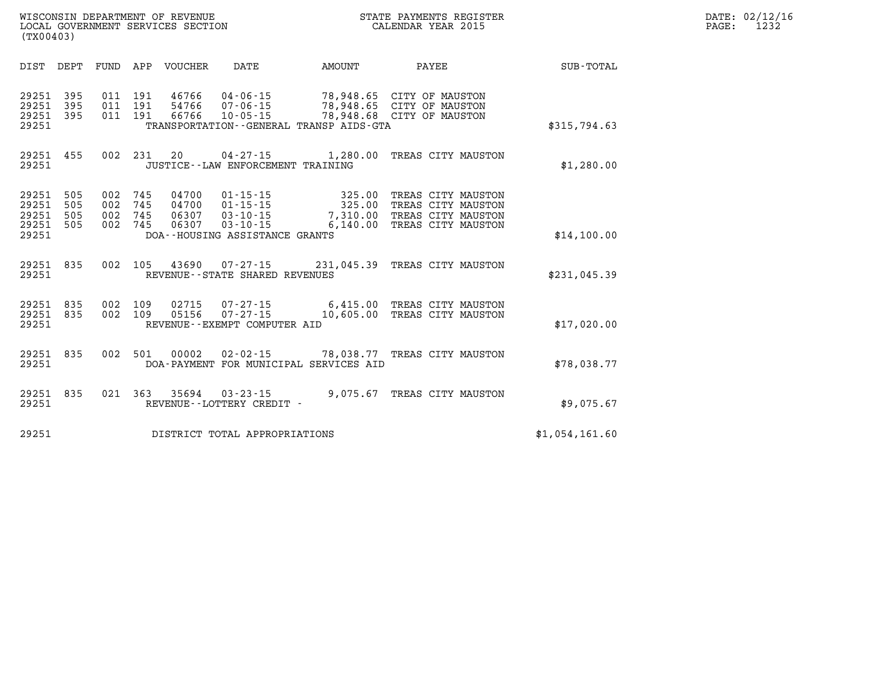| WISCONSIN DEPARTMENT OF REVENUE   | STATE PAYMENTS REGISTER | 02/12/16<br>DATE:      |
|-----------------------------------|-------------------------|------------------------|
| LOCAL GOVERNMENT SERVICES SECTION | CALENDAR YEAR 2015      | 1 n n 1<br>PAGE<br>123 |

| (TX00403)                                                             |                                                      |                                  |                                                                                                        |                                          |                                                                                      |                  |
|-----------------------------------------------------------------------|------------------------------------------------------|----------------------------------|--------------------------------------------------------------------------------------------------------|------------------------------------------|--------------------------------------------------------------------------------------|------------------|
| DEPT<br>DIST                                                          | FUND<br>APP                                          | VOUCHER                          | DATE                                                                                                   | AMOUNT                                   | PAYEE                                                                                | <b>SUB-TOTAL</b> |
| 395<br>29251<br>395<br>29251<br>29251<br>395<br>29251                 | 011<br>191<br>191<br>011<br>191<br>011               | 46766<br>54766<br>66766          | $04 - 06 - 15$<br>$07 - 06 - 15$<br>$10 - 05 - 15$<br>TRANSPORTATION - - GENERAL TRANSP AIDS - GTA     | 78,948.65<br>78,948.65                   | CITY OF MAUSTON<br>CITY OF MAUSTON<br>78,948.68 CITY OF MAUSTON                      | \$315,794.63     |
| 455<br>29251<br>29251                                                 | 002<br>231                                           | 20                               | 04 - 27 - 15<br>JUSTICE - - LAW ENFORCEMENT TRAINING                                                   | 1,280.00                                 | TREAS CITY MAUSTON                                                                   | \$1,280.00       |
| 29251<br>505<br>29251<br>505<br>29251<br>505<br>29251<br>505<br>29251 | 002<br>745<br>745<br>002<br>002<br>745<br>002<br>745 | 04700<br>04700<br>06307<br>06307 | $01 - 15 - 15$<br>$01 - 15 - 15$<br>$03 - 10 - 15$<br>$03 - 10 - 15$<br>DOA--HOUSING ASSISTANCE GRANTS | 325.00<br>325.00<br>7,310.00<br>6,140.00 | TREAS CITY MAUSTON<br>TREAS CITY MAUSTON<br>TREAS CITY MAUSTON<br>TREAS CITY MAUSTON | \$14,100.00      |
| 29251<br>835<br>29251                                                 | 002<br>105                                           | 43690                            | $07 - 27 - 15$<br>REVENUE - - STATE SHARED REVENUES                                                    | 231,045.39                               | TREAS CITY MAUSTON                                                                   | \$231,045.39     |
| 29251<br>835<br>29251<br>835<br>29251                                 | 002<br>109<br>002<br>109                             | 02715<br>05156                   | 07-27-15<br>$07 - 27 - 15$<br>REVENUE--EXEMPT COMPUTER AID                                             | 6,415.00<br>10,605.00                    | TREAS CITY MAUSTON<br>TREAS CITY MAUSTON                                             | \$17,020.00      |
| 29251<br>835<br>29251                                                 | 002<br>501                                           | 00002                            | $02 - 02 - 15$<br>DOA-PAYMENT FOR MUNICIPAL SERVICES AID                                               | 78,038.77                                | TREAS CITY MAUSTON                                                                   | \$78,038.77      |
| 835<br>29251<br>29251                                                 | 021<br>363                                           | 35694                            | $03 - 23 - 15$<br>REVENUE - - LOTTERY CREDIT -                                                         | 9,075.67                                 | TREAS CITY MAUSTON                                                                   | \$9,075.67       |
| 29251                                                                 |                                                      |                                  | DISTRICT TOTAL APPROPRIATIONS                                                                          |                                          |                                                                                      | \$1,054,161.60   |

WISCONSIN DEPARTMENT OF REVENUE **STATE PAYMENTS REGISTER**<br>LOCAL GOVERNMENT SERVICES SECTION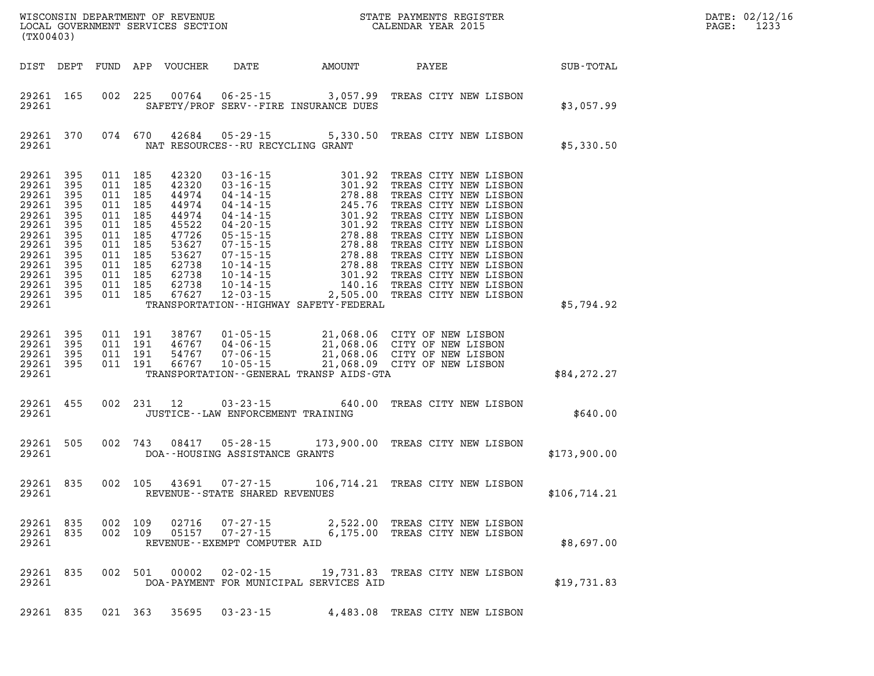| DATE: | 02/12/16 |
|-------|----------|
| PAGE: | 1233     |

| (TX00403)                                                                                                                                                      |                          |         |                                                                                                                       |                |                                                            |                                                                                                                                                                                                                                                                     |                                                                  |              | DATE: 02/12/1<br>PAGE:<br>1233 |
|----------------------------------------------------------------------------------------------------------------------------------------------------------------|--------------------------|---------|-----------------------------------------------------------------------------------------------------------------------|----------------|------------------------------------------------------------|---------------------------------------------------------------------------------------------------------------------------------------------------------------------------------------------------------------------------------------------------------------------|------------------------------------------------------------------|--------------|--------------------------------|
| DIST DEPT                                                                                                                                                      |                          |         |                                                                                                                       |                |                                                            |                                                                                                                                                                                                                                                                     |                                                                  |              |                                |
| 29261 165<br>29261                                                                                                                                             |                          |         |                                                                                                                       |                |                                                            | 002 225 00764 06-25-15 3,057.99 TREAS CITY NEW LISBON<br>SAFETY/PROF SERV--FIRE INSURANCE DUES                                                                                                                                                                      |                                                                  | \$3,057.99   |                                |
| 29261 370<br>29261                                                                                                                                             |                          |         |                                                                                                                       |                |                                                            | 074 670 42684 05-29-15 5,330.50 TREAS CITY NEW LISBON<br>NAT RESOURCES--RU RECYCLING GRANT                                                                                                                                                                          |                                                                  | \$5,330.50   |                                |
| 29261<br>29261 395<br>29261<br>29261 395<br>29261 395<br>29261 395<br>29261<br>29261 395<br>29261 395<br>29261 395<br>29261<br>29261 395<br>29261 395<br>29261 | 395<br>395<br>395<br>395 | 011 185 | 011 185<br>011 185<br>011 185<br>011 185<br>011 185<br>011 185<br>011 185<br>011 185<br>011 185<br>011 185<br>011 185 |                | 011 185 67627 12-03-15                                     | TRANSPORTATION - - HIGHWAY SAFETY - FEDERAL                                                                                                                                                                                                                         |                                                                  | \$5,794.92   |                                |
| 29261 395<br>29261 395<br>29261 395<br>29261 395<br>29261                                                                                                      |                          |         |                                                                                                                       |                |                                                            | 011 191 38767 01-05-15 21,068.06 CITY OF NEW LISBON<br>011 191 46767 04-06-15 21,068.06 CITY OF NEW LISBON<br>011 191 54767 07-06-15 21,068.06 CITY OF NEW LISBON<br>011 191 66767 10-05-15 21,068.09 CITY OF NEW LISBON<br>TRANSPORTATION--GENERAL TRANSP AIDS-GTA |                                                                  | \$84,272.27  |                                |
| 29261 455<br>29261                                                                                                                                             |                          |         | 002 231 12                                                                                                            |                | $03 - 23 - 15$                                             | JUSTICE -- LAW ENFORCEMENT TRAINING                                                                                                                                                                                                                                 | 640.00 TREAS CITY NEW LISBON                                     | \$640.00     |                                |
| 29261 505<br>29261                                                                                                                                             |                          |         |                                                                                                                       |                | DOA--HOUSING ASSISTANCE GRANTS                             | 002 743 08417 05-28-15 173,900.00 TREAS CITY NEW LISBON                                                                                                                                                                                                             |                                                                  | \$173,900.00 |                                |
| 29261 835<br>29261                                                                                                                                             |                          |         |                                                                                                                       |                | REVENUE--STATE SHARED REVENUES                             | 002 105 43691 07-27-15 106,714.21 TREAS CITY NEW LISBON                                                                                                                                                                                                             |                                                                  | \$106,714.21 |                                |
| 29261 835<br>29261 835<br>29261                                                                                                                                |                          |         | 002 109<br>002 109                                                                                                    | 02716<br>05157 | 07-27-15<br>$07 - 27 - 15$<br>REVENUE--EXEMPT COMPUTER AID |                                                                                                                                                                                                                                                                     | 2,522.00 TREAS CITY NEW LISBON<br>6,175.00 TREAS CITY NEW LISBON | \$8,697.00   |                                |
| 29261 835<br>29261                                                                                                                                             |                          |         | 002 501                                                                                                               | 00002          | 02-02-15                                                   | DOA-PAYMENT FOR MUNICIPAL SERVICES AID                                                                                                                                                                                                                              | 19,731.83 TREAS CITY NEW LISBON                                  | \$19,731.83  |                                |
| 29261 835                                                                                                                                                      |                          |         | 021 363                                                                                                               | 35695          | $03 - 23 - 15$                                             |                                                                                                                                                                                                                                                                     | 4,483.08 TREAS CITY NEW LISBON                                   |              |                                |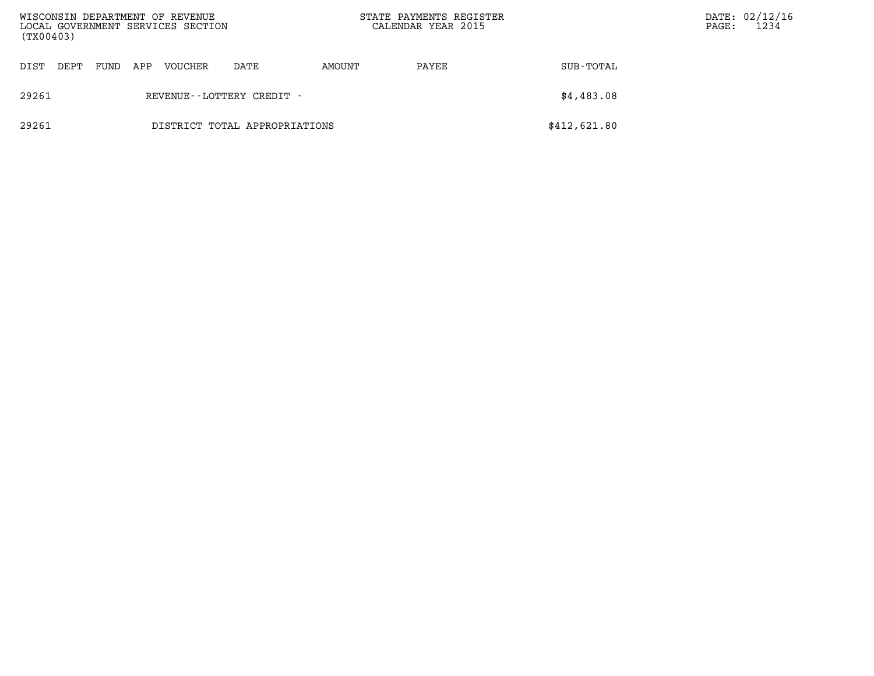| WISCONSIN DEPARTMENT OF REVENUE<br>LOCAL GOVERNMENT SERVICES SECTION<br>(TX00403) |      |      |     |         |                               | STATE PAYMENTS REGISTER<br>CALENDAR YEAR 2015 |       | PAGE:        | DATE: 02/12/16<br>1234 |  |
|-----------------------------------------------------------------------------------|------|------|-----|---------|-------------------------------|-----------------------------------------------|-------|--------------|------------------------|--|
| DIST                                                                              | DEPT | FUND | APP | VOUCHER | DATE                          | AMOUNT                                        | PAYEE | SUB-TOTAL    |                        |  |
| 29261                                                                             |      |      |     |         | REVENUE--LOTTERY CREDIT -     |                                               |       | \$4,483.08   |                        |  |
| 29261                                                                             |      |      |     |         | DISTRICT TOTAL APPROPRIATIONS |                                               |       | \$412,621.80 |                        |  |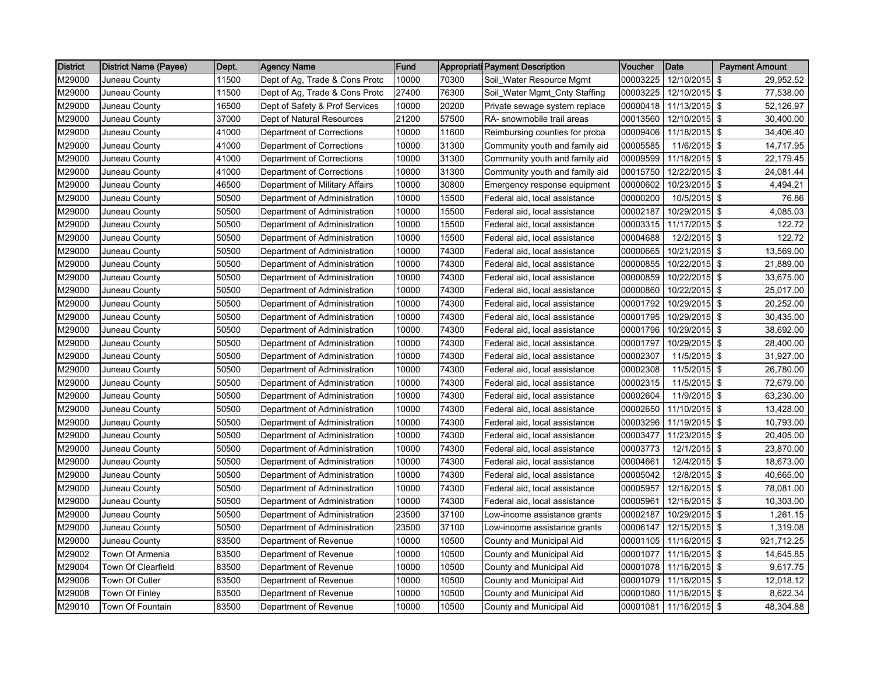| <b>District</b> | District Name (Payee) | Dept. | <b>Agency Name</b>             | Fund  |       | Appropriati Payment Description | Voucher  | Date                   | <b>Payment Amount</b> |
|-----------------|-----------------------|-------|--------------------------------|-------|-------|---------------------------------|----------|------------------------|-----------------------|
| M29000          | Juneau County         | 11500 | Dept of Ag, Trade & Cons Protc | 10000 | 70300 | Soil_Water Resource Mgmt        | 00003225 | 12/10/2015 \$          | 29,952.52             |
| M29000          | Juneau County         | 11500 | Dept of Ag, Trade & Cons Protc | 27400 | 76300 | Soil_Water Mgmt_Cnty Staffing   | 00003225 | 12/10/2015 \$          | 77,538.00             |
| M29000          | Juneau County         | 16500 | Dept of Safety & Prof Services | 10000 | 20200 | Private sewage system replace   | 00000418 | 11/13/2015 \$          | 52,126.97             |
| M29000          | Juneau County         | 37000 | Dept of Natural Resources      | 21200 | 57500 | RA- snowmobile trail areas      | 00013560 | 12/10/2015 \$          | 30,400.00             |
| M29000          | Juneau County         | 41000 | Department of Corrections      | 10000 | 11600 | Reimbursing counties for proba  | 00009406 | 11/18/2015 \$          | 34,406.40             |
| M29000          | Juneau County         | 41000 | Department of Corrections      | 10000 | 31300 | Community youth and family aid  | 00005585 | 11/6/2015 \$           | 14,717.95             |
| M29000          | Juneau County         | 41000 | Department of Corrections      | 10000 | 31300 | Community youth and family aid  | 00009599 | 11/18/2015 \$          | 22,179.45             |
| M29000          | Juneau County         | 41000 | Department of Corrections      | 10000 | 31300 | Community youth and family aid  | 00015750 | 12/22/2015 \$          | 24,081.44             |
| M29000          | Juneau County         | 46500 | Department of Military Affairs | 10000 | 30800 | Emergency response equipment    | 00000602 | 10/23/2015 \$          | 4,494.21              |
| M29000          | Juneau County         | 50500 | Department of Administration   | 10000 | 15500 | Federal aid, local assistance   | 00000200 | 10/5/2015 \$           | 76.86                 |
| M29000          | Juneau County         | 50500 | Department of Administration   | 10000 | 15500 | Federal aid, local assistance   | 00002187 | 10/29/2015 \$          | 4,085.03              |
| M29000          | Juneau County         | 50500 | Department of Administration   | 10000 | 15500 | Federal aid, local assistance   | 00003315 | 11/17/2015             | \$<br>122.72          |
| M29000          | Juneau County         | 50500 | Department of Administration   | 10000 | 15500 | Federal aid, local assistance   | 00004688 | 12/2/2015 \$           | 122.72                |
| M29000          | Juneau County         | 50500 | Department of Administration   | 10000 | 74300 | Federal aid, local assistance   | 00000665 | 10/21/2015 \$          | 13,569.00             |
| M29000          | Juneau County         | 50500 | Department of Administration   | 10000 | 74300 | Federal aid, local assistance   | 00000855 | 10/22/2015 \$          | 21,889.00             |
| M29000          | Juneau County         | 50500 | Department of Administration   | 10000 | 74300 | Federal aid, local assistance   | 00000859 | 10/22/2015 \$          | 33,675.00             |
| M29000          | Juneau County         | 50500 | Department of Administration   | 10000 | 74300 | Federal aid, local assistance   | 00000860 | 10/22/2015 \$          | 25,017.00             |
| M29000          | Juneau County         | 50500 | Department of Administration   | 10000 | 74300 | Federal aid, local assistance   | 00001792 | 10/29/2015 \$          | 20,252.00             |
| M29000          | Juneau County         | 50500 | Department of Administration   | 10000 | 74300 | Federal aid, local assistance   | 00001795 | 10/29/2015 \$          | 30,435.00             |
| M29000          | Juneau County         | 50500 | Department of Administration   | 10000 | 74300 | Federal aid, local assistance   | 00001796 | 10/29/2015 \$          | 38,692.00             |
| M29000          | Juneau County         | 50500 | Department of Administration   | 10000 | 74300 | Federal aid, local assistance   | 00001797 | 10/29/2015 \$          | 28,400.00             |
| M29000          | Juneau County         | 50500 | Department of Administration   | 10000 | 74300 | Federal aid, local assistance   | 00002307 | 11/5/2015 \$           | 31,927.00             |
| M29000          | Juneau County         | 50500 | Department of Administration   | 10000 | 74300 | Federal aid, local assistance   | 00002308 | 11/5/2015 \$           | 26,780.00             |
| M29000          | Juneau County         | 50500 | Department of Administration   | 10000 | 74300 | Federal aid, local assistance   | 00002315 | 11/5/2015 \$           | 72,679.00             |
| M29000          | Juneau County         | 50500 | Department of Administration   | 10000 | 74300 | Federal aid, local assistance   | 00002604 | $11/9/2015$ \$         | 63,230.00             |
| M29000          | Juneau County         | 50500 | Department of Administration   | 10000 | 74300 | Federal aid, local assistance   | 00002650 | 11/10/2015 \$          | 13,428.00             |
| M29000          | Juneau County         | 50500 | Department of Administration   | 10000 | 74300 | Federal aid, local assistance   | 00003296 | 11/19/2015 \$          | 10,793.00             |
| M29000          | Juneau County         | 50500 | Department of Administration   | 10000 | 74300 | Federal aid, local assistance   | 00003477 | 11/23/2015 \$          | 20,405.00             |
| M29000          | Juneau County         | 50500 | Department of Administration   | 10000 | 74300 | Federal aid, local assistance   | 00003773 | 12/1/2015 \$           | 23,870.00             |
| M29000          | Juneau County         | 50500 | Department of Administration   | 10000 | 74300 | Federal aid, local assistance   | 00004661 | 12/4/2015 \$           | 18,673.00             |
| M29000          | Juneau County         | 50500 | Department of Administration   | 10000 | 74300 | Federal aid, local assistance   | 00005042 | 12/8/2015 \$           | 40,665.00             |
| M29000          | Juneau County         | 50500 | Department of Administration   | 10000 | 74300 | Federal aid, local assistance   | 00005957 | 12/16/2015 \$          | 78,081.00             |
| M29000          | Juneau County         | 50500 | Department of Administration   | 10000 | 74300 | Federal aid, local assistance   | 00005961 | 12/16/2015 \$          | 10,303.00             |
| M29000          | Juneau County         | 50500 | Department of Administration   | 23500 | 37100 | Low-income assistance grants    | 00002187 | 10/29/2015 \$          | 1,261.15              |
| M29000          | Juneau County         | 50500 | Department of Administration   | 23500 | 37100 | Low-income assistance grants    | 00006147 | 12/15/2015 \$          | 1,319.08              |
| M29000          | Juneau County         | 83500 | Department of Revenue          | 10000 | 10500 | County and Municipal Aid        | 00001105 | 11/16/2015 \$          | 921,712.25            |
| M29002          | Town Of Armenia       | 83500 | Department of Revenue          | 10000 | 10500 | County and Municipal Aid        | 00001077 | 11/16/2015 \$          | 14,645.85             |
| M29004          | Town Of Clearfield    | 83500 | Department of Revenue          | 10000 | 10500 | County and Municipal Aid        | 00001078 | 11/16/2015 \$          | 9,617.75              |
| M29006          | Town Of Cutler        | 83500 | Department of Revenue          | 10000 | 10500 | County and Municipal Aid        | 00001079 | 11/16/2015 \$          | 12,018.12             |
| M29008          | Town Of Finley        | 83500 | Department of Revenue          | 10000 | 10500 | County and Municipal Aid        | 00001080 | 11/16/2015 \$          | 8,622.34              |
| M29010          | Town Of Fountain      | 83500 | Department of Revenue          | 10000 | 10500 | County and Municipal Aid        |          | 00001081 11/16/2015 \$ | 48,304.88             |